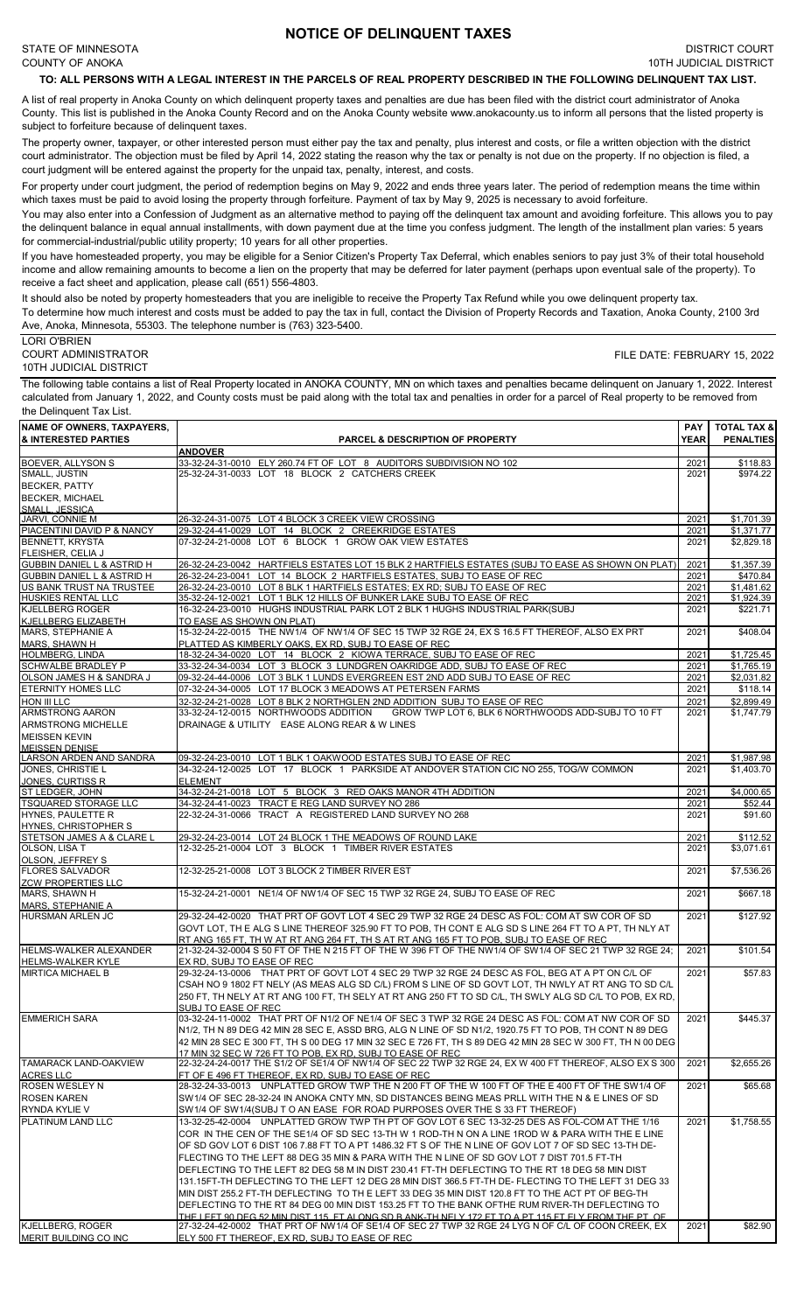## **NOTICE OF DELINQUENT TAXES**

## **TO: ALL PERSONS WITH A LEGAL INTEREST IN THE PARCELS OF REAL PROPERTY DESCRIBED IN THE FOLLOWING DELINQUENT TAX LIST.**

A list of real property in Anoka County on which delinquent property taxes and penalties are due has been filed with the district court administrator of Anoka County. This list is published in the Anoka County Record and on the Anoka County website www.anokacounty.us to inform all persons that the listed property is subject to forfeiture because of delinquent taxes.

The property owner, taxpayer, or other interested person must either pay the tax and penalty, plus interest and costs, or file a written objection with the district court administrator. The objection must be filed by April 14, 2022 stating the reason why the tax or penalty is not due on the property. If no objection is filed, a court judgment will be entered against the property for the unpaid tax, penalty, interest, and costs.

For property under court judgment, the period of redemption begins on May 9, 2022 and ends three years later. The period of redemption means the time within which taxes must be paid to avoid losing the property through forfeiture. Payment of tax by May 9, 2025 is necessary to avoid forfeiture.

You may also enter into a Confession of Judgment as an alternative method to paying off the delinquent tax amount and avoiding forfeiture. This allows you to pay the delinquent balance in equal annual installments, with down payment due at the time you confess judgment. The length of the installment plan varies: 5 years for commercial-industrial/public utility property; 10 years for all other properties.

If you have homesteaded property, you may be eligible for a Senior Citizen's Property Tax Deferral, which enables seniors to pay just 3% of their total household income and allow remaining amounts to become a lien on the property that may be deferred for later payment (perhaps upon eventual sale of the property). To receive a fact sheet and application, please call (651) 556-4803.

It should also be noted by property homesteaders that you are ineligible to receive the Property Tax Refund while you owe delinquent property tax.

To determine how much interest and costs must be added to pay the tax in full, contact the Division of Property Records and Taxation, Anoka County, 2100 3rd Ave, Anoka, Minnesota, 55303. The telephone number is (763) 323-5400.

LORI O'BRIEN

COURT ADMINISTRATOR 10TH JUDICIAL DISTRICT FILE DATE: FEBRUARY 15, 2022

The following table contains a list of Real Property located in ANOKA COUNTY, MN on which taxes and penalties became delinquent on January 1, 2022. Interest calculated from January 1, 2022, and County costs must be paid along with the total tax and penalties in order for a parcel of Real property to be removed from the Delinquent Tax List.

| NAME OF OWNERS, TAXPAYERS,                                        |                                                                                                                                                                                               | <b>PAY</b>   | <b>TOTAL TAX &amp;</b> |
|-------------------------------------------------------------------|-----------------------------------------------------------------------------------------------------------------------------------------------------------------------------------------------|--------------|------------------------|
| <b>&amp; INTERESTED PARTIES</b>                                   | <b>PARCEL &amp; DESCRIPTION OF PROPERTY</b>                                                                                                                                                   | <b>YEAR</b>  | <b>PENALTIES</b>       |
|                                                                   | <b>ANDOVER</b>                                                                                                                                                                                |              |                        |
| <b>BOEVER, ALLYSON S</b><br>SMALL, JUSTIN                         | 33-32-24-31-0010 ELY 260.74 FT OF LOT 8 AUDITORS SUBDIVISION NO 102<br>25-32-24-31-0033 LOT 18 BLOCK 2 CATCHERS CREEK                                                                         | 2021<br>2021 | \$118.83<br>\$974.22   |
| <b>BECKER, PATTY</b>                                              |                                                                                                                                                                                               |              |                        |
| <b>BECKER, MICHAEL</b>                                            |                                                                                                                                                                                               |              |                        |
| SMALL, JESSICA                                                    |                                                                                                                                                                                               |              |                        |
| JARVI, CONNIE M                                                   | 26-32-24-31-0075 LOT 4 BLOCK 3 CREEK VIEW CROSSING                                                                                                                                            | 2021         | \$1,701.39             |
| PIACENTINI DAVID P & NANCY                                        | 29-32-24-41-0029 LOT 14 BLOCK 2 CREEKRIDGE ESTATES                                                                                                                                            | 2021         | \$1,371.77             |
| <b>BENNETT, KRYSTA</b>                                            | 07-32-24-21-0008 LOT 6 BLOCK 1 GROW OAK VIEW ESTATES                                                                                                                                          | 2021         | \$2,829.18             |
| FLEISHER, CELIA J                                                 |                                                                                                                                                                                               |              |                        |
| <b>GUBBIN DANIEL L &amp; ASTRID H</b>                             | 26-32-24-23-0042 HARTFIELS ESTATES LOT 15 BLK 2 HARTFIELS ESTATES (SUBJ TO EASE AS SHOWN ON PLAT)                                                                                             | 2021         | \$1,357.39             |
| <b>GUBBIN DANIEL L &amp; ASTRID H</b><br>US BANK TRUST NA TRUSTEE | 26-32-24-23-0041 LOT 14 BLOCK 2 HARTFIELS ESTATES, SUBJ TO EASE OF REC<br>26-32-24-23-0010 LOT 8 BLK 1 HARTFIELS ESTATES; EX RD; SUBJ TO EASE OF REC                                          | 2021<br>2021 | \$470.84<br>\$1,481.62 |
| <b>HUSKIES RENTAL LLC</b>                                         | 35-32-24-12-0021 LOT 1 BLK 12 HILLS OF BUNKER LAKE SUBJ TO EASE OF REC                                                                                                                        | 2021         | \$1,924.39             |
| <b>KJELLBERG ROGER</b>                                            | 16-32-24-23-0010 HUGHS INDUSTRIAL PARK LOT 2 BLK 1 HUGHS INDUSTRIAL PARK(SUBJ                                                                                                                 | 2021         | \$221.71               |
| KJELLBERG ELIZABETH                                               | TO EASE AS SHOWN ON PLAT)                                                                                                                                                                     |              |                        |
| MARS, STEPHANIE A                                                 | 15-32-24-22-0015 THE NW1/4 OF NW1/4 OF SEC 15 TWP 32 RGE 24, EX S 16.5 FT THEREOF, ALSO EX PRT                                                                                                | 2021         | \$408.04               |
| MARS, SHAWN H                                                     | PLATTED AS KIMBERLY OAKS, EX RD, SUBJ TO EASE OF REC                                                                                                                                          |              |                        |
| <b>HOLMBERG, LINDA</b>                                            | 18-32-24-34-0020 LOT 14 BLOCK 2 KIOWA TERRACE, SUBJ TO EASE OF REC                                                                                                                            | 2021         | \$1,725.45             |
| <b>SCHWALBE BRADLEY P</b>                                         | 33-32-24-34-0034 LOT 3 BLOCK 3 LUNDGREN OAKRIDGE ADD, SUBJ TO EASE OF REC                                                                                                                     | 2021         | \$1,765.19             |
| OLSON JAMES H & SANDRA J<br><b>ETERNITY HOMES LLC</b>             | 09-32-24-44-0006 LOT 3 BLK 1 LUNDS EVERGREEN EST 2ND ADD SUBJ TO EASE OF REC<br>07-32-24-34-0005 LOT 17 BLOCK 3 MEADOWS AT PETERSEN FARMS                                                     | 2021<br>2021 | \$2,031.82<br>\$118.14 |
| <b>HON III LLC</b>                                                | 32-32-24-21-0028 LOT 8 BLK 2 NORTHGLEN 2ND ADDITION SUBJ TO EASE OF REC                                                                                                                       | 2021         | \$2,899.49             |
| <b>ARMSTRONG AARON</b>                                            | 33-32-24-12-0015 NORTHWOODS ADDITION<br>GROW TWP LOT 6, BLK 6 NORTHWOODS ADD-SUBJ TO 10 FT                                                                                                    | 2021         | \$1,747.79             |
| <b>ARMSTRONG MICHELLE</b>                                         | DRAINAGE & UTILITY EASE ALONG REAR & W LINES                                                                                                                                                  |              |                        |
| <b>MEISSEN KEVIN</b>                                              |                                                                                                                                                                                               |              |                        |
| <b>MEISSEN DENISE</b>                                             |                                                                                                                                                                                               |              |                        |
| <b>LARSON ARDEN AND SANDRA</b>                                    | 09-32-24-23-0010 LOT 1 BLK 1 OAKWOOD ESTATES SUBJ TO EASE OF REC                                                                                                                              | 2021         | \$1,987.98             |
| JONES, CHRISTIE L                                                 | 34-32-24-12-0025 LOT 17 BLOCK 1 PARKSIDE AT ANDOVER STATION CIC NO 255, TOG/W COMMON                                                                                                          | 2021         | \$1,403.70             |
| JONES, CURTISS R                                                  | <b>ELEMENT</b>                                                                                                                                                                                |              |                        |
| ST LEDGER, JOHN                                                   | 34-32-24-21-0018 LOT 5 BLOCK 3 RED OAKS MANOR 4TH ADDITION                                                                                                                                    | 2021         | \$4,000.65             |
| <b>TSQUARED STORAGE LLC</b>                                       | 34-32-24-41-0023 TRACT E REG LAND SURVEY NO 286                                                                                                                                               | 2021         | \$52.44<br>\$91.60     |
| <b>HYNES, PAULETTE R</b><br>HYNES, CHRISTOPHER S                  | 22-32-24-31-0066 TRACT A REGISTERED LAND SURVEY NO 268                                                                                                                                        | 2021         |                        |
| STETSON JAMES A & CLARE L                                         | 29-32-24-23-0014 LOT 24 BLOCK 1 THE MEADOWS OF ROUND LAKE                                                                                                                                     | 2021         | \$112.52               |
| OLSON, LISA T                                                     | 12-32-25-21-0004 LOT 3 BLOCK 1 TIMBER RIVER ESTATES                                                                                                                                           | 2021         | \$3,071.61             |
| OLSON, JEFFREY S                                                  |                                                                                                                                                                                               |              |                        |
| <b>FLORES SALVADOR</b>                                            | 12-32-25-21-0008 LOT 3 BLOCK 2 TIMBER RIVER EST                                                                                                                                               | 2021         | \$7,536.26             |
| <b>ZCW PROPERTIES LLC</b>                                         |                                                                                                                                                                                               |              |                        |
| MARS, SHAWN H                                                     | 15-32-24-21-0001 NE1/4 OF NW1/4 OF SEC 15 TWP 32 RGE 24, SUBJ TO EASE OF REC                                                                                                                  | 2021         | \$667.18               |
| MARS, STEPHANIE A                                                 | 29-32-24-42-0020 THAT PRT OF GOVT LOT 4 SEC 29 TWP 32 RGE 24 DESC AS FOL: COM AT SW COR OF SD                                                                                                 | 2021         | \$127.92               |
| <b>HURSMAN ARLEN JC</b>                                           | GOVT LOT, TH E ALG S LINE THEREOF 325.90 FT TO POB, TH CONT E ALG SD S LINE 264 FT TO A PT, TH NLY AT                                                                                         |              |                        |
|                                                                   | RT ANG 165 FT, TH W AT RT ANG 264 FT, TH S AT RT ANG 165 FT TO POB, SUBJ TO EASE OF REC                                                                                                       |              |                        |
| HELMS-WALKER ALEXANDER                                            | 21-32-24-32-0004 S 50 FT OF THE N 215 FT OF THE W 396 FT OF THE NW1/4 OF SW1/4 OF SEC 21 TWP 32 RGE 24;                                                                                       | 2021         | \$101.54               |
| <b>HELMS-WALKER KYLE</b>                                          | EX RD, SUBJ TO EASE OF REC                                                                                                                                                                    |              |                        |
| <b>MIRTICA MICHAEL B</b>                                          | 29-32-24-13-0006 THAT PRT OF GOVT LOT 4 SEC 29 TWP 32 RGE 24 DESC AS FOL, BEG AT A PT ON C/L OF                                                                                               | 2021         | \$57.83                |
|                                                                   | CSAH NO 9 1802 FT NELY (AS MEAS ALG SD C/L) FROM S LINE OF SD GOVT LOT, TH NWLY AT RT ANG TO SD C/L                                                                                           |              |                        |
|                                                                   | 250 FT, TH NELY AT RT ANG 100 FT, TH SELY AT RT ANG 250 FT TO SD C/L, TH SWLY ALG SD C/L TO POB, EX RD,                                                                                       |              |                        |
|                                                                   | <b>SUBJ TO EASE OF REC</b><br>03-32-24-11-0002 THAT PRT OF N1/2 OF NE1/4 OF SEC 3 TWP 32 RGE 24 DESC AS FOL: COM AT NW COR OF SD                                                              | 2021         | \$445.37               |
| <b>EMMERICH SARA</b>                                              | N1/2, TH N 89 DEG 42 MIN 28 SEC E, ASSD BRG, ALG N LINE OF SD N1/2, 1920.75 FT TO POB, TH CONT N 89 DEG                                                                                       |              |                        |
|                                                                   | 42 MIN 28 SEC E 300 FT, TH S 00 DEG 17 MIN 32 SEC E 726 FT, TH S 89 DEG 42 MIN 28 SEC W 300 FT, TH N 00 DEG                                                                                   |              |                        |
|                                                                   | 17 MIN 32 SEC W 726 FT TO POB. EX RD. SUBJ TO EASE OF REC                                                                                                                                     |              |                        |
| TAMARACK LAND-OAKVIEW                                             | 22-32-24-24-0017 THE S1/2 OF SE1/4 OF NW1/4 OF SEC 22 TWP 32 RGE 24, EX W 400 FT THEREOF, ALSO EX S 300                                                                                       | 2021         | \$2,655.26             |
| <b>ACRES LLC</b>                                                  | FT OF E 496 FT THEREOF, EX RD, SUBJ TO EASE OF REC                                                                                                                                            |              |                        |
| <b>ROSEN WESLEY N</b>                                             | 28-32-24-33-0013 UNPLATTED GROW TWP THE N 200 FT OF THE W 100 FT OF THE E 400 FT OF THE SW1/4 OF                                                                                              | 2021         | \$65.68                |
| <b>ROSEN KAREN</b>                                                | SW1/4 OF SEC 28-32-24 IN ANOKA CNTY MN, SD DISTANCES BEING MEAS PRLL WITH THE N & E LINES OF SD                                                                                               |              |                        |
| <b>RYNDA KYLIE V</b>                                              | SW1/4 OF SW1/4(SUBJ T O AN EASE FOR ROAD PURPOSES OVER THE S 33 FT THEREOF)                                                                                                                   |              |                        |
| PLATINUM LAND LLC                                                 | 13-32-25-42-0004 UNPLATTED GROW TWP TH PT OF GOV LOT 6 SEC 13-32-25 DES AS FOL-COM AT THE 1/16                                                                                                | 2021         | \$1,758.55             |
|                                                                   | COR IN THE CEN OF THE SE1/4 OF SD SEC 13-TH W 1 ROD-TH N ON A LINE 1ROD W & PARA WITH THE E LINE                                                                                              |              |                        |
|                                                                   | OF SD GOV LOT 6 DIST 106 7.88 FT TO A PT 1486.32 FT S OF THE N LINE OF GOV LOT 7 OF SD SEC 13-TH DE-                                                                                          |              |                        |
|                                                                   | FLECTING TO THE LEFT 88 DEG 35 MIN & PARA WITH THE N LINE OF SD GOV LOT 7 DIST 701.5 FT-TH<br>DEFLECTING TO THE LEFT 82 DEG 58 M IN DIST 230.41 FT-TH DEFLECTING TO THE RT 18 DEG 58 MIN DIST |              |                        |
|                                                                   | 131.15FT-TH DEFLECTING TO THE LEFT 12 DEG 28 MIN DIST 366.5 FT-TH DE- FLECTING TO THE LEFT 31 DEG 33                                                                                          |              |                        |
|                                                                   | MIN DIST 255.2 FT-TH DEFLECTING TO TH E LEFT 33 DEG 35 MIN DIST 120.8 FT TO THE ACT PT OF BEG-TH                                                                                              |              |                        |
|                                                                   | DEFLECTING TO THE RT 84 DEG 00 MIN DIST 153.25 FT TO THE BANK OFTHE RUM RIVER-TH DEFLECTING TO                                                                                                |              |                        |
|                                                                   | <u>THE I FET 90 DEG 52 MIN DIST 115 FT AI ONG SD B ANK-TH NEI Y 172 FT TO A PT 115 FT FI Y FROM THE PT OF </u>                                                                                |              |                        |
| <b>KJELLBERG, ROGER</b>                                           | 27-32-24-42-0002 THAT PRT OF NW1/4 OF SE1/4 OF SEC 27 TWP 32 RGE 24 LYG N OF C/L OF COON CREEK, EX                                                                                            | 2021         | \$82.90                |
| MERIT BUILDING CO INC                                             | ELY 500 FT THEREOF, EX RD, SUBJ TO EASE OF REC                                                                                                                                                |              |                        |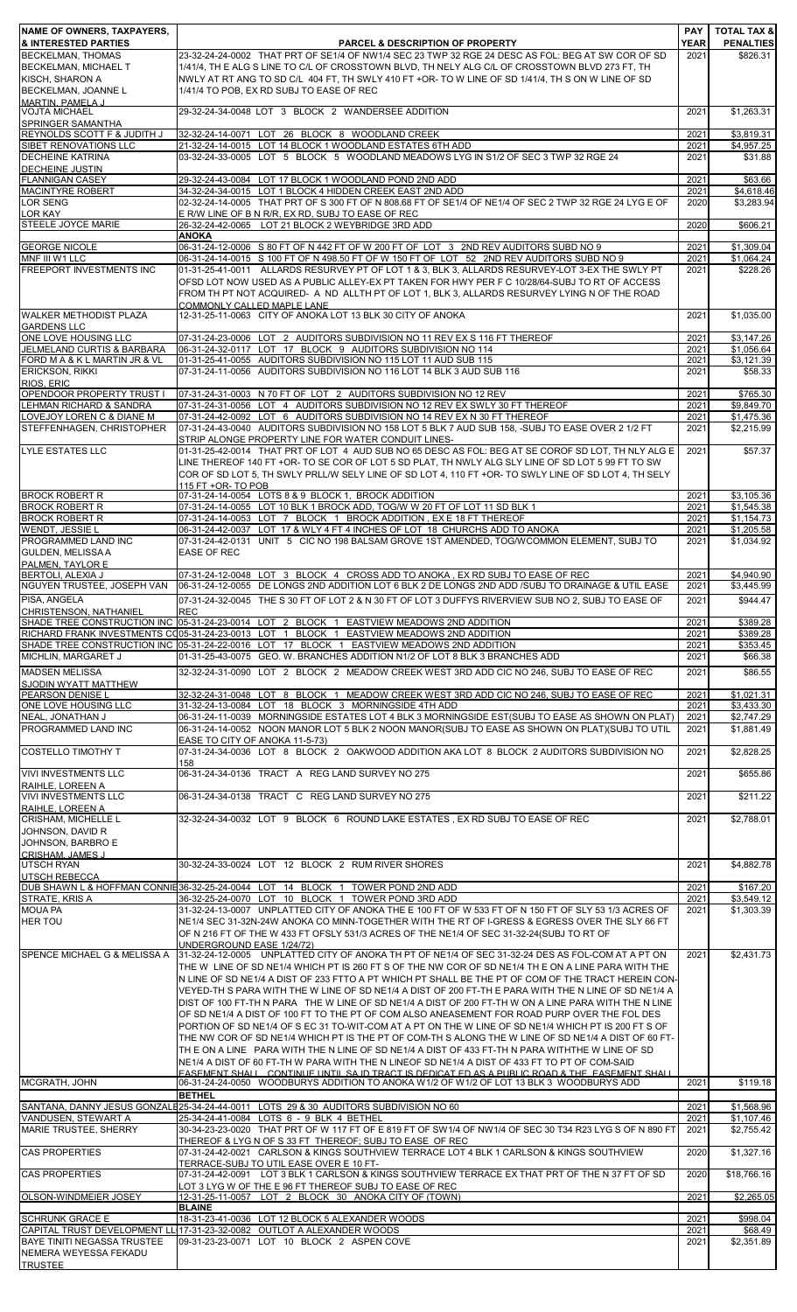| NAME OF OWNERS, TAXPAYERS,<br><b>&amp; INTERESTED PARTIES</b>          | <b>PARCEL &amp; DESCRIPTION OF PROPERTY</b>                                                                                                                                                                                                                                                                                                                                                                                                                                                                                                                                                                                                                                                                                                                                                                                                                                                                                                 | <b>PAY</b><br><b>YEAR</b> | <b>TOTAL TAX &amp;</b><br><b>PENALTIES</b> |
|------------------------------------------------------------------------|---------------------------------------------------------------------------------------------------------------------------------------------------------------------------------------------------------------------------------------------------------------------------------------------------------------------------------------------------------------------------------------------------------------------------------------------------------------------------------------------------------------------------------------------------------------------------------------------------------------------------------------------------------------------------------------------------------------------------------------------------------------------------------------------------------------------------------------------------------------------------------------------------------------------------------------------|---------------------------|--------------------------------------------|
| BECKELMAN, THOMAS                                                      | 23-32-24-24-0002 THAT PRT OF SE1/4 OF NW1/4 SEC 23 TWP 32 RGE 24 DESC AS FOL: BEG AT SW COR OF SD                                                                                                                                                                                                                                                                                                                                                                                                                                                                                                                                                                                                                                                                                                                                                                                                                                           | 2021                      | \$826.31                                   |
| BECKELMAN, MICHAEL T                                                   | 1/41/4. TH E ALG S LINE TO C/L OF CROSSTOWN BLVD, TH NELY ALG C/L OF CROSSTOWN BLVD 273 FT, TH                                                                                                                                                                                                                                                                                                                                                                                                                                                                                                                                                                                                                                                                                                                                                                                                                                              |                           |                                            |
| KISCH, SHARON A<br>BECKELMAN, JOANNE L                                 | NWLY AT RT ANG TO SD C/L 404 FT, TH SWLY 410 FT +OR- TO W LINE OF SD 1/41/4, TH S ON W LINE OF SD<br>1/41/4 TO POB, EX RD SUBJ TO EASE OF REC                                                                                                                                                                                                                                                                                                                                                                                                                                                                                                                                                                                                                                                                                                                                                                                               |                           |                                            |
| MARTIN PAMELA J                                                        |                                                                                                                                                                                                                                                                                                                                                                                                                                                                                                                                                                                                                                                                                                                                                                                                                                                                                                                                             |                           |                                            |
| <b>VOJTA MICHAEL</b><br><b>SPRINGER SAMANTHA</b>                       | 29-32-24-34-0048 LOT 3 BLOCK 2 WANDERSEE ADDITION                                                                                                                                                                                                                                                                                                                                                                                                                                                                                                                                                                                                                                                                                                                                                                                                                                                                                           | 2021                      | \$1,263.31                                 |
| REYNOLDS SCOTT F & JUDITH J                                            | 32-32-24-14-0071 LOT 26 BLOCK 8 WOODLAND CREEK                                                                                                                                                                                                                                                                                                                                                                                                                                                                                                                                                                                                                                                                                                                                                                                                                                                                                              | 2021                      | \$3,819.31                                 |
| SIBET RENOVATIONS LLC<br><b>DECHEINE KATRINA</b>                       | 21-32-24-14-0015 LOT 14 BLOCK 1 WOODLAND ESTATES 6TH ADD<br>03-32-24-33-0005 LOT 5 BLOCK 5 WOODLAND MEADOWS LYG IN S1/2 OF SEC 3 TWP 32 RGE 24                                                                                                                                                                                                                                                                                                                                                                                                                                                                                                                                                                                                                                                                                                                                                                                              | 2021<br>2021              | \$4,957.25<br>\$31.88                      |
| <b>DECHEINE JUSTIN</b>                                                 |                                                                                                                                                                                                                                                                                                                                                                                                                                                                                                                                                                                                                                                                                                                                                                                                                                                                                                                                             |                           |                                            |
| <b>FLANNIGAN CASEY</b><br><b>MACINTYRE ROBERT</b>                      | 29-32-24-43-0084 LOT 17 BLOCK 1 WOODLAND POND 2ND ADD<br>34-32-24-34-0015 LOT 1 BLOCK 4 HIDDEN CREEK EAST 2ND ADD                                                                                                                                                                                                                                                                                                                                                                                                                                                                                                                                                                                                                                                                                                                                                                                                                           | 2021<br>2021              | \$63.66<br>\$4,618.46                      |
| <b>LOR SENG</b>                                                        | 02-32-24-14-0005 THAT PRT OF S 300 FT OF N 808.68 FT OF SE1/4 OF NE1/4 OF SEC 2 TWP 32 RGE 24 LYG E OF                                                                                                                                                                                                                                                                                                                                                                                                                                                                                                                                                                                                                                                                                                                                                                                                                                      | 2020                      | \$3,283.94                                 |
| LOR KAY<br><b>STEELE JOYCE MARIE</b>                                   | E R/W LINE OF B N R/R. EX RD. SUBJ TO EASE OF REC                                                                                                                                                                                                                                                                                                                                                                                                                                                                                                                                                                                                                                                                                                                                                                                                                                                                                           | 2020                      | \$606.21                                   |
|                                                                        | 26-32-24-42-0065 LOT 21 BLOCK 2 WEYBRIDGE 3RD ADD<br><b>ANOKA</b>                                                                                                                                                                                                                                                                                                                                                                                                                                                                                                                                                                                                                                                                                                                                                                                                                                                                           |                           |                                            |
| <b>GEORGE NICOLE</b>                                                   | 06-31-24-12-0006 S 80 FT OF N 442 FT OF W 200 FT OF LOT 3 2ND REV AUDITORS SUBD NO 9                                                                                                                                                                                                                                                                                                                                                                                                                                                                                                                                                                                                                                                                                                                                                                                                                                                        | 2021                      | \$1,309.04                                 |
| MNF III W1 LLC<br><b>FREEPORT INVESTMENTS INC</b>                      | 06-31-24-14-0015 S 100 FT OF N 498.50 FT OF W 150 FT OF LOT 52 2ND REV AUDITORS SUBD NO 9<br>01-31-25-41-0011 ALLARDS RESURVEY PT OF LOT 1 & 3, BLK 3, ALLARDS RESURVEY-LOT 3-EX THE SWLY PT<br>OFSD LOT NOW USED AS A PUBLIC ALLEY-EX PT TAKEN FOR HWY PER F C 10/28/64-SUBJ TO RT OF ACCESS<br>FROM TH PT NOT ACQUIRED- A ND ALLTH PT OF LOT 1. BLK 3. ALLARDS RESURVEY LYING N OF THE ROAD                                                                                                                                                                                                                                                                                                                                                                                                                                                                                                                                               | 2021<br>2021              | \$1,064.24<br>\$228.26                     |
| <b>WALKER METHODIST PLAZA</b><br><b>GARDENS LLC</b>                    | COMMONLY CALLED MAPLE LANE<br>12-31-25-11-0063 CITY OF ANOKA LOT 13 BLK 30 CITY OF ANOKA                                                                                                                                                                                                                                                                                                                                                                                                                                                                                                                                                                                                                                                                                                                                                                                                                                                    | 2021                      | \$1,035.00                                 |
| ONE LOVE HOUSING LLC                                                   | 07-31-24-23-0006 LOT 2 AUDITORS SUBDIVISION NO 11 REV EX S 116 FT THEREOF                                                                                                                                                                                                                                                                                                                                                                                                                                                                                                                                                                                                                                                                                                                                                                                                                                                                   | 2021                      | $\overline{3,}147.26$                      |
| JELMELAND CURTIS & BARBARA<br>FORD M A & K L MARTIN JR & VL            | 06-31-24-32-0117 LOT 17 BLOCK 9 AUDITORS SUBDIVISION NO 114<br>01-31-25-41-0055 AUDITORS SUBDIVISION NO 115 LOT 11 AUD SUB 115                                                                                                                                                                                                                                                                                                                                                                                                                                                                                                                                                                                                                                                                                                                                                                                                              | 2021<br>2021              | \$1,056.64<br>\$3,121.39                   |
| ERICKSON, RIKKI                                                        | 07-31-24-11-0056 AUDITORS SUBDIVISION NO 116 LOT 14 BLK 3 AUD SUB 116                                                                                                                                                                                                                                                                                                                                                                                                                                                                                                                                                                                                                                                                                                                                                                                                                                                                       | 2021                      | \$58.33                                    |
| RIOS, ERIC                                                             |                                                                                                                                                                                                                                                                                                                                                                                                                                                                                                                                                                                                                                                                                                                                                                                                                                                                                                                                             |                           |                                            |
| OPENDOOR PROPERTY TRUST I<br><b>LEHMAN RICHARD &amp; SANDRA</b>        | 07-31-24-31-0003 N 70 FT OF LOT 2 AUDITORS SUBDIVISION NO 12 REV<br>07-31-24-31-0056 LOT 4 AUDITORS SUBDIVISION NO 12 REV EX SWLY 30 FT THEREOF                                                                                                                                                                                                                                                                                                                                                                                                                                                                                                                                                                                                                                                                                                                                                                                             | 2021<br>2021              | \$765.30<br>\$9,849.70                     |
| LOVEJOY LOREN C & DIANE M                                              | 07-31-24-42-0092 LOT 6 AUDITORS SUBDIVISION NO 14 REV EX N 30 FT THEREOF                                                                                                                                                                                                                                                                                                                                                                                                                                                                                                                                                                                                                                                                                                                                                                                                                                                                    | 2021                      | \$1,475.36                                 |
| STEFFENHAGEN, CHRISTOPHER                                              | 07-31-24-43-0040 AUDITORS SUBDIVISION NO 158 LOT 5 BLK 7 AUD SUB 158, -SUBJ TO EASE OVER 2 1/2 FT<br>STRIP ALONGE PROPERTY LINE FOR WATER CONDUIT LINES-                                                                                                                                                                                                                                                                                                                                                                                                                                                                                                                                                                                                                                                                                                                                                                                    | 2021                      | \$2,215.99                                 |
| <b>LYLE ESTATES LLC</b>                                                | 01-31-25-42-0014 THAT PRT OF LOT 4 AUD SUB NO 65 DESC AS FOL: BEG AT SE COROF SD LOT, TH NLY ALG E<br>LINE THEREOF 140 FT +OR- TO SE COR OF LOT 5 SD PLAT, TH NWLY ALG SLY LINE OF SD LOT 5 99 FT TO SW<br>COR OF SD LOT 5, TH SWLY PRLL/W SELY LINE OF SD LOT 4, 110 FT +OR- TO SWLY LINE OF SD LOT 4, TH SELY<br>115 FT +OR- TO POB                                                                                                                                                                                                                                                                                                                                                                                                                                                                                                                                                                                                       | 2021                      | \$57.37                                    |
| <b>BROCK ROBERT R</b>                                                  | 07-31-24-14-0054 LOTS 8 & 9 BLOCK 1, BROCK ADDITION                                                                                                                                                                                                                                                                                                                                                                                                                                                                                                                                                                                                                                                                                                                                                                                                                                                                                         | 2021                      | \$3,105.36                                 |
| <b>BROCK ROBERT R</b><br><b>BROCK ROBERT R</b>                         | 07-31-24-14-0055 LOT 10 BLK 1 BROCK ADD, TOG/W W 20 FT OF LOT 11 SD BLK 1<br>07-31-24-14-0053 LOT 7 BLOCK 1 BROCK ADDITION, EX E 18 FT THEREOF                                                                                                                                                                                                                                                                                                                                                                                                                                                                                                                                                                                                                                                                                                                                                                                              | 2021<br>2021              | \$1,545.38<br>\$1,154.73                   |
| <b>WENDT, JESSIE L</b>                                                 | 06-31-24-42-0037 LOT 17 & WLY 4 FT 4 INCHES OF LOT 18 CHURCHS ADD TO ANOKA                                                                                                                                                                                                                                                                                                                                                                                                                                                                                                                                                                                                                                                                                                                                                                                                                                                                  | 2021                      | \$1,205.58                                 |
| PROGRAMMED LAND INC                                                    | 07-31-24-42-0131 UNIT 5 CIC NO 198 BALSAM GROVE 1ST AMENDED, TOG/WCOMMON ELEMENT, SUBJ TO                                                                                                                                                                                                                                                                                                                                                                                                                                                                                                                                                                                                                                                                                                                                                                                                                                                   | 2021                      | \$1,034.92                                 |
| GULDEN, MELISSA A<br>PALMEN, TAYLOR E                                  | <b>EASE OF REC</b>                                                                                                                                                                                                                                                                                                                                                                                                                                                                                                                                                                                                                                                                                                                                                                                                                                                                                                                          |                           |                                            |
| BERTOLI, ALEXIA J                                                      | 07-31-24-12-0048 LOT 3 BLOCK 4 CROSS ADD TO ANOKA, EX RD SUBJ TO EASE OF REC                                                                                                                                                                                                                                                                                                                                                                                                                                                                                                                                                                                                                                                                                                                                                                                                                                                                | 2021                      | \$4,940.90                                 |
| NGUYEN TRUSTEE, JOSEPH VAN<br>PISA, ANGELA                             | 06-31-24-12-0055 DE LONGS 2ND ADDITION LOT 6 BLK 2 DE LONGS 2ND ADD /SUBJ TO DRAINAGE & UTIL EASE<br>07-31-24-32-0045 THE S 30 FT OF LOT 2 & N 30 FT OF LOT 3 DUFFYS RIVERVIEW SUB NO 2, SUBJ TO EASE OF                                                                                                                                                                                                                                                                                                                                                                                                                                                                                                                                                                                                                                                                                                                                    | 2021<br>2021              | \$3,445.99<br>\$944.47                     |
| ICHRISTENSON, NATHANIEL                                                | <b>IREC</b>                                                                                                                                                                                                                                                                                                                                                                                                                                                                                                                                                                                                                                                                                                                                                                                                                                                                                                                                 |                           |                                            |
|                                                                        | SHADE TREE CONSTRUCTION INC 05-31-24-23-0014 LOT 2 BLOCK 1 EASTVIEW MEADOWS 2ND ADDITION                                                                                                                                                                                                                                                                                                                                                                                                                                                                                                                                                                                                                                                                                                                                                                                                                                                    | 2021                      | \$389.28                                   |
|                                                                        | RICHARD FRANK INVESTMENTS CO 05-31-24-23-0013 LOT 1 BLOCK 1 EASTVIEW MEADOWS 2ND ADDITION<br>SHADE TREE CONSTRUCTION INC 05-31-24-22-0016 LOT 17 BLOCK 1 EASTVIEW MEADOWS 2ND ADDITION                                                                                                                                                                                                                                                                                                                                                                                                                                                                                                                                                                                                                                                                                                                                                      | 2021<br>2021              | \$389.28<br>\$353.45                       |
| MICHLIN, MARGARET J                                                    | 01-31-25-43-0075 GEO. W. BRANCHES ADDITION N1/2 OF LOT 8 BLK 3 BRANCHES ADD                                                                                                                                                                                                                                                                                                                                                                                                                                                                                                                                                                                                                                                                                                                                                                                                                                                                 | 2021                      | \$66.38                                    |
| <b>MADSEN MELISSA</b>                                                  | 32-32-24-31-0090 LOT 2 BLOCK 2 MEADOW CREEK WEST 3RD ADD CIC NO 246, SUBJ TO EASE OF REC                                                                                                                                                                                                                                                                                                                                                                                                                                                                                                                                                                                                                                                                                                                                                                                                                                                    | 2021                      | \$86.55                                    |
| SJODIN WYATT MATTHEW<br><b>PEARSON DENISE L</b>                        | 32-32-24-31-0048 LOT 8 BLOCK 1 MEADOW CREEK WEST 3RD ADD CIC NO 246, SUBJ TO EASE OF REC                                                                                                                                                                                                                                                                                                                                                                                                                                                                                                                                                                                                                                                                                                                                                                                                                                                    | 2021                      | \$1.021.31                                 |
| ONE LOVE HOUSING LLC                                                   | 31-32-24-13-0084 LOT 18 BLOCK 3 MORNINGSIDE 4TH ADD                                                                                                                                                                                                                                                                                                                                                                                                                                                                                                                                                                                                                                                                                                                                                                                                                                                                                         | 2021                      | \$3,433.30                                 |
| NEAL, JONATHAN J<br>PROGRAMMED LAND INC                                | 06-31-24-11-0039 MORNINGSIDE ESTATES LOT 4 BLK 3 MORNINGSIDE EST(SUBJ TO EASE AS SHOWN ON PLAT)<br>06-31-24-14-0052 NOON MANOR LOT 5 BLK 2 NOON MANOR(SUBJ TO EASE AS SHOWN ON PLAT)(SUBJ TO UTIL                                                                                                                                                                                                                                                                                                                                                                                                                                                                                                                                                                                                                                                                                                                                           | 2021<br>2021              | \$2,747.29<br>\$1,881.49                   |
| <b>COSTELLO TIMOTHY T</b>                                              | EASE TO CITY OF ANOKA 11-5-73)<br>07-31-24-34-0036 LOT 8 BLOCK 2 OAKWOOD ADDITION AKA LOT 8 BLOCK 2 AUDITORS SUBDIVISION NO<br>158                                                                                                                                                                                                                                                                                                                                                                                                                                                                                                                                                                                                                                                                                                                                                                                                          | 2021                      | \$2,828.25                                 |
| <b>VIVI INVESTMENTS LLC</b>                                            | 06-31-24-34-0136 TRACT A REG LAND SURVEY NO 275                                                                                                                                                                                                                                                                                                                                                                                                                                                                                                                                                                                                                                                                                                                                                                                                                                                                                             | 2021                      | \$655.86                                   |
| RAIHLE, LOREEN A<br><b>VIVI INVESTMENTS LLC</b>                        | 06-31-24-34-0138 TRACT C REG LAND SURVEY NO 275                                                                                                                                                                                                                                                                                                                                                                                                                                                                                                                                                                                                                                                                                                                                                                                                                                                                                             | 2021                      | \$211.22                                   |
| RAIHLE, LOREEN A                                                       |                                                                                                                                                                                                                                                                                                                                                                                                                                                                                                                                                                                                                                                                                                                                                                                                                                                                                                                                             |                           |                                            |
| <b>CRISHAM, MICHELLE L</b><br>JOHNSON, DAVID R<br>JOHNSON, BARBRO E    | 32-32-24-34-0032 LOT 9 BLOCK 6 ROUND LAKE ESTATES, EX RD SUBJ TO EASE OF REC                                                                                                                                                                                                                                                                                                                                                                                                                                                                                                                                                                                                                                                                                                                                                                                                                                                                | 2021                      | \$2,788.01                                 |
| <b>CRISHAM, JAMES J</b>                                                |                                                                                                                                                                                                                                                                                                                                                                                                                                                                                                                                                                                                                                                                                                                                                                                                                                                                                                                                             |                           |                                            |
| <b>UTSCH RYAN</b><br><b>UTSCH REBECCA</b>                              | 30-32-24-33-0024 LOT 12 BLOCK 2 RUM RIVER SHORES                                                                                                                                                                                                                                                                                                                                                                                                                                                                                                                                                                                                                                                                                                                                                                                                                                                                                            | 2021                      | \$4,882.78                                 |
|                                                                        | DUB SHAWN L & HOFFMAN CONNIE 36-32-25-24-0044 LOT 14 BLOCK 1 TOWER POND 2ND ADD                                                                                                                                                                                                                                                                                                                                                                                                                                                                                                                                                                                                                                                                                                                                                                                                                                                             | 2021                      | \$167.20                                   |
| STRATE, KRIS A<br><b>MOUA PA</b>                                       | 36-32-25-24-0070 LOT 10 BLOCK 1 TOWER POND 3RD ADD<br>31-32-24-13-0007 UNPLATTED CITY OF ANOKA THE E 100 FT OF W 533 FT OF N 150 FT OF SLY 53 1/3 ACRES OF                                                                                                                                                                                                                                                                                                                                                                                                                                                                                                                                                                                                                                                                                                                                                                                  | 2021<br>2021              | \$3,549.12<br>\$1,303.39                   |
| <b>HER TOU</b>                                                         | NE1/4 SEC 31-32N-24W ANOKA CO MINN-TOGETHER WITH THE RT OF I-GRESS & EGRESS OVER THE SLY 66 FT                                                                                                                                                                                                                                                                                                                                                                                                                                                                                                                                                                                                                                                                                                                                                                                                                                              |                           |                                            |
|                                                                        | OF N 216 FT OF THE W 433 FT OFSLY 531/3 ACRES OF THE NE1/4 OF SEC 31-32-24(SUBJ TO RT OF<br>UNDERGROUND EASE 1/24/72)                                                                                                                                                                                                                                                                                                                                                                                                                                                                                                                                                                                                                                                                                                                                                                                                                       |                           |                                            |
| SPENCE MICHAEL G & MELISSA A                                           | 31-32-24-12-0005 UNPLATTED CITY OF ANOKA TH PT OF NE1/4 OF SEC 31-32-24 DES AS FOL-COM AT A PT ON                                                                                                                                                                                                                                                                                                                                                                                                                                                                                                                                                                                                                                                                                                                                                                                                                                           | 2021                      | \$2,431.73                                 |
|                                                                        | THE W LINE OF SD NE1/4 WHICH PT IS 260 FT S OF THE NW COR OF SD NE1/4 TH E ON A LINE PARA WITH THE<br>N LINE OF SD NE1/4 A DIST OF 233 FTTO A PT WHICH PT SHALL BE THE PT OF COM OF THE TRACT HEREIN CON-<br>VEYED-TH S PARA WITH THE W LINE OF SD NE1/4 A DIST OF 200 FT-TH E PARA WITH THE N LINE OF SD NE1/4 A<br>DIST OF 100 FT-TH N PARA THE W LINE OF SD NE1/4 A DIST OF 200 FT-TH W ON A LINE PARA WITH THE N LINE<br>OF SD NE1/4 A DIST OF 100 FT TO THE PT OF COM ALSO ANEASEMENT FOR ROAD PURP OVER THE FOL DES<br>PORTION OF SD NE1/4 OF S EC 31 TO-WIT-COM AT A PT ON THE W LINE OF SD NE1/4 WHICH PT IS 200 FT S OF<br>THE NW COR OF SD NE1/4 WHICH PT IS THE PT OF COM-TH S ALONG THE W LINE OF SD NE1/4 A DIST OF 60 FT-<br>TH E ON A LINE PARA WITH THE N LINE OF SD NE1/4 A DIST OF 433 FT-TH N PARA WITHTHE W LINE OF SD<br>NE1/4 A DIST OF 60 FT-TH W PARA WITH THE N LINEOF SD NE1/4 A DIST OF 433 FT TO PT OF COM-SAID |                           |                                            |
| MCGRATH, JOHN                                                          | FASEMENT SHALL CONTINUE UNTIL SA ID TRACT IS DEDICAT ED AS A PUBLIC ROAD & THE FASEMENT SHALL<br>06-31-24-24-0050 WOODBURYS ADDITION TO ANOKA W1/2 OF W1/2 OF LOT 13 BLK 3 WOODBURYS ADD                                                                                                                                                                                                                                                                                                                                                                                                                                                                                                                                                                                                                                                                                                                                                    | 2021                      | \$119.18                                   |
|                                                                        | <b>BETHEL</b>                                                                                                                                                                                                                                                                                                                                                                                                                                                                                                                                                                                                                                                                                                                                                                                                                                                                                                                               |                           |                                            |
| VANDUSEN, STEWART A                                                    | SANTANA, DANNY JESUS GONZALE25-34-24-44-0011 LOTS 29 & 30 AUDITORS SUBDIVISION NO 60<br>25-34-24-41-0084 LOTS 6 - 9 BLK 4 BETHEL                                                                                                                                                                                                                                                                                                                                                                                                                                                                                                                                                                                                                                                                                                                                                                                                            | 2021<br>2021              | \$1,568.96<br>\$1.107.46                   |
| <b>MARIE TRUSTEE, SHERRY</b>                                           | 30-34-23-23-0020 THAT PRT OF W 117 FT OF E 819 FT OF SW1/4 OF NW1/4 OF SEC 30 T34 R23 LYG S OF N 890 FT                                                                                                                                                                                                                                                                                                                                                                                                                                                                                                                                                                                                                                                                                                                                                                                                                                     | 2021                      | \$2,755.42                                 |
| <b>CAS PROPERTIES</b>                                                  | THEREOF & LYG N OF S 33 FT THEREOF; SUBJ TO EASE OF REC<br>07-31-24-42-0021 CARLSON & KINGS SOUTHVIEW TERRACE LOT 4 BLK 1 CARLSON & KINGS SOUTHVIEW                                                                                                                                                                                                                                                                                                                                                                                                                                                                                                                                                                                                                                                                                                                                                                                         | 2020                      | \$1,327.16                                 |
|                                                                        | TERRACE-SUBJ TO UTIL EASE OVER E 10 FT-                                                                                                                                                                                                                                                                                                                                                                                                                                                                                                                                                                                                                                                                                                                                                                                                                                                                                                     |                           |                                            |
| <b>CAS PROPERTIES</b>                                                  | 07-31-24-42-0091 LOT 3 BLK 1 CARLSON & KINGS SOUTHVIEW TERRACE EX THAT PRT OF THE N 37 FT OF SD<br>LOT 3 LYG W OF THE E 96 FT THEREOF SUBJ TO EASE OF REC                                                                                                                                                                                                                                                                                                                                                                                                                                                                                                                                                                                                                                                                                                                                                                                   | 2020                      | \$18,766.16                                |
| OLSON-WINDMEIER JOSEY                                                  | 12-31-25-11-0057 LOT 2 BLOCK 30 ANOKA CITY OF (TOWN)<br><b>BLAINE</b>                                                                                                                                                                                                                                                                                                                                                                                                                                                                                                                                                                                                                                                                                                                                                                                                                                                                       | 2021                      | \$2,265.05                                 |
| <b>SCHRUNK GRACE E</b>                                                 | 18-31-23-41-0036 LOT 12 BLOCK 5 ALEXANDER WOODS                                                                                                                                                                                                                                                                                                                                                                                                                                                                                                                                                                                                                                                                                                                                                                                                                                                                                             | 2021                      | \$998.04                                   |
| BAYE TINITI NEGASSA TRUSTEE<br>NEMERA WEYESSA FEKADU<br><b>TRUSTEE</b> | CAPITAL TRUST DEVELOPMENT LL 17-31-23-32-0082 OUTLOT A ALEXANDER WOODS<br>09-31-23-23-0071 LOT 10 BLOCK 2 ASPEN COVE                                                                                                                                                                                                                                                                                                                                                                                                                                                                                                                                                                                                                                                                                                                                                                                                                        | 2021<br>2021              | \$68.49<br>\$2,351.89                      |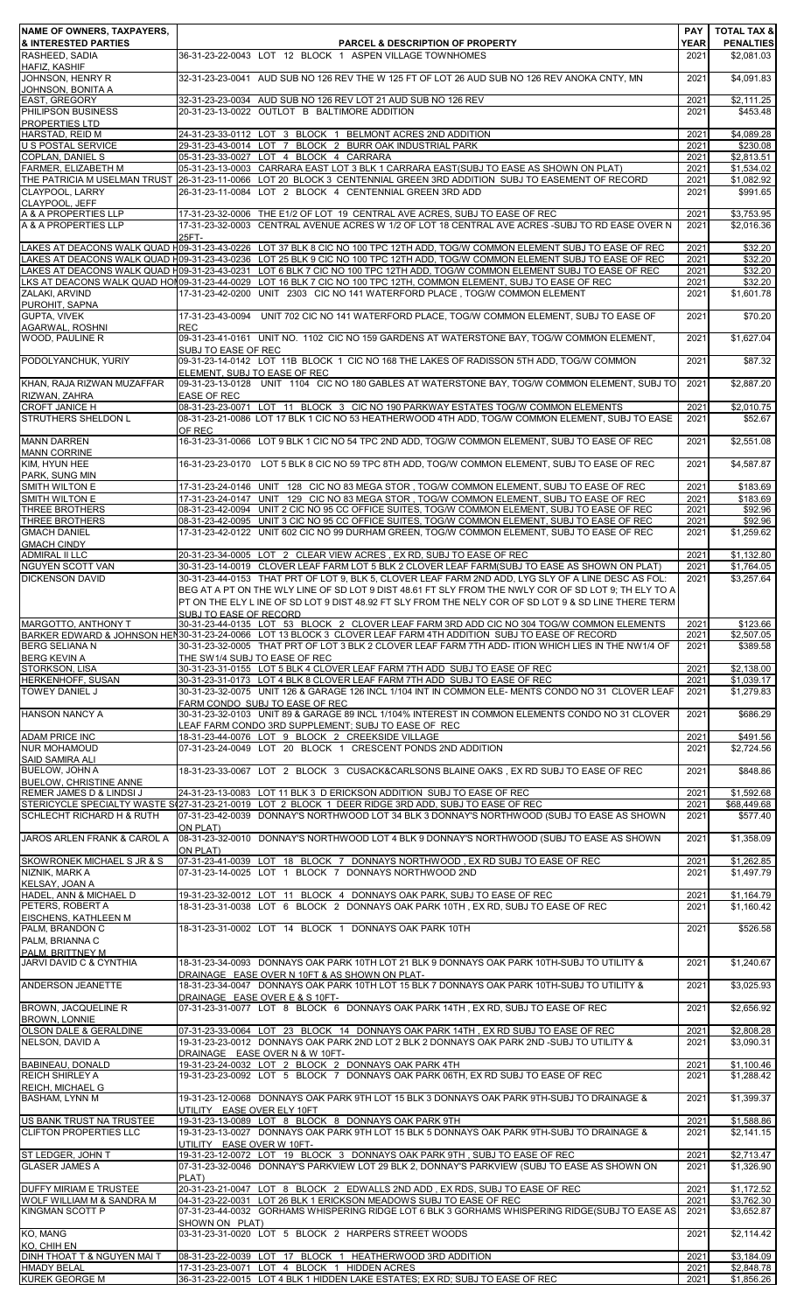| NAME OF OWNERS, TAXPAYERS,                                |                                                                                                                                                                                                                                                   | <b>PAY</b>   | <b>TOTAL TAX &amp;</b>   |
|-----------------------------------------------------------|---------------------------------------------------------------------------------------------------------------------------------------------------------------------------------------------------------------------------------------------------|--------------|--------------------------|
| <b>&amp; INTERESTED PARTIES</b>                           | <b>PARCEL &amp; DESCRIPTION OF PROPERTY</b>                                                                                                                                                                                                       | <b>YEAR</b>  | <b>PENALTIES</b>         |
| RASHEED, SADIA<br>HAFIZ, KASHIF                           | 36-31-23-22-0043 LOT 12 BLOCK 1 ASPEN VILLAGE TOWNHOMES                                                                                                                                                                                           | 2021         | \$2,081.03               |
| JOHNSON, HENRY R                                          | 32-31-23-23-0041 AUD SUB NO 126 REV THE W 125 FT OF LOT 26 AUD SUB NO 126 REV ANOKA CNTY, MN                                                                                                                                                      | 2021         | \$4,091.83               |
| JOHNSON, BONITA A<br>EAST, GREGORY                        | 32-31-23-23-0034 AUD SUB NO 126 REV LOT 21 AUD SUB NO 126 REV                                                                                                                                                                                     | 2021         | \$2,111.25               |
| PHILIPSON BUSINESS                                        | 20-31-23-13-0022 OUTLOT B BALTIMORE ADDITION                                                                                                                                                                                                      | 2021         | \$453.48                 |
| <b>PROPERTIES LTD</b><br>HARSTAD, REID M                  | 24-31-23-33-0112 LOT 3 BLOCK 1 BELMONT ACRES 2ND ADDITION                                                                                                                                                                                         | 2021         | \$4,089.28               |
| <b>U S POSTAL SERVICE</b>                                 | 29-31-23-43-0014 LOT 7 BLOCK 2 BURR OAK INDUSTRIAL PARK                                                                                                                                                                                           | 2021         | \$230.08                 |
| <b>COPLAN. DANIEL S</b><br>FARMER, ELIZABETH M            | 05-31-23-33-0027 LOT 4 BLOCK 4 CARRARA<br>05-31-23-13-0003 CARRARA EAST LOT 3 BLK 1 CARRARA EAST(SUBJ TO EASE AS SHOWN ON PLAT)                                                                                                                   | 2021<br>2021 | \$2,813.51<br>\$1,534.02 |
|                                                           | THE PATRICIA M USELMAN TRUST 26-31-23-11-0066 LOT 20 BLOCK 3 CENTENNIAL GREEN 3RD ADDITION SUBJ TO EASEMENT OF RECORD                                                                                                                             | 2021         | \$1,082.92               |
| CLAYPOOL, LARRY<br>CLAYPOOL, JEFF                         | 26-31-23-11-0084 LOT 2 BLOCK 4 CENTENNIAL GREEN 3RD ADD                                                                                                                                                                                           | 2021         | \$991.65                 |
| A & A PROPERTIES LLP                                      | 17-31-23-32-0006 THE E1/2 OF LOT 19 CENTRAL AVE ACRES, SUBJ TO EASE OF REC                                                                                                                                                                        | 2021         | \$3,753.95               |
| A & A PROPERTIES LLP                                      | 17-31-23-32-0003 CENTRAL AVENUE ACRES W 1/2 OF LOT 18 CENTRAL AVE ACRES -SUBJ TO RD EASE OVER N<br>25FT-                                                                                                                                          | 2021         | \$2,016.36               |
|                                                           | LAKES AT DEACONS WALK QUAD H09-31-23-43-0226 LOT 37 BLK 8 CIC NO 100 TPC 12TH ADD, TOG/W COMMON ELEMENT SUBJ TO EASE OF REC                                                                                                                       | 2021         | \$32.20                  |
|                                                           | LAKES AT DEACONS WALK QUAD H09-31-23-43-0236 LOT 25 BLK 9 CIC NO 100 TPC 12TH ADD, TOG/W COMMON ELEMENT SUBJ TO EASE OF REC                                                                                                                       | 2021         | \$32.20                  |
|                                                           | LAKES AT DEACONS WALK QUAD H09-31-23-43-0231 LOT 6 BLK 7 CIC NO 100 TPC 12TH ADD, TOG/W COMMON ELEMENT SUBJ TO EASE OF REC<br>LKS AT DEACONS WALK QUAD HOI 09-31-23-44-0029 LOT 16 BLK 7 CIC NO 100 TPC 12TH, COMMON ELEMENT, SUBJ TO EASE OF REC | 2021<br>2021 | \$32.20<br>\$32.20       |
| ZALAKI, ARVIND                                            | 17-31-23-42-0200 UNIT 2303 CIC NO 141 WATERFORD PLACE, TOG/W COMMON ELEMENT                                                                                                                                                                       | 2021         | \$1,601.78               |
| PUROHIT, SAPNA<br><b>GUPTA, VIVEK</b>                     | 17-31-23-43-0094 UNIT 702 CIC NO 141 WATERFORD PLACE, TOG/W COMMON ELEMENT, SUBJ TO EASE OF                                                                                                                                                       | 2021         | \$70.20                  |
| <b>AGARWAL, ROSHNI</b>                                    | <b>REC</b>                                                                                                                                                                                                                                        |              |                          |
| <b>WOOD, PAULINE R</b>                                    | 09-31-23-41-0161 UNIT NO. 1102 CIC NO 159 GARDENS AT WATERSTONE BAY, TOG/W COMMON ELEMENT.<br>SUBJ TO EASE OF REC                                                                                                                                 | 2021         | \$1,627.04               |
| PODOLYANCHUK, YURIY                                       | 09-31-23-14-0142 LOT 11B BLOCK 1 CIC NO 168 THE LAKES OF RADISSON 5TH ADD. TOG/W COMMON                                                                                                                                                           | 2021         | \$87.32                  |
| KHAN, RAJA RIZWAN MUZAFFAR                                | ELEMENT, SUBJ TO EASE OF REC<br>09-31-23-13-0128 UNIT 1104 CIC NO 180 GABLES AT WATERSTONE BAY, TOG/W COMMON ELEMENT, SUBJ TO                                                                                                                     | 2021         | \$2,887.20               |
| RIZWAN, ZAHRA                                             | <b>EASE OF REC</b>                                                                                                                                                                                                                                |              |                          |
| <b>CROFT JANICE H</b><br><b>STRUTHERS SHELDON L</b>       | 08-31-23-23-0071 LOT 11 BLOCK 3 CIC NO 190 PARKWAY ESTATES TOG/W COMMON ELEMENTS<br>08-31-23-21-0086 LOT 17 BLK 1 CIC NO 53 HEATHERWOOD 4TH ADD, TOG/W COMMON ELEMENT, SUBJ TO EASE                                                               | 2021<br>2021 | \$2,010.75<br>\$52.67    |
|                                                           | OF REC                                                                                                                                                                                                                                            |              |                          |
| <b>MANN DARREN</b>                                        | 16-31-23-31-0066 LOT 9 BLK 1 CIC NO 54 TPC 2ND ADD, TOG/W COMMON ELEMENT, SUBJ TO EASE OF REC                                                                                                                                                     | 2021         | \$2,551.08               |
| <b>MANN CORRINE</b><br>KIM, HYUN HEE                      | 16-31-23-23-0170 LOT 5 BLK 8 CIC NO 59 TPC 8TH ADD, TOG/W COMMON ELEMENT, SUBJ TO EASE OF REC                                                                                                                                                     | 2021         | \$4,587.87               |
| PARK, SUNG MIN                                            |                                                                                                                                                                                                                                                   |              |                          |
| <b>SMITH WILTON E</b><br><b>SMITH WILTON E</b>            | 17-31-23-24-0146 UNIT 128 CIC NO 83 MEGA STOR, TOG/W COMMON ELEMENT, SUBJ TO EASE OF REC<br>17-31-23-24-0147 UNIT 129 CIC NO 83 MEGA STOR, TOG/W COMMON ELEMENT, SUBJ TO EASE OF REC                                                              | 2021<br>2021 | \$183.69<br>\$183.69     |
| THREE BROTHERS                                            | 08-31-23-42-0094 UNIT 2 CIC NO 95 CC OFFICE SUITES, TOG/W COMMON ELEMENT, SUBJ TO EASE OF REC                                                                                                                                                     | 2021         | \$92.96                  |
| THREE BROTHERS<br><b>GMACH DANIEL</b>                     | 08-31-23-42-0095 UNIT 3 CIC NO 95 CC OFFICE SUITES, TOG/W COMMON ELEMENT, SUBJ TO EASE OF REC<br>17-31-23-42-0122 UNIT 602 CIC NO 99 DURHAM GREEN, TOG/W COMMON ELEMENT, SUBJ TO EASE OF REC                                                      | 2021<br>2021 | \$92.96<br>\$1,259.62    |
| <b>GMACH CINDY</b>                                        |                                                                                                                                                                                                                                                   |              |                          |
| <b>ADMIRAL II LLC</b><br><b>NGUYEN SCOTT VAN</b>          | 20-31-23-34-0005 LOT 2 CLEAR VIEW ACRES, EX RD, SUBJ TO EASE OF REC<br>30-31-23-14-0019 CLOVER LEAF FARM LOT 5 BLK 2 CLOVER LEAF FARM(SUBJ TO EASE AS SHOWN ON PLAT)                                                                              | 2021<br>2021 | \$1,132.80<br>\$1,764.05 |
| <b>DICKENSON DAVID</b>                                    | 30-31-23-44-0153 THAT PRT OF LOT 9, BLK 5, CLOVER LEAF FARM 2ND ADD, LYG SLY OF A LINE DESC AS FOL:                                                                                                                                               | 2021         | \$3,257.64               |
|                                                           | BEG AT A PT ON THE WLY LINE OF SD LOT 9 DIST 48.61 FT SLY FROM THE NWLY COR OF SD LOT 9; TH ELY TO A                                                                                                                                              |              |                          |
|                                                           | PT ON THE ELY L INE OF SD LOT 9 DIST 48.92 FT SLY FROM THE NELY COR OF SD LOT 9 & SD LINE THERE TERM<br>SUBJ TO EASE OF RECORD                                                                                                                    |              |                          |
| <b>MARGOTTO, ANTHONY T</b>                                | 30-31-23-44-0135 LOT 53 BLOCK 2 CLOVER LEAF FARM 3RD ADD CIC NO 304 TOG/W COMMON ELEMENTS                                                                                                                                                         | 2021         | \$123.66                 |
| <b>BERG SELIANA N</b>                                     | BARKER EDWARD & JOHNSON HEN30-31-23-24-0066 LOT 13 BLOCK 3 CLOVER LEAF FARM 4TH ADDITION SUBJ TO EASE OF RECORD<br>30-31-23-32-0005 THAT PRT OF LOT 3 BLK 2 CLOVER LEAF FARM 7TH ADD- ITION WHICH LIES IN THE NW1/4 OF                            | 2021<br>2021 | \$2,507.05<br>\$389.58   |
| <b>BERG KEVIN A</b>                                       | THE SW1/4 SUBJ TO EASE OF REC                                                                                                                                                                                                                     |              |                          |
| <b>STORKSON, LISA</b><br><b>HERKENHOFF, SUSAN</b>         | 30-31-23-31-0155 LOT 5 BLK 4 CLOVER LEAF FARM 7TH ADD SUBJ TO EASE OF REC<br>30-31-23-31-0173 LOT 4 BLK 8 CLOVER LEAF FARM 7TH ADD SUBJ TO EASE OF REC                                                                                            | 2021<br>2021 | \$2.138.00<br>\$1,039.17 |
| <b>TOWEY DANIEL J</b>                                     | 30-31-23-32-0075 UNIT 126 & GARAGE 126 INCL 1/104 INT IN COMMON ELE- MENTS CONDO NO 31 CLOVER LEAF                                                                                                                                                | 2021         | \$1,279.83               |
|                                                           | FARM CONDO SUBJ TO EASE OF REC<br>30-31-23-32-0103 UNIT 89 & GARAGE 89 INCL 1/104% INTEREST IN COMMON ELEMENTS CONDO NO 31 CLOVER                                                                                                                 |              | \$686.29                 |
| <b>HANSON NANCY A</b>                                     | LEAF FARM CONDO 3RD SUPPLEMENT; SUBJ TO EASE OF REC                                                                                                                                                                                               | 2021         |                          |
| <b>ADAM PRICE INC</b>                                     | 18-31-23-44-0076 LOT 9 BLOCK 2 CREEKSIDE VILLAGE                                                                                                                                                                                                  | 2021         | \$491.56                 |
| <b>NUR MOHAMOUD</b><br><b>SAID SAMIRA ALI</b>             | 07-31-23-24-0049 LOT 20 BLOCK 1 CRESCENT PONDS 2ND ADDITION                                                                                                                                                                                       | 2021         | \$2,724.56               |
| <b>BUELOW, JOHN A</b>                                     | 18-31-23-33-0067 LOT 2 BLOCK 3 CUSACK&CARLSONS BLAINE OAKS, EX RD SUBJ TO EASE OF REC                                                                                                                                                             | 2021         | \$848.86                 |
| <b>BUELOW, CHRISTINE ANNE</b><br>REMER JAMES D & LINDSI J | 24-31-23-13-0083 LOT 11 BLK 3 D ERICKSON ADDITION SUBJ TO EASE OF REC                                                                                                                                                                             | 2021         | \$1,592.68               |
|                                                           | STERICYCLE SPECIALTY WASTE S(27-31-23-21-0019 LOT 2 BLOCK 1 DEER RIDGE 3RD ADD, SUBJ TO EASE OF REC                                                                                                                                               | 2021         | \$68,449.68              |
| <b>SCHLECHT RICHARD H &amp; RUTH</b>                      | 07-31-23-42-0039 DONNAY'S NORTHWOOD LOT 34 BLK 3 DONNAY'S NORTHWOOD (SUBJ TO EASE AS SHOWN<br>ON PLAT)                                                                                                                                            | 2021         | \$577.40                 |
| JAROS ARLEN FRANK & CAROL A                               | 08-31-23-32-0010 DONNAY'S NORTHWOOD LOT 4 BLK 9 DONNAY'S NORTHWOOD (SUBJ TO EASE AS SHOWN                                                                                                                                                         | 2021         | \$1,358.09               |
| SKOWRONEK MICHAEL S JR & S                                | <b>ON PLAT)</b><br>07-31-23-41-0039 LOT 18 BLOCK 7 DONNAYS NORTHWOOD, EX RD SUBJ TO EASE OF REC                                                                                                                                                   | 2021         | \$1,262.85               |
| NIZNIK, MARK A                                            | 07-31-23-14-0025 LOT 1 BLOCK 7 DONNAYS NORTHWOOD 2ND                                                                                                                                                                                              | 2021         | \$1,497.79               |
| KELSAY, JOAN A                                            |                                                                                                                                                                                                                                                   |              |                          |
| HADEL, ANN & MICHAEL D<br>PETERS, ROBERT A                | 19-31-23-32-0012 LOT 11 BLOCK 4 DONNAYS OAK PARK, SUBJ TO EASE OF REC<br>18-31-23-31-0038 LOT 6 BLOCK 2 DONNAYS OAK PARK 10TH, EX RD, SUBJ TO EASE OF REC                                                                                         | 2021<br>2021 | \$1,164.79<br>\$1,160.42 |
| <b>EISCHENS, KATHLEEN M</b>                               |                                                                                                                                                                                                                                                   |              |                          |
| PALM, BRANDON C<br>PALM, BRIANNA C                        | 18-31-23-31-0002 LOT 14 BLOCK 1 DONNAYS OAK PARK 10TH                                                                                                                                                                                             | 2021         | \$526.58                 |
| PALM. BRITTNEY M                                          |                                                                                                                                                                                                                                                   |              |                          |
| <b>JARVI DAVID C &amp; CYNTHIA</b>                        | 18-31-23-34-0093 DONNAYS OAK PARK 10TH LOT 21 BLK 9 DONNAYS OAK PARK 10TH-SUBJ TO UTILITY &<br>DRAINAGE EASE OVER N 10FT & AS SHOWN ON PLAT-                                                                                                      | 2021         | \$1,240.67               |
| <b>ANDERSON JEANETTE</b>                                  | 18-31-23-34-0047 DONNAYS OAK PARK 10TH LOT 15 BLK 7 DONNAYS OAK PARK 10TH-SUBJ TO UTILITY &                                                                                                                                                       | 2021         | \$3,025.93               |
| <b>BROWN, JACQUELINE R</b>                                | DRAINAGE EASE OVER E & S 10FT-<br>07-31-23-31-0077 LOT 8 BLOCK 6 DONNAYS OAK PARK 14TH, EX RD, SUBJ TO EASE OF REC                                                                                                                                | 2021         | \$2,656.92               |
| <b>BROWN, LONNIE</b>                                      |                                                                                                                                                                                                                                                   |              |                          |
| OLSON DALE & GERALDINE<br>NELSON, DAVID A                 | 07-31-23-33-0064 LOT 23 BLOCK 14 DONNAYS OAK PARK 14TH, EX RD SUBJ TO EASE OF REC<br>19-31-23-23-0012 DONNAYS OAK PARK 2ND LOT 2 BLK 2 DONNAYS OAK PARK 2ND -SUBJ TO UTILITY &                                                                    | 2021<br>2021 | \$2,808.28<br>\$3,090.31 |
|                                                           | DRAINAGE EASE OVER N & W 10FT-                                                                                                                                                                                                                    |              |                          |
| <b>BABINEAU, DONALD</b><br><b>REICH SHIRLEY A</b>         | 19-31-23-24-0032 LOT 2 BLOCK 2 DONNAYS OAK PARK 4TH<br>19-31-23-23-0092 LOT 5 BLOCK 7 DONNAYS OAK PARK 06TH. EX RD SUBJ TO EASE OF REC                                                                                                            | 2021         | \$1,100.46<br>\$1,288.42 |
| <b>REICH. MICHAEL G</b>                                   |                                                                                                                                                                                                                                                   | 2021         |                          |
| <b>BASHAM, LYNN M</b>                                     | 19-31-23-12-0068 DONNAYS OAK PARK 9TH LOT 15 BLK 3 DONNAYS OAK PARK 9TH-SUBJ TO DRAINAGE &                                                                                                                                                        | 2021         | \$1,399.37               |
| US BANK TRUST NA TRUSTEE                                  | UTILITY EASE OVER ELY 10FT<br>19-31-23-13-0089 LOT 8 BLOCK 8 DONNAYS OAK PARK 9TH                                                                                                                                                                 | 2021         | \$1,588.86               |
| <b>CLIFTON PROPERTIES LLC</b>                             | 19-31-23-13-0027 DONNAYS OAK PARK 9TH LOT 15 BLK 5 DONNAYS OAK PARK 9TH-SUBJ TO DRAINAGE &                                                                                                                                                        | 2021         | \$2,141.15               |
| ST LEDGER, JOHN T                                         | UTILITY EASE OVER W 10FT-<br>19-31-23-12-0072 LOT 19 BLOCK 3 DONNAYS OAK PARK 9TH, SUBJ TO EASE OF REC                                                                                                                                            | 2021         | \$2,713.47               |
| <b>GLASER JAMES A</b>                                     | 07-31-23-32-0046 DONNAY'S PARKVIEW LOT 29 BLK 2, DONNAY'S PARKVIEW (SUBJ TO EASE AS SHOWN ON                                                                                                                                                      | 2021         | \$1,326.90               |
| <b>DUFFY MIRIAM E TRUSTEE</b>                             | PLAT)<br>20-31-23-21-0047 LOT 8 BLOCK 2 EDWALLS 2ND ADD. EX RDS. SUBJ TO EASE OF REC                                                                                                                                                              | 2021         | \$1.172.52               |
| WOLF WILLIAM M & SANDRA M                                 | 04-31-23-22-0031 LOT 26 BLK 1 ERICKSON MEADOWS SUBJ TO EASE OF REC                                                                                                                                                                                | 2021         | \$3,762.30               |
| <b>KINGMAN SCOTT P</b>                                    | 07-31-23-44-0032 GORHAMS WHISPERING RIDGE LOT 6 BLK 3 GORHAMS WHISPERING RIDGE(SUBJ TO EASE AS<br>SHOWN ON PLAT)                                                                                                                                  | 2021         | \$3,652.87               |
| KO, MANG                                                  | 03-31-23-31-0020 LOT 5 BLOCK 2 HARPERS STREET WOODS                                                                                                                                                                                               | 2021         | \$2,114.42               |
| KO, CHIH EN<br>DINH THOAT T & NGUYEN MAI T                | 08-31-23-22-0039 LOT 17 BLOCK 1 HEATHERWOOD 3RD ADDITION                                                                                                                                                                                          | 2021         | \$3,184.09               |
| <b>HMADY BELAL</b>                                        | 17-31-23-23-0071 LOT 4 BLOCK 1 HIDDEN ACRES                                                                                                                                                                                                       | 2021         | \$2,848.78               |
| <b>KUREK GEORGE M</b>                                     | 36-31-23-22-0015 LOT 4 BLK 1 HIDDEN LAKE ESTATES; EX RD; SUBJ TO EASE OF REC                                                                                                                                                                      | 2021         | \$1,856.26               |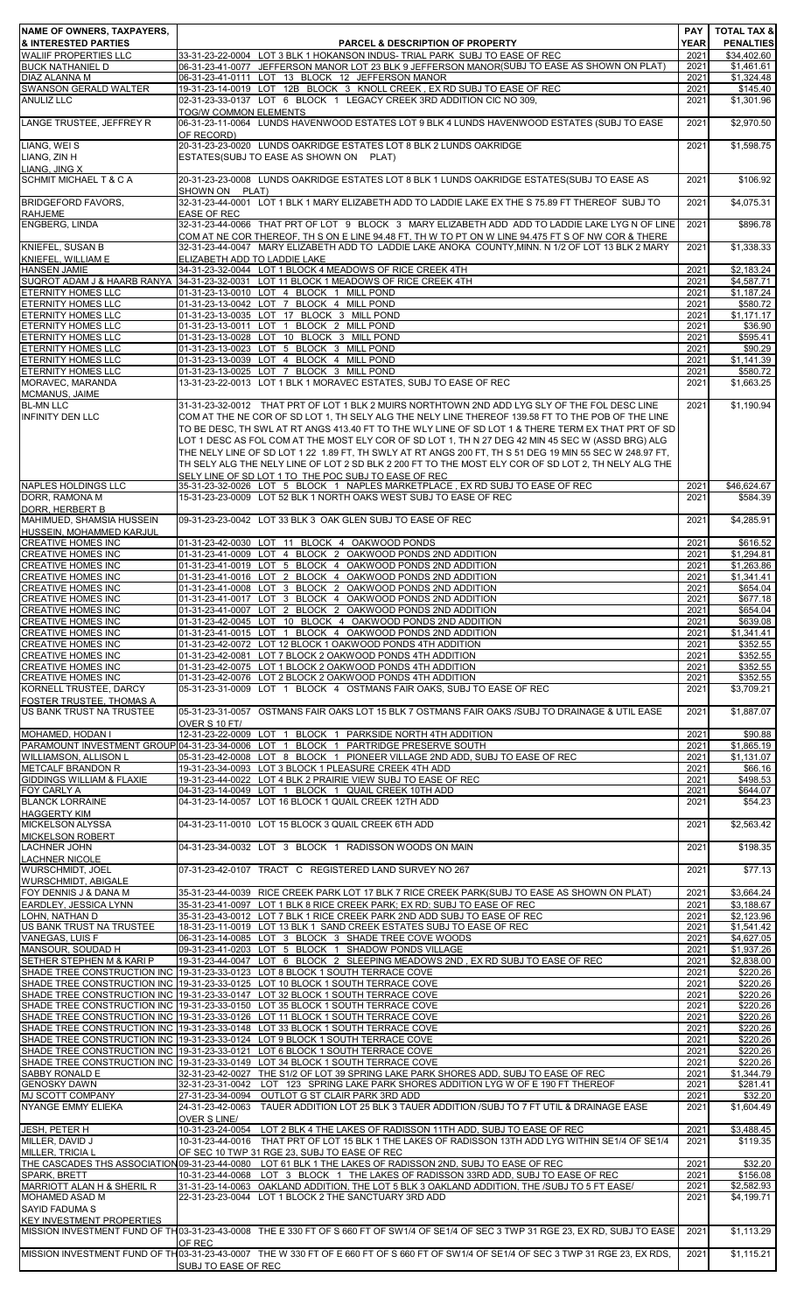| <b>NAME OF OWNERS, TAXPAYERS,</b>                                                  |                                                                                                                                                                                                                                                                                                                                                                                                                                                                                                                                                                                        | <b>PAY</b>          | <b>TOTAL TAX &amp;</b>          |
|------------------------------------------------------------------------------------|----------------------------------------------------------------------------------------------------------------------------------------------------------------------------------------------------------------------------------------------------------------------------------------------------------------------------------------------------------------------------------------------------------------------------------------------------------------------------------------------------------------------------------------------------------------------------------------|---------------------|---------------------------------|
| <b>&amp; INTERESTED PARTIES</b><br><b>WALIIF PROPERTIES LLC</b>                    | <b>PARCEL &amp; DESCRIPTION OF PROPERTY</b><br>33-31-23-22-0004 LOT 3 BLK 1 HOKANSON INDUS- TRIAL PARK SUBJ TO EASE OF REC                                                                                                                                                                                                                                                                                                                                                                                                                                                             | <b>YEAR</b><br>2021 | <b>PENALTIES</b><br>\$34,402.60 |
| <b>BUCK NATHANIEL D</b><br><b>DIAZ ALANNA M</b>                                    | 06-31-23-41-0077 JEFFERSON MANOR LOT 23 BLK 9 JEFFERSON MANOR(SUBJ TO EASE AS SHOWN ON PLAT)<br>06-31-23-41-0111 LOT 13 BLOCK 12 JEFFERSON MANOR                                                                                                                                                                                                                                                                                                                                                                                                                                       | 2021<br>2021        | \$1,461.61<br>\$1,324.48        |
| <b>SWANSON GERALD WALTER</b>                                                       | 19-31-23-14-0019 LOT 12B BLOCK 3 KNOLL CREEK, EX RD SUBJ TO EASE OF REC                                                                                                                                                                                                                                                                                                                                                                                                                                                                                                                | 2021                | \$145.40                        |
| <b>ANULIZ LLC</b>                                                                  | 02-31-23-33-0137 LOT 6 BLOCK 1 LEGACY CREEK 3RD ADDITION CIC NO 309.<br><b>TOG/W COMMON ELEMENTS</b>                                                                                                                                                                                                                                                                                                                                                                                                                                                                                   | 2021                | \$1,301.96                      |
| LANGE TRUSTEE, JEFFREY R                                                           | 06-31-23-11-0064 LUNDS HAVENWOOD ESTATES LOT 9 BLK 4 LUNDS HAVENWOOD ESTATES (SUBJ TO EASE                                                                                                                                                                                                                                                                                                                                                                                                                                                                                             | 2021                | \$2,970.50                      |
| LIANG, WEIS                                                                        | OF RECORD)<br>20-31-23-23-0020 LUNDS OAKRIDGE ESTATES LOT 8 BLK 2 LUNDS OAKRIDGE                                                                                                                                                                                                                                                                                                                                                                                                                                                                                                       | 2021                | \$1,598.75                      |
| LIANG, ZIN H                                                                       | ESTATES(SUBJ TO EASE AS SHOWN ON PLAT)                                                                                                                                                                                                                                                                                                                                                                                                                                                                                                                                                 |                     |                                 |
| <b>LIANG. JING X</b><br>SCHMIT MICHAEL T & C A                                     | 20-31-23-23-0008 LUNDS OAKRIDGE ESTATES LOT 8 BLK 1 LUNDS OAKRIDGE ESTATES(SUBJ TO EASE AS                                                                                                                                                                                                                                                                                                                                                                                                                                                                                             | 2021                | \$106.92                        |
|                                                                                    | SHOWN ON PLAT)                                                                                                                                                                                                                                                                                                                                                                                                                                                                                                                                                                         |                     |                                 |
| <b>BRIDGEFORD FAVORS,</b><br><b>RAHJEME</b>                                        | 32-31-23-44-0001 LOT 1 BLK 1 MARY ELIZABETH ADD TO LADDIE LAKE EX THE S 75.89 FT THEREOF SUBJ TO<br><b>EASE OF REC</b>                                                                                                                                                                                                                                                                                                                                                                                                                                                                 | 2021                | \$4,075.31                      |
| <b>ENGBERG, LINDA</b>                                                              | 32-31-23-44-0066 THAT PRT OF LOT 9 BLOCK 3 MARY ELIZABETH ADD ADD TO LADDIE LAKE LYG N OF LINE                                                                                                                                                                                                                                                                                                                                                                                                                                                                                         | 2021                | \$896.78                        |
| <b>KNIEFEL, SUSAN B</b>                                                            | COM AT NE COR THEREOF, TH S ON E LINE 94.48 FT, TH W TO PT ON W LINE 94.475 FT S OF NW COR & THERE<br>32-31-23-44-0047 MARY ELIZABETH ADD TO LADDIE LAKE ANOKA COUNTY, MINN. N 1/2 OF LOT 13 BLK 2 MARY                                                                                                                                                                                                                                                                                                                                                                                | 2021                | \$1,338.33                      |
| KNIEFEL, WILLIAM E<br><b>HANSEN JAMIE</b>                                          | ELIZABETH ADD TO LADDIE LAKE<br>34-31-23-32-0044 LOT 1 BLOCK 4 MEADOWS OF RICE CREEK 4TH                                                                                                                                                                                                                                                                                                                                                                                                                                                                                               | 2021                | \$2,183.24                      |
| SUQROT ADAM J & HAARB RANYA                                                        | 34-31-23-32-0031 LOT 11 BLOCK 1 MEADOWS OF RICE CREEK 4TH                                                                                                                                                                                                                                                                                                                                                                                                                                                                                                                              | 2021                | \$4,587.71                      |
| <b>ETERNITY HOMES LLC</b><br><b>ETERNITY HOMES LLC</b>                             | 01-31-23-13-0010 LOT 4 BLOCK 1 MILL POND<br>01-31-23-13-0042 LOT 7 BLOCK 4 MILL POND                                                                                                                                                                                                                                                                                                                                                                                                                                                                                                   | 2021<br>2021        | \$1,187.24<br>\$580.72          |
| <b>ETERNITY HOMES LLC</b>                                                          | 01-31-23-13-0035 LOT 17 BLOCK 3 MILL POND                                                                                                                                                                                                                                                                                                                                                                                                                                                                                                                                              | 2021                | \$1,171.17                      |
| <b>ETERNITY HOMES LLC</b><br><b>ETERNITY HOMES LLC</b>                             | 01-31-23-13-0011 LOT 1 BLOCK 2 MILL POND<br>01-31-23-13-0028 LOT 10 BLOCK 3 MILL POND                                                                                                                                                                                                                                                                                                                                                                                                                                                                                                  | 2021<br>2021        | \$36.90<br>\$595.41             |
| <b>ETERNITY HOMES LLC</b>                                                          | 01-31-23-13-0023 LOT 5 BLOCK 3 MILL POND                                                                                                                                                                                                                                                                                                                                                                                                                                                                                                                                               | 2021                | \$90.29                         |
| <b>ETERNITY HOMES LLC</b><br><b>ETERNITY HOMES LLC</b>                             | 01-31-23-13-0039 LOT 4 BLOCK 4 MILL POND<br>01-31-23-13-0025 LOT 7 BLOCK 3 MILL POND                                                                                                                                                                                                                                                                                                                                                                                                                                                                                                   | 2021<br>2021        | \$1,141.39<br>\$580.72          |
| MORAVEC, MARANDA<br>MCMANUS, JAIME                                                 | 13-31-23-22-0013 LOT 1 BLK 1 MORAVEC ESTATES, SUBJ TO EASE OF REC                                                                                                                                                                                                                                                                                                                                                                                                                                                                                                                      | 2021                | \$1,663.25                      |
| <b>BL-MN LLC</b>                                                                   | 31-31-23-32-0012 THAT PRT OF LOT 1 BLK 2 MUIRS NORTHTOWN 2ND ADD LYG SLY OF THE FOL DESC LINE                                                                                                                                                                                                                                                                                                                                                                                                                                                                                          | 2021                | \$1,190.94                      |
| <b>INFINITY DEN LLC</b>                                                            | COM AT THE NE COR OF SD LOT 1, TH SELY ALG THE NELY LINE THEREOF 139.58 FT TO THE POB OF THE LINE<br>TO BE DESC, TH SWL AT RT ANGS 413.40 FT TO THE WLY LINE OF SD LOT 1 & THERE TERM EX THAT PRT OF SD<br>LOT 1 DESC AS FOL COM AT THE MOST ELY COR OF SD LOT 1, TH N 27 DEG 42 MIN 45 SEC W (ASSD BRG) ALG<br>THE NELY LINE OF SD LOT 1 22 1.89 FT, TH SWLY AT RT ANGS 200 FT, TH S 51 DEG 19 MIN 55 SEC W 248.97 FT,<br>TH SELY ALG THE NELY LINE OF LOT 2 SD BLK 2 200 FT TO THE MOST ELY COR OF SD LOT 2, TH NELY ALG THE<br>SELY LINE OF SD LOT 1 TO THE POC SUBJ TO EASE OF REC |                     |                                 |
| NAPLES HOLDINGS LLC                                                                | 35-31-23-32-0026 LOT 5 BLOCK 1 NAPLES MARKETPLACE, EX RD SUBJ TO EASE OF REC                                                                                                                                                                                                                                                                                                                                                                                                                                                                                                           | 2021                | \$46,624.67                     |
| DORR, RAMONA M<br>DORR, HERBERT B                                                  | 15-31-23-23-0009 LOT 52 BLK 1 NORTH OAKS WEST SUBJ TO EASE OF REC                                                                                                                                                                                                                                                                                                                                                                                                                                                                                                                      | 2021                | \$584.39                        |
| MAHIMUED, SHAMSIA HUSSEIN<br>HUSSEIN, MOHAMMED KARJUL                              | 09-31-23-23-0042 LOT 33 BLK 3 OAK GLEN SUBJ TO EASE OF REC                                                                                                                                                                                                                                                                                                                                                                                                                                                                                                                             | 2021                | \$4,285.91                      |
| <b>CREATIVE HOMES INC</b>                                                          | 01-31-23-42-0030 LOT 11 BLOCK 4 OAKWOOD PONDS                                                                                                                                                                                                                                                                                                                                                                                                                                                                                                                                          | 2021                | \$616.52                        |
| <b>CREATIVE HOMES INC</b><br><b>CREATIVE HOMES INC</b>                             | 01-31-23-41-0009 LOT 4 BLOCK 2 OAKWOOD PONDS 2ND ADDITION<br>01-31-23-41-0019 LOT 5 BLOCK 4 OAKWOOD PONDS 2ND ADDITION                                                                                                                                                                                                                                                                                                                                                                                                                                                                 | 2021<br>2021        | \$1,294.81<br>\$1,263.86        |
| <b>CREATIVE HOMES INC</b>                                                          | 01-31-23-41-0016 LOT 2 BLOCK 4 OAKWOOD PONDS 2ND ADDITION                                                                                                                                                                                                                                                                                                                                                                                                                                                                                                                              | 2021                | \$1,341.41                      |
| <b>CREATIVE HOMES INC</b><br><b>CREATIVE HOMES INC</b>                             | 01-31-23-41-0008 LOT 3 BLOCK 2 OAKWOOD PONDS 2ND ADDITION<br>01-31-23-41-0017 LOT 3 BLOCK 4 OAKWOOD PONDS 2ND ADDITION                                                                                                                                                                                                                                                                                                                                                                                                                                                                 | 2021<br>2021        | \$654.04<br>\$677.18            |
| <b>CREATIVE HOMES INC</b>                                                          | 01-31-23-41-0007 LOT 2 BLOCK 2 OAKWOOD PONDS 2ND ADDITION                                                                                                                                                                                                                                                                                                                                                                                                                                                                                                                              | 2021                | \$654.04                        |
| <b>CREATIVE HOMES INC</b><br><b>CREATIVE HOMES INC</b>                             | 01-31-23-42-0045 LOT 10 BLOCK 4 OAKWOOD PONDS 2ND ADDITION<br>01-31-23-41-0015 LOT 1 BLOCK 4 OAKWOOD PONDS 2ND ADDITION                                                                                                                                                                                                                                                                                                                                                                                                                                                                | 2021<br>2021        | \$639.08<br>\$1,341.41          |
| <b>CREATIVE HOMES INC</b>                                                          | 01-31-23-42-0072 LOT 12 BLOCK 1 OAKWOOD PONDS 4TH ADDITION                                                                                                                                                                                                                                                                                                                                                                                                                                                                                                                             | 2021                | \$352.55                        |
| <b>CREATIVE HOMES INC</b><br><b>CREATIVE HOMES INC</b>                             | 01-31-23-42-0081 LOT 7 BLOCK 2 OAKWOOD PONDS 4TH ADDITION<br>01-31-23-42-0075 LOT 1 BLOCK 2 OAKWOOD PONDS 4TH ADDITION                                                                                                                                                                                                                                                                                                                                                                                                                                                                 | 2021<br>2021        | \$352.55<br>\$352.55            |
| <b>CREATIVE HOMES INC</b><br>KORNELL TRUSTEE, DARCY                                | 01-31-23-42-0076 LOT 2 BLOCK 2 OAKWOOD PONDS 4TH ADDITION<br>05-31-23-31-0009 LOT 1 BLOCK 4 OSTMANS FAIR OAKS, SUBJ TO EASE OF REC                                                                                                                                                                                                                                                                                                                                                                                                                                                     | 2021<br>2021        | \$352.55<br>\$3.709.21          |
| <b>FOSTER TRUSTEE, THOMAS A</b>                                                    |                                                                                                                                                                                                                                                                                                                                                                                                                                                                                                                                                                                        |                     |                                 |
| US BANK TRUST NA TRUSTEE                                                           | 05-31-23-31-0057 OSTMANS FAIR OAKS LOT 15 BLK 7 OSTMANS FAIR OAKS /SUBJ TO DRAINAGE & UTIL EASE<br>OVER S 10 FT/                                                                                                                                                                                                                                                                                                                                                                                                                                                                       | 2021                | \$1.887.07                      |
| MOHAMED, HODAN I                                                                   | 12-31-23-22-0009 LOT 1 BLOCK 1 PARKSIDE NORTH 4TH ADDITION<br>PARAMOUNT INVESTMENT GROUP 04-31-23-34-0006 LOT 1 BLOCK 1 PARTRIDGE PRESERVE SOUTH                                                                                                                                                                                                                                                                                                                                                                                                                                       | 2021<br>2021        | \$90.88<br>\$1,865.19           |
| <b>WILLIAMSON, ALLISON L</b>                                                       | 05-31-23-42-0008 LOT 8 BLOCK 1 PIONEER VILLAGE 2ND ADD, SUBJ TO EASE OF REC                                                                                                                                                                                                                                                                                                                                                                                                                                                                                                            | 2021                | \$1,131.07                      |
| <b>METCALF BRANDON R</b><br><b>GIDDINGS WILLIAM &amp; FLAXIE</b>                   | 19-31-23-34-0093 LOT 3 BLOCK 1 PLEASURE CREEK 4TH ADD<br>19-31-23-44-0022 LOT 4 BLK 2 PRAIRIE VIEW SUBJ TO EASE OF REC                                                                                                                                                                                                                                                                                                                                                                                                                                                                 | 2021<br>2021        | \$66.16<br>\$498.53             |
| <b>FOY CARLY A</b>                                                                 | 04-31-23-14-0049 LOT 1 BLOCK 1 QUAIL CREEK 10TH ADD                                                                                                                                                                                                                                                                                                                                                                                                                                                                                                                                    | 2021                | \$644.07                        |
| <b>BLANCK LORRAINE</b><br><b>HAGGERTY KIM</b>                                      | 04-31-23-14-0057 LOT 16 BLOCK 1 QUAIL CREEK 12TH ADD                                                                                                                                                                                                                                                                                                                                                                                                                                                                                                                                   | 2021                | \$54.23                         |
| <b>MICKELSON ALYSSA</b>                                                            | 04-31-23-11-0010 LOT 15 BLOCK 3 QUAIL CREEK 6TH ADD                                                                                                                                                                                                                                                                                                                                                                                                                                                                                                                                    | 2021                | \$2,563.42                      |
| <b>MICKELSON ROBERT</b><br><b>LACHNER JOHN</b>                                     | 04-31-23-34-0032 LOT 3 BLOCK 1 RADISSON WOODS ON MAIN                                                                                                                                                                                                                                                                                                                                                                                                                                                                                                                                  | 2021                | \$198.35                        |
| <b>LACHNER NICOLE</b>                                                              | 07-31-23-42-0107 TRACT C REGISTERED LAND SURVEY NO 267                                                                                                                                                                                                                                                                                                                                                                                                                                                                                                                                 |                     |                                 |
| WURSCHMIDT, JOEL<br><b>WURSCHMIDT, ABIGALE</b>                                     |                                                                                                                                                                                                                                                                                                                                                                                                                                                                                                                                                                                        | 2021                | \$77.13                         |
| FOY DENNIS J & DANA M<br><b>EARDLEY, JESSICA LYNN</b>                              | 35-31-23-44-0039 RICE CREEK PARK LOT 17 BLK 7 RICE CREEK PARK(SUBJ TO EASE AS SHOWN ON PLAT)<br>35-31-23-41-0097 LOT 1 BLK 8 RICE CREEK PARK; EX RD; SUBJ TO EASE OF REC                                                                                                                                                                                                                                                                                                                                                                                                               | 2021<br>2021        | \$3,664.24<br>\$3,188.67        |
| LOHN, NATHAN D                                                                     | 35-31-23-43-0012 LOT 7 BLK 1 RICE CREEK PARK 2ND ADD SUBJ TO EASE OF REC                                                                                                                                                                                                                                                                                                                                                                                                                                                                                                               | 2021                | \$2,123.96                      |
| US BANK TRUST NA TRUSTEE<br>VANEGAS, LUIS F                                        | 18-31-23-11-0019 LOT 13 BLK 1 SAND CREEK ESTATES SUBJ TO EASE OF REC<br>06-31-23-14-0085 LOT 3 BLOCK 3 SHADE TREE COVE WOODS                                                                                                                                                                                                                                                                                                                                                                                                                                                           | 2021<br>2021        | \$1,541.42<br>\$4,627.05        |
| MANSOUR, SOUDAD H                                                                  | 09-31-23-41-0203 LOT 5 BLOCK 1 SHADOW PONDS VILLAGE                                                                                                                                                                                                                                                                                                                                                                                                                                                                                                                                    | 2021                | \$1,937.26                      |
| SETHER STEPHEN M & KARI P                                                          | 19-31-23-44-0047 LOT 6 BLOCK 2 SLEEPING MEADOWS 2ND, EX RD SUBJ TO EASE OF REC<br>SHADE TREE CONSTRUCTION INC 19-31-23-33-0123 LOT 8 BLOCK 1 SOUTH TERRACE COVE                                                                                                                                                                                                                                                                                                                                                                                                                        | 2021<br>2021        | \$2,838.00<br>\$220.26          |
|                                                                                    | SHADE TREE CONSTRUCTION INC 19-31-23-33-0125 LOT 10 BLOCK 1 SOUTH TERRACE COVE                                                                                                                                                                                                                                                                                                                                                                                                                                                                                                         | 2021                | \$220.26                        |
|                                                                                    | SHADE TREE CONSTRUCTION INC 19-31-23-33-0147 LOT 32 BLOCK 1 SOUTH TERRACE COVE<br>SHADE TREE CONSTRUCTION INC 19-31-23-33-0150 LOT 35 BLOCK 1 SOUTH TERRACE COVE                                                                                                                                                                                                                                                                                                                                                                                                                       | 2021<br>2021        | \$220.26<br>\$220.26            |
|                                                                                    | SHADE TREE CONSTRUCTION INC 19-31-23-33-0126 LOT 11 BLOCK 1 SOUTH TERRACE COVE                                                                                                                                                                                                                                                                                                                                                                                                                                                                                                         | 2021                | \$220.26                        |
|                                                                                    | SHADE TREE CONSTRUCTION INC 19-31-23-33-0148 LOT 33 BLOCK 1 SOUTH TERRACE COVE<br>SHADE TREE CONSTRUCTION INC 19-31-23-33-0124 LOT 9 BLOCK 1 SOUTH TERRACE COVE                                                                                                                                                                                                                                                                                                                                                                                                                        | 2021<br>2021        | \$220.26<br>\$220.26            |
|                                                                                    | SHADE TREE CONSTRUCTION INC 19-31-23-33-0121 LOT 6 BLOCK 1 SOUTH TERRACE COVE<br>SHADE TREE CONSTRUCTION INC 19-31-23-33-0149 LOT 34 BLOCK 1 SOUTH TERRACE COVE                                                                                                                                                                                                                                                                                                                                                                                                                        | 2021<br>2021        | \$220.26<br>\$220.26            |
| <b>SABBY RONALD E</b>                                                              | 32-31-23-42-0027 THE S1/2 OF LOT 39 SPRING LAKE PARK SHORES ADD, SUBJ TO EASE OF REC                                                                                                                                                                                                                                                                                                                                                                                                                                                                                                   | 2021                | \$1,344.79                      |
| <b>GENOSKY DAWN</b><br><b>MJ SCOTT COMPANY</b>                                     | 32-31-23-31-0042 LOT 123 SPRING LAKE PARK SHORES ADDITION LYG W OF E 190 FT THEREOF<br>27-31-23-34-0094 OUTLOT G ST CLAIR PARK 3RD ADD                                                                                                                                                                                                                                                                                                                                                                                                                                                 | 2021<br>2021        | \$281.41<br>\$32.20             |
| <b>NYANGE EMMY ELIEKA</b>                                                          | 24-31-23-42-0063 TAUER ADDITION LOT 25 BLK 3 TAUER ADDITION /SUBJ TO 7 FT UTIL & DRAINAGE EASE<br>OVER S LINE/                                                                                                                                                                                                                                                                                                                                                                                                                                                                         | 2021                | \$1,604.49                      |
| JESH, PETER H<br>MILLER, DAVID J                                                   | 10-31-23-24-0054 LOT 2 BLK 4 THE LAKES OF RADISSON 11TH ADD, SUBJ TO EASE OF REC<br>10-31-23-44-0016 THAT PRT OF LOT 15 BLK 1 THE LAKES OF RADISSON 13TH ADD LYG WITHIN SE1/4 OF SE1/4                                                                                                                                                                                                                                                                                                                                                                                                 | 2021<br>2021        | \$3,488.45<br>\$119.35          |
| MILLER, TRICIA L                                                                   | OF SEC 10 TWP 31 RGE 23, SUBJ TO EASE OF REC                                                                                                                                                                                                                                                                                                                                                                                                                                                                                                                                           |                     |                                 |
| SPARK, BRETT                                                                       | THE CASCADES THS ASSOCIATION 09-31-23-44-0080 LOT 61 BLK 1 THE LAKES OF RADISSON 2ND, SUBJ TO EASE OF REC<br>10-31-23-44-0068 LOT 3 BLOCK 1 THE LAKES OF RADISSON 33RD ADD, SUBJ TO EASE OF REC                                                                                                                                                                                                                                                                                                                                                                                        | 2021<br>2021        | \$32.20<br>\$156.08             |
| MARRIOTT ALAN H & SHERIL R                                                         | 31-31-23-14-0063 OAKLAND ADDITION, THE LOT 5 BLK 3 OAKLAND ADDITION, THE /SUBJ TO 5 FT EASE/                                                                                                                                                                                                                                                                                                                                                                                                                                                                                           | 2021                | \$2,582.93                      |
| <b>MOHAMED ASAD M</b><br><b>SAYID FADUMA S</b><br><b>KEY INVESTMENT PROPERTIES</b> | 22-31-23-23-0044 LOT 1 BLOCK 2 THE SANCTUARY 3RD ADD                                                                                                                                                                                                                                                                                                                                                                                                                                                                                                                                   | 2021                | \$4,199.71                      |
|                                                                                    | MISSION INVESTMENT FUND OF TH03-31-23-43-0008 THE E 330 FT OF S 660 FT OF SW1/4 OF SE1/4 OF SEC 3 TWP 31 RGE 23, EX RD, SUBJ TO EASE<br>OF REC                                                                                                                                                                                                                                                                                                                                                                                                                                         | 2021                | \$1,113.29                      |
|                                                                                    | MISSION INVESTMENT FUND OF TH03-31-23-43-0007 THE W 330 FT OF E 660 FT OF S 660 FT OF SW1/4 OF SE1/4 OF SEC 3 TWP 31 RGE 23. EX RDS.<br>SUBJ TO EASE OF REC                                                                                                                                                                                                                                                                                                                                                                                                                            | 2021                | \$1,115.21                      |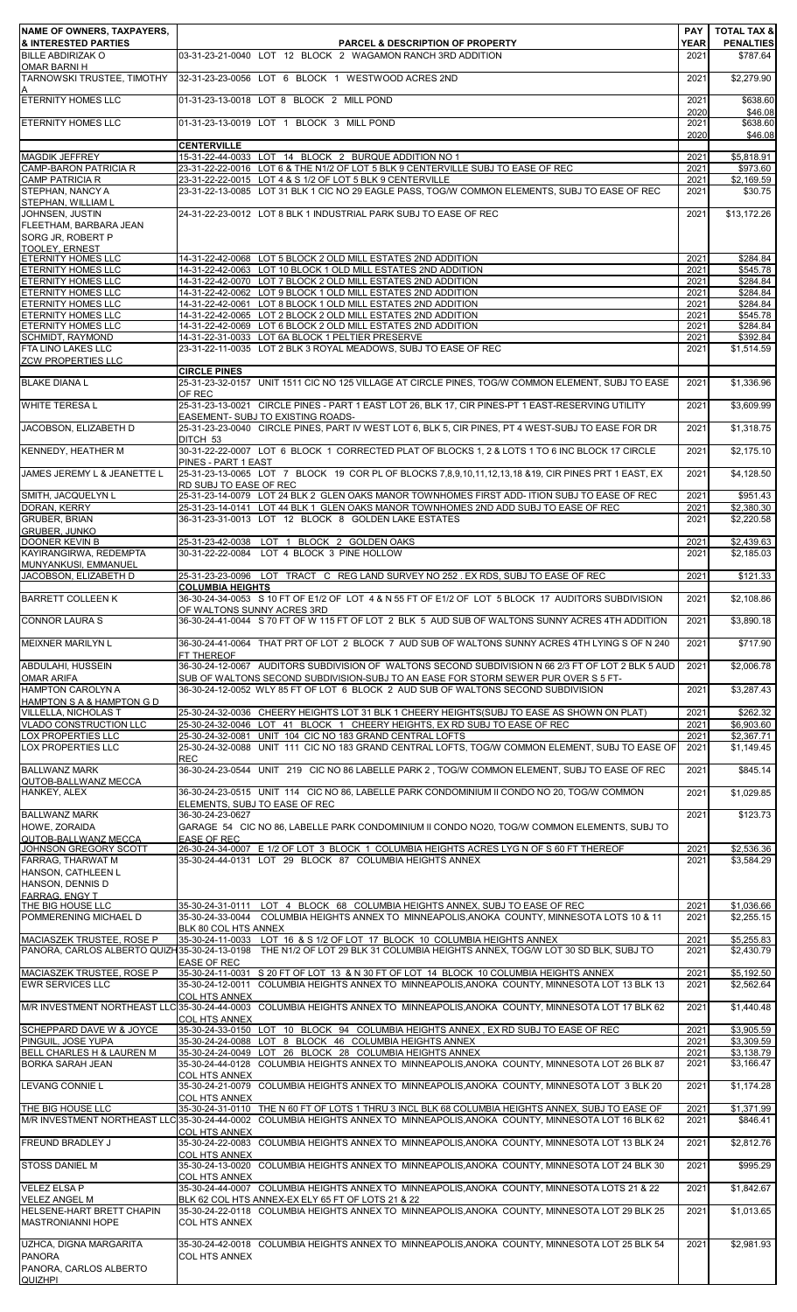| NAME OF OWNERS, TAXPAYERS,                                  |                                                                                                                                                                                                                                 | PAY                 | <b>TOTAL TAX &amp;</b>       |
|-------------------------------------------------------------|---------------------------------------------------------------------------------------------------------------------------------------------------------------------------------------------------------------------------------|---------------------|------------------------------|
| <b>&amp; INTERESTED PARTIES</b><br><b>BILLE ABDIRIZAK O</b> | <b>PARCEL &amp; DESCRIPTION OF PROPERTY</b><br>03-31-23-21-0040 LOT 12 BLOCK 2 WAGAMON RANCH 3RD ADDITION                                                                                                                       | <b>YEAR</b><br>2021 | <b>PENALTIES</b><br>\$787.64 |
| <b>OMAR BARNI H</b><br>TARNOWSKI TRUSTEE, TIMOTHY           | 32-31-23-23-0056 LOT 6 BLOCK 1 WESTWOOD ACRES 2ND                                                                                                                                                                               | 2021                | \$2,279.90                   |
|                                                             |                                                                                                                                                                                                                                 |                     |                              |
| <b>ETERNITY HOMES LLC</b>                                   | 01-31-23-13-0018 LOT 8 BLOCK 2 MILL POND                                                                                                                                                                                        | 2021<br>2020        | \$638.60<br>\$46.08          |
| <b>ETERNITY HOMES LLC</b>                                   | 01-31-23-13-0019 LOT 1 BLOCK 3 MILL POND                                                                                                                                                                                        | 2021<br>2020        | \$638.60<br>\$46.08          |
| <b>MAGDIK JEFFREY</b>                                       | <b>CENTERVILLE</b><br>15-31-22-44-0033 LOT 14 BLOCK 2 BURQUE ADDITION NO 1                                                                                                                                                      | 2021                | \$5,818.91                   |
| <b>CAMP-BARON PATRICIA R</b>                                | 23-31-22-22-0016 LOT 6 & THE N1/2 OF LOT 5 BLK 9 CENTERVILLE SUBJ TO EASE OF REC                                                                                                                                                | 2021                | \$973.60                     |
| <b>CAMP PATRICIA R</b><br>STEPHAN, NANCY A                  | 23-31-22-22-0015 LOT 4 & S 1/2 OF LOT 5 BLK 9 CENTERVILLE<br>23-31-22-13-0085 LOT 31 BLK 1 CIC NO 29 EAGLE PASS, TOG/W COMMON ELEMENTS, SUBJ TO EASE OF REC                                                                     | 2021<br>2021        | \$2,169.59<br>\$30.75        |
| STEPHAN, WILLIAM L<br>JOHNSEN, JUSTIN                       | 24-31-22-23-0012 LOT 8 BLK 1 INDUSTRIAL PARK SUBJ TO EASE OF REC                                                                                                                                                                | 2021                | \$13,172.26                  |
| FLEETHAM, BARBARA JEAN                                      |                                                                                                                                                                                                                                 |                     |                              |
| SORG JR, ROBERT P<br><b>TOOLEY, ERNEST</b>                  |                                                                                                                                                                                                                                 |                     |                              |
| <b>ETERNITY HOMES LLC</b><br><b>ETERNITY HOMES LLC</b>      | 14-31-22-42-0068 LOT 5 BLOCK 2 OLD MILL ESTATES 2ND ADDITION<br>14-31-22-42-0063 LOT 10 BLOCK 1 OLD MILL ESTATES 2ND ADDITION                                                                                                   | 2021<br>2021        | \$284.84<br>\$545.78         |
| <b>ETERNITY HOMES LLC</b>                                   | 14-31-22-42-0070 LOT 7 BLOCK 2 OLD MILL ESTATES 2ND ADDITION                                                                                                                                                                    | 2021                | \$284.84                     |
| <b>ETERNITY HOMES LLC</b><br><b>ETERNITY HOMES LLC</b>      | 14-31-22-42-0062 LOT 9 BLOCK 1 OLD MILL ESTATES 2ND ADDITION<br>14-31-22-42-0061 LOT 8 BLOCK 1 OLD MILL ESTATES 2ND ADDITION                                                                                                    | 2021<br>2021        | \$284.84<br>\$284.84         |
| <b>ETERNITY HOMES LLC</b><br><b>ETERNITY HOMES LLC</b>      | 14-31-22-42-0065 LOT 2 BLOCK 2 OLD MILL ESTATES 2ND ADDITION<br>14-31-22-42-0069 LOT 6 BLOCK 2 OLD MILL ESTATES 2ND ADDITION                                                                                                    | 2021<br>2021        | \$545.78<br>\$284.84         |
| SCHMIDT, RAYMOND                                            | 14-31-22-31-0033 LOT 6A BLOCK 1 PELTIER PRESERVE                                                                                                                                                                                | 2021                | \$392.84                     |
| FTA LINO LAKES LLC<br><b>ZCW PROPERTIES LLC</b>             | 23-31-22-11-0035 LOT 2 BLK 3 ROYAL MEADOWS, SUBJ TO EASE OF REC                                                                                                                                                                 | 2021                | \$1,514.59                   |
| <b>BLAKE DIANA L</b>                                        | <b>CIRCLE PINES</b><br>25-31-23-32-0157 UNIT 1511 CIC NO 125 VILLAGE AT CIRCLE PINES, TOG/W COMMON ELEMENT, SUBJ TO EASE                                                                                                        | 2021                | \$1,336.96                   |
|                                                             | OF REC                                                                                                                                                                                                                          |                     |                              |
| <b>WHITE TERESA L</b>                                       | 25-31-23-13-0021 CIRCLE PINES - PART 1 EAST LOT 26, BLK 17, CIR PINES-PT 1 EAST-RESERVING UTILITY<br>EASEMENT- SUBJ TO EXISTING ROADS-                                                                                          | 2021                | \$3,609.99                   |
| JACOBSON, ELIZABETH D                                       | 25-31-23-23-0040 CIRCLE PINES, PART IV WEST LOT 6, BLK 5, CIR PINES, PT 4 WEST-SUBJ TO EASE FOR DR<br>DITCH 53                                                                                                                  | 2021                | \$1,318.75                   |
| <b>KENNEDY, HEATHER M</b>                                   | 30-31-22-22-0007 LOT 6 BLOCK 1 CORRECTED PLAT OF BLOCKS 1, 2 & LOTS 1 TO 6 INC BLOCK 17 CIRCLE                                                                                                                                  | 2021                | \$2,175.10                   |
| JAMES JEREMY L & JEANETTE L                                 | PINES - PART 1 EAST<br>25-31-23-13-0065 LOT 7 BLOCK 19 COR PL OF BLOCKS 7,8,9,10,11,12,13,18 & 19, CIR PINES PRT 1 EAST, EX                                                                                                     | 2021                | \$4,128.50                   |
| SMITH, JACQUELYN L                                          | RD SUBJ TO EASE OF REC<br>25-31-23-14-0079 LOT 24 BLK 2 GLEN OAKS MANOR TOWNHOMES FIRST ADD- ITION SUBJ TO EASE OF REC                                                                                                          | 2021                | \$951.43                     |
| DORAN, KERRY                                                | 25-31-23-14-0141 LOT 44 BLK 1 GLEN OAKS MANOR TOWNHOMES 2ND ADD SUBJ TO EASE OF REC                                                                                                                                             | 2021                | \$2,380.30                   |
| <b>GRUBER, BRIAN</b><br><b>GRUBER, JUNKO</b>                | 36-31-23-31-0013 LOT 12 BLOCK 8 GOLDEN LAKE ESTATES                                                                                                                                                                             | 2021                | \$2,220.58                   |
| <b>DOONER KEVIN B</b><br>KAYIRANGIRWA, REDEMPTA             | 25-31-23-42-0038 LOT 1 BLOCK 2 GOLDEN OAKS<br>30-31-22-22-0084 LOT 4 BLOCK 3 PINE HOLLOW                                                                                                                                        | 2021<br>2021        | \$2,439.63<br>\$2.185.03     |
| MUNYANKUSI, EMMANUEL                                        |                                                                                                                                                                                                                                 |                     |                              |
| JACOBSON, ELIZABETH D                                       | 25-31-23-23-0096 LOT TRACT C REG LAND SURVEY NO 252 . EX RDS, SUBJ TO EASE OF REC<br><b>COLUMBIA HEIGHTS</b>                                                                                                                    | 2021                | \$121.33                     |
| <b>BARRETT COLLEEN K</b>                                    | 36-30-24-34-0053 S 10 FT OF E1/2 OF LOT 4 & N 55 FT OF E1/2 OF LOT 5 BLOCK 17 AUDITORS SUBDIVISION<br>OF WALTONS SUNNY ACRES 3RD                                                                                                | 2021                | \$2,108.86                   |
| <b>CONNOR LAURA S</b>                                       | 36-30-24-41-0044 S 70 FT OF W 115 FT OF LOT 2 BLK 5 AUD SUB OF WALTONS SUNNY ACRES 4TH ADDITION                                                                                                                                 | 2021                | \$3,890.18                   |
| <b>MEIXNER MARILYN L</b>                                    | 36-30-24-41-0064 THAT PRT OF LOT 2 BLOCK 7 AUD SUB OF WALTONS SUNNY ACRES 4TH LYING S OF N 240                                                                                                                                  | 2021                | \$717.90                     |
| ABDULAHI, HUSSEIN                                           | FT THEREOF<br>36-30-24-12-0067 AUDITORS SUBDIVISION OF WALTONS SECOND SUBDIVISION N 66 2/3 FT OF LOT 2 BLK 5 AUD                                                                                                                | 2021                | \$2,006.78                   |
| <b>OMAR ARIFA</b>                                           | SUB OF WALTONS SECOND SUBDIVISION-SUBJ TO AN EASE FOR STORM SEWER PUR OVER S 5 FT-                                                                                                                                              |                     |                              |
| <b>HAMPTON CAROLYN A</b><br>HAMPTON S A & HAMPTON G D       | 36-30-24-12-0052 WLY 85 FT OF LOT 6 BLOCK 2 AUD SUB OF WALTONS SECOND SUBDIVISION                                                                                                                                               | 2021                | \$3,287.43                   |
| VILLELLA, NICHOLAS T<br><b>VLADO CONSTRUCTION LLC</b>       | 25-30-24-32-0036 CHEERY HEIGHTS LOT 31 BLK 1 CHEERY HEIGHTS(SUBJ TO EASE AS SHOWN ON PLAT)<br>25-30-24-32-0046 LOT 41 BLOCK 1 CHEERY HEIGHTS, EX RD SUBJ TO EASE OF REC                                                         | 2021<br>2021        | \$262.32<br>\$6,903.60       |
| OX PROPERTIES LLC                                           | 25-30-24-32-0081 UNIT 104 CIC NO 183 GRAND CENTRAL LOFTS                                                                                                                                                                        | 2021                | \$2,367.71                   |
| LOX PROPERTIES LLC                                          | 25-30-24-32-0088 UNIT 111 CIC NO 183 GRAND CENTRAL LOFTS, TOG/W COMMON ELEMENT, SUBJ TO EASE OF<br><b>REC</b>                                                                                                                   | 2021                | \$1,149.45                   |
| <b>BALLWANZ MARK</b><br>QUTOB-BALLWANZ MECCA                | 36-30-24-23-0544 UNIT 219 CIC NO 86 LABELLE PARK 2, TOG/W COMMON ELEMENT, SUBJ TO EASE OF REC                                                                                                                                   | 2021                | \$845.14                     |
| HANKEY, ALEX                                                | 36-30-24-23-0515 UNIT 114 CIC NO 86, LABELLE PARK CONDOMINIUM II CONDO NO 20, TOG/W COMMON                                                                                                                                      | 2021                | \$1,029.85                   |
| <b>BALLWANZ MARK</b>                                        | ELEMENTS, SUBJ TO EASE OF REC<br>36-30-24-23-0627                                                                                                                                                                               | 2021                | \$123.73                     |
| HOWE, ZORAIDA<br>QUTOB-BALLWANZ MECCA                       | GARAGE 54 CIC NO 86, LABELLE PARK CONDOMINIUM II CONDO NO20, TOG/W COMMON ELEMENTS, SUBJ TO<br><b>EASE OF REC</b>                                                                                                               |                     |                              |
| JOHNSON GREGORY SCOTT                                       | 26-30-24-34-0007 E 1/2 OF LOT 3 BLOCK 1 COLUMBIA HEIGHTS ACRES LYG N OF S 60 FT THEREOF                                                                                                                                         | 2021                | \$2,536.36                   |
| FARRAG, THARWAT M<br>HANSON, CATHLEEN L                     | 35-30-24-44-0131 LOT 29 BLOCK 87 COLUMBIA HEIGHTS ANNEX                                                                                                                                                                         | 2021                | \$3,584.29                   |
| HANSON, DENNIS D<br><b>FARRAG, ENGY T</b>                   |                                                                                                                                                                                                                                 |                     |                              |
| THE BIG HOUSE LLC                                           | 35-30-24-31-0111 LOT 4 BLOCK 68 COLUMBIA HEIGHTS ANNEX, SUBJ TO EASE OF REC                                                                                                                                                     | 2021                | \$1,036.66                   |
| POMMERENING MICHAEL D                                       | 35-30-24-33-0044 COLUMBIA HEIGHTS ANNEX TO MINNEAPOLIS, ANOKA COUNTY, MINNESOTA LOTS 10 & 11<br>BLK 80 COL HTS ANNEX                                                                                                            | 2021                | \$2,255.15                   |
| MACIASZEK TRUSTEE, ROSE P                                   | 35-30-24-11-0033 LOT 16 & S 1/2 OF LOT 17 BLOCK 10 COLUMBIA HEIGHTS ANNEX<br>PANORA, CARLOS ALBERTO QUIZH35-30-24-13-0198 THE N1/2 OF LOT 29 BLK 31 COLUMBIA HEIGHTS ANNEX, TOG/W LOT 30 SD BLK, SUBJ TO                        | 2021<br>2021        | \$5,255.83<br>\$2,430.79     |
| MACIASZEK TRUSTEE, ROSE P                                   | <b>EASE OF REC</b><br>35-30-24-11-0031 S 20 FT OF LOT 13 & N 30 FT OF LOT 14 BLOCK 10 COLUMBIA HEIGHTS ANNEX                                                                                                                    | 2021                | \$5,192.50                   |
| <b>EWR SERVICES LLC</b>                                     | 35-30-24-12-0011 COLUMBIA HEIGHTS ANNEX TO MINNEAPOLIS, ANOKA COUNTY, MINNESOTA LOT 13 BLK 13                                                                                                                                   | 2021                | \$2,562.64                   |
|                                                             | <b>COL HTS ANNEX</b><br>M/R INVESTMENT NORTHEAST LLC 35-30-24-44-0003 COLUMBIA HEIGHTS ANNEX TO MINNEAPOLIS, ANOKA COUNTY, MINNESOTA LOT 17 BLK 62                                                                              | 2021                | \$1,440.48                   |
| SCHEPPARD DAVE W & JOYCE                                    | <b>COL HTS ANNEX</b><br>35-30-24-33-0150 LOT 10 BLOCK 94 COLUMBIA HEIGHTS ANNEX, EX RD SUBJ TO EASE OF REC                                                                                                                      | 2021                | $\overline{$3,905.59}$       |
| PINGUIL. JOSE YUPA                                          | 35-30-24-24-0088 LOT 8 BLOCK 46 COLUMBIA HEIGHTS ANNEX                                                                                                                                                                          | 2021                | \$3,309.59                   |
| BELL CHARLES H & LAUREN M<br><b>BORKA SARAH JEAN</b>        | 35-30-24-24-0049 LOT 26 BLOCK 28 COLUMBIA HEIGHTS ANNEX<br>35-30-24-44-0128 COLUMBIA HEIGHTS ANNEX TO MINNEAPOLIS,ANOKA COUNTY, MINNESOTA LOT 26 BLK 87                                                                         | 2021<br>2021        | \$3,138.79<br>\$3,166.47     |
| <b>LEVANG CONNIE L</b>                                      | <b>COL HTS ANNEX</b><br>35-30-24-21-0079 COLUMBIA HEIGHTS ANNEX TO MINNEAPOLIS.ANOKA COUNTY, MINNESOTA LOT 3 BLK 20                                                                                                             | 2021                | \$1,174.28                   |
|                                                             | COL HTS ANNEX                                                                                                                                                                                                                   |                     |                              |
| THE BIG HOUSE LLC                                           | 35-30-24-31-0110 THE N 60 FT OF LOTS 1 THRU 3 INCL BLK 68 COLUMBIA HEIGHTS ANNEX, SUBJ TO EASE OF<br>M/R INVESTMENT NORTHEAST LLC 35-30-24-44-0002 COLUMBIA HEIGHTS ANNEX TO MINNEAPOLIS, ANOKA COUNTY, MINNESOTA LOT 16 BLK 62 | 2021<br>2021        | \$1,371.99<br>\$846.41       |
| <b>FREUND BRADLEY J</b>                                     | <b>COL HTS ANNEX</b><br>35-30-24-22-0083 COLUMBIA HEIGHTS ANNEX TO MINNEAPOLIS,ANOKA COUNTY, MINNESOTA LOT 13 BLK 24                                                                                                            | 2021                | \$2.812.76                   |
|                                                             | <b>COL HTS ANNEX</b>                                                                                                                                                                                                            |                     |                              |
| STOSS DANIEL M                                              | 35-30-24-13-0020 COLUMBIA HEIGHTS ANNEX TO MINNEAPOLIS,ANOKA COUNTY, MINNESOTA LOT 24 BLK 30<br><b>COL HTS ANNEX</b>                                                                                                            | 2021                | \$995.29                     |
| <b>VELEZ ELSA P</b><br><b>VELEZ ANGEL M</b>                 | 35-30-24-44-0007 COLUMBIA HEIGHTS ANNEX TO MINNEAPOLIS, ANOKA COUNTY, MINNESOTA LOTS 21 & 22<br>BLK 62 COL HTS ANNEX-EX ELY 65 FT OF LOTS 21 & 22                                                                               | 2021                | \$1,842.67                   |
| HELSENE-HART BRETT CHAPIN                                   | 35-30-24-22-0118 COLUMBIA HEIGHTS ANNEX TO MINNEAPOLIS, ANOKA COUNTY, MINNESOTA LOT 29 BLK 25                                                                                                                                   | 2021                | \$1,013.65                   |
| <b>MASTRONIANNI HOPE</b>                                    | COL HTS ANNEX                                                                                                                                                                                                                   |                     |                              |
| UZHCA, DIGNA MARGARITA<br><b>PANORA</b>                     | 35-30-24-42-0018 COLUMBIA HEIGHTS ANNEX TO MINNEAPOLIS,ANOKA COUNTY, MINNESOTA LOT 25 BLK 54<br><b>COL HTS ANNEX</b>                                                                                                            | 2021                | \$2,981.93                   |
| PANORA, CARLOS ALBERTO<br>QUIZHPI                           |                                                                                                                                                                                                                                 |                     |                              |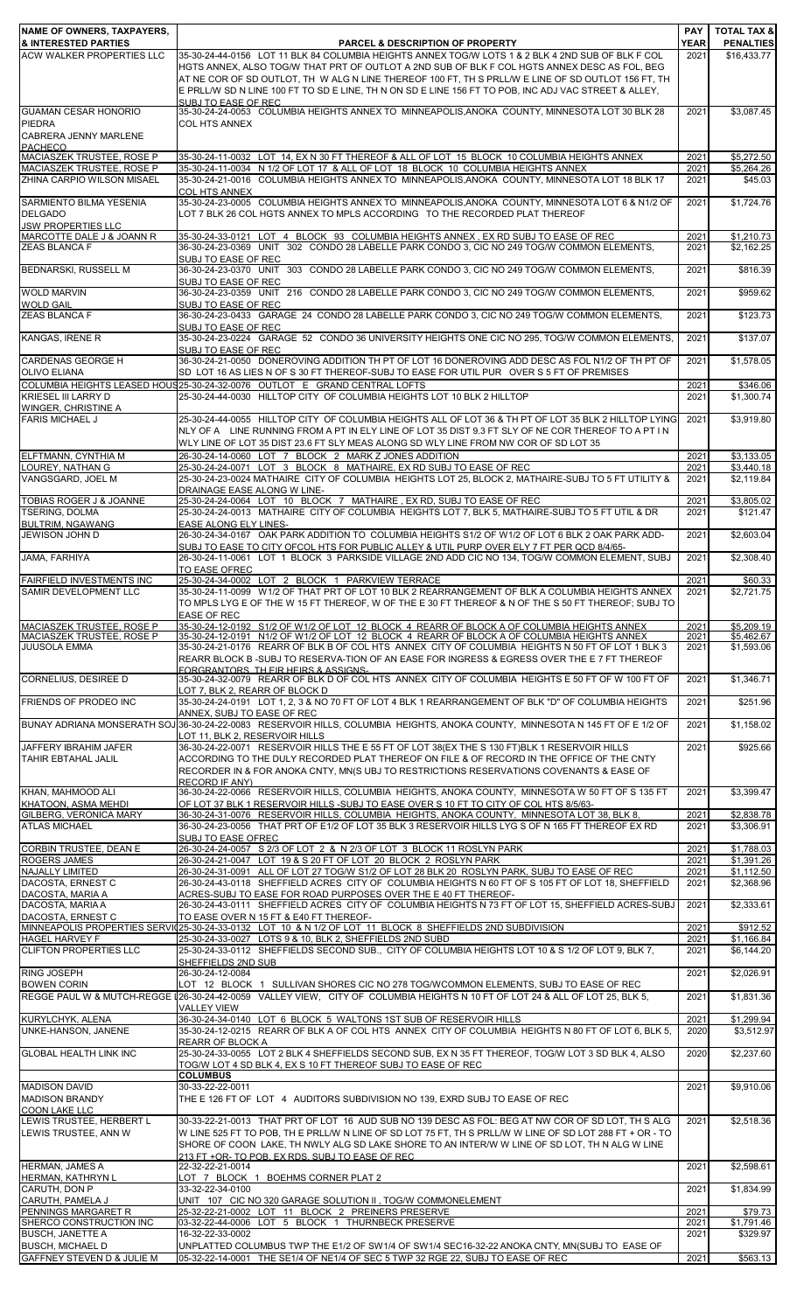| NAME OF OWNERS, TAXPAYERS,                                           |                                                                                                                                                                                                              | <b>PAY</b>   | <b>TOTAL TAX &amp;</b>   |
|----------------------------------------------------------------------|--------------------------------------------------------------------------------------------------------------------------------------------------------------------------------------------------------------|--------------|--------------------------|
| <b>&amp; INTERESTED PARTIES</b>                                      | <b>PARCEL &amp; DESCRIPTION OF PROPERTY</b>                                                                                                                                                                  | <b>YEAR</b>  | <b>PENALTIES</b>         |
| <b>ACW WALKER PROPERTIES LLC</b>                                     | 35-30-24-44-0156 LOT 11 BLK 84 COLUMBIA HEIGHTS ANNEX TOG/W LOTS 1 & 2 BLK 4 2ND SUB OF BLK F COL<br>HGTS ANNEX, ALSO TOG/W THAT PRT OF OUTLOT A 2ND SUB OF BLK F COL HGTS ANNEX DESC AS FOL, BEG            | 2021         | \$16,433.77              |
|                                                                      | AT NE COR OF SD OUTLOT, TH W ALG N LINE THEREOF 100 FT, TH S PRLL/W E LINE OF SD OUTLOT 156 FT, TH                                                                                                           |              |                          |
|                                                                      | E PRLL/W SD N LINE 100 FT TO SD E LINE, TH N ON SD E LINE 156 FT TO POB, INC ADJ VAC STREET & ALLEY,                                                                                                         |              |                          |
| <b>GUAMAN CESAR HONORIO</b>                                          | SUBJ TO FASE OF REC.<br>35-30-24-24-0053 COLUMBIA HEIGHTS ANNEX TO MINNEAPOLIS, ANOKA COUNTY, MINNESOTA LOT 30 BLK 28                                                                                        | 2021         | \$3,087.45               |
| <b>PIEDRA</b>                                                        | <b>COL HTS ANNEX</b>                                                                                                                                                                                         |              |                          |
| CABRERA JENNY MARLENE                                                |                                                                                                                                                                                                              |              |                          |
| <b>PACHECO</b>                                                       |                                                                                                                                                                                                              |              |                          |
| <b>MACIASZEK TRUSTEE, ROSE P</b><br>MACIASZEK TRUSTEE, ROSE P        | 35-30-24-11-0032 LOT 14, EX N 30 FT THEREOF & ALL OF LOT 15 BLOCK 10 COLUMBIA HEIGHTS ANNEX<br>35-30-24-11-0034 N 1/2 OF LOT 17 & ALL OF LOT 18 BLOCK 10 COLUMBIA HEIGHTS ANNEX                              | 2021<br>2021 | \$5,272.50<br>\$5,264.26 |
| ZHINA CARPIO WILSON MISAEL                                           | 35-30-24-21-0016 COLUMBIA HEIGHTS ANNEX TO MINNEAPOLIS, ANOKA COUNTY, MINNESOTA LOT 18 BLK 17                                                                                                                | 2021         | \$45.03                  |
|                                                                      | <b>COL HTS ANNEX</b>                                                                                                                                                                                         |              |                          |
| SARMIENTO BILMA YESENIA<br><b>DELGADO</b>                            | 35-30-24-23-0005 COLUMBIA HEIGHTS ANNEX TO MINNEAPOLIS, ANOKA COUNTY, MINNESOTA LOT 6 & N1/2 OF<br>LOT 7 BLK 26 COL HGTS ANNEX TO MPLS ACCORDING TO THE RECORDED PLAT THEREOF                                | 2021         | \$1,724.76               |
| <b>JSW PROPERTIES LLC</b>                                            |                                                                                                                                                                                                              |              |                          |
| MARCOTTE DALE J & JOANN R                                            | 35-30-24-33-0121 LOT 4 BLOCK 93 COLUMBIA HEIGHTS ANNEX, EX RD SUBJ TO EASE OF REC                                                                                                                            | 2021         | \$1,210.73               |
| <b>ZEAS BLANCA F</b>                                                 | 36-30-24-23-0369 UNIT 302 CONDO 28 LABELLE PARK CONDO 3, CIC NO 249 TOG/W COMMON ELEMENTS,                                                                                                                   | 2021         | \$2,162.25               |
| BEDNARSKI, RUSSELL M                                                 | SUBJ TO EASE OF REC<br>36-30-24-23-0370 UNIT 303 CONDO 28 LABELLE PARK CONDO 3, CIC NO 249 TOG/W COMMON ELEMENTS,                                                                                            | 2021         | \$816.39                 |
|                                                                      | SUBJ TO EASE OF REC                                                                                                                                                                                          |              |                          |
| <b>WOLD MARVIN</b>                                                   | 36-30-24-23-0359 UNIT 216 CONDO 28 LABELLE PARK CONDO 3, CIC NO 249 TOG/W COMMON ELEMENTS.                                                                                                                   | 2021         | \$959.62                 |
| <b>WOLD GAIL</b><br><b>ZEAS BLANCA F</b>                             | SUBJ TO EASE OF REC<br>36-30-24-23-0433 GARAGE 24 CONDO 28 LABELLE PARK CONDO 3, CIC NO 249 TOG/W COMMON ELEMENTS.                                                                                           | 2021         | \$123.73                 |
|                                                                      | SUBJ TO EASE OF REC                                                                                                                                                                                          |              |                          |
| KANGAS, IRENE R                                                      | 35-30-24-23-0224 GARAGE 52 CONDO 36 UNIVERSITY HEIGHTS ONE CIC NO 295, TOG/W COMMON ELEMENTS.                                                                                                                | 2021         | \$137.07                 |
|                                                                      | SUBJ TO EASE OF REC                                                                                                                                                                                          |              |                          |
| <b>CARDENAS GEORGE H</b><br><b>OLIVO ELIANA</b>                      | 36-30-24-21-0050 DONEROVING ADDITION TH PT OF LOT 16 DONEROVING ADD DESC AS FOL N1/2 OF TH PT OF<br>SD LOT 16 AS LIES N OF S 30 FT THEREOF-SUBJ TO EASE FOR UTIL PUR OVER S 5 FT OF PREMISES                 | 2021         | \$1,578.05               |
|                                                                      | COLUMBIA HEIGHTS LEASED HOUS 25-30-24-32-0076 OUTLOT E GRAND CENTRAL LOFTS                                                                                                                                   | 2021         | \$346.06                 |
| <b>KRIESEL III LARRY D</b>                                           | 25-30-24-44-0030 HILLTOP CITY OF COLUMBIA HEIGHTS LOT 10 BLK 2 HILLTOP                                                                                                                                       | 2021         | \$1,300.74               |
| WINGER, CHRISTINE A                                                  |                                                                                                                                                                                                              |              |                          |
| <b>FARIS MICHAEL J</b>                                               | 25-30-24-44-0055 HILLTOP CITY OF COLUMBIA HEIGHTS ALL OF LOT 36 & TH PT OF LOT 35 BLK 2 HILLTOP LYING<br>NLY OF A LINE RUNNING FROM A PT IN ELY LINE OF LOT 35 DIST 9.3 FT SLY OF NE COR THEREOF TO A PT IN  | 2021         | \$3,919.80               |
|                                                                      | WLY LINE OF LOT 35 DIST 23.6 FT SLY MEAS ALONG SD WLY LINE FROM NW COR OF SD LOT 35                                                                                                                          |              |                          |
| ELFTMANN, CYNTHIA M                                                  | 26-30-24-14-0060 LOT 7 BLOCK 2 MARK Z JONES ADDITION                                                                                                                                                         | 2021         | \$3,133.05               |
| LOUREY, NATHAN G                                                     | 25-30-24-24-0071 LOT 3 BLOCK 8 MATHAIRE, EX RD SUBJ TO EASE OF REC                                                                                                                                           | 2021         | \$3,440.18               |
| VANGSGARD, JOEL M                                                    | 25-30-24-23-0024 MATHAIRE CITY OF COLUMBIA HEIGHTS LOT 25, BLOCK 2, MATHAIRE-SUBJ TO 5 FT UTILITY &<br>DRAINAGE EASE ALONG W LINE-                                                                           | 2021         | \$2,119.84               |
| TOBIAS ROGER J & JOANNE                                              | 25-30-24-24-0064 LOT 10 BLOCK 7 MATHAIRE, EX RD, SUBJ TO EASE OF REC                                                                                                                                         | 2021         | \$3,805.02               |
| <b>TSERING, DOLMA</b>                                                | 25-30-24-24-0013 MATHAIRE CITY OF COLUMBIA HEIGHTS LOT 7, BLK 5, MATHAIRE-SUBJ TO 5 FT UTIL & DR                                                                                                             | 2021         | \$121.47                 |
| <b>BULTRIM, NGAWANG</b>                                              | EASE ALONG ELY LINES-                                                                                                                                                                                        |              |                          |
| JEWISON JOHN D                                                       | 26-30-24-34-0167 OAK PARK ADDITION TO COLUMBIA HEIGHTS S1/2 OF W1/2 OF LOT 6 BLK 2 OAK PARK ADD-<br>SUBJ TO EASE TO CITY OFCOL HTS FOR PUBLIC ALLEY & UTIL PURP OVER ELY 7 FT PER QCD 8/4/65-                | 2021         | \$2,603.04               |
| JAMA, FARHIYA                                                        | 26-30-24-11-0061 LOT 1 BLOCK 3 PARKSIDE VILLAGE 2ND ADD CIC NO 134, TOG/W COMMON ELEMENT, SUBJ                                                                                                               | 2021         | \$2,308.40               |
|                                                                      | TO EASE OFREC                                                                                                                                                                                                |              |                          |
| FAIRFIELD INVESTMENTS INC<br><b>SAMIR DEVELOPMENT LLC</b>            | 25-30-24-34-0002 LOT 2 BLOCK 1 PARKVIEW TERRACE<br>35-30-24-11-0099 W1/2 OF THAT PRT OF LOT 10 BLK 2 REARRANGEMENT OF BLK A COLUMBIA HEIGHTS ANNEX                                                           | 2021<br>2021 | \$60.33<br>\$2,721.75    |
|                                                                      | TO MPLS LYG E OF THE W 15 FT THEREOF, W OF THE E 30 FT THEREOF & N OF THE S 50 FT THEREOF; SUBJ TO                                                                                                           |              |                          |
|                                                                      | <b>EASE OF REC</b>                                                                                                                                                                                           |              |                          |
| <b>MACIASZEK TRUSTEE, ROSE P</b><br><b>MACIASZEK TRUSTEE, ROSE P</b> | 35-30-24-12-0192 S1/2 OF W1/2 OF LOT 12 BLOCK 4 REARR OF BLOCK A OF COLUMBIA HEIGHTS ANNEX<br>35-30-24-12-0191 N1/2 OF W1/2 OF LOT 12 BLOCK 4 REARR OF BLOCK A OF COLUMBIA HEIGHTS ANNEX                     | 2021<br>2021 | \$5,209.19<br>\$5.462.67 |
| <b>JUUSOLA EMMA</b>                                                  | 35-30-24-21-0176 REARR OF BLK B OF COL HTS ANNEX CITY OF COLUMBIA HEIGHTS N 50 FT OF LOT 1 BLK 3                                                                                                             | 2021         | \$1,593.06               |
|                                                                      | REARR BLOCK B-SUBJ TO RESERVA-TION OF AN EASE FOR INGRESS & EGRESS OVER THE E 7 FT THEREOF                                                                                                                   |              |                          |
| <b>CORNELIUS, DESIREE D</b>                                          | FORGRANTORS TH FIR HEIRS & ASSIGNS.<br>35-30-24-32-0079 REARR OF BLK D OF COL HTS ANNEX CITY OF COLUMBIA HEIGHTS E 50 FT OF W 100 FT OF                                                                      | 2021         | \$1,346.71               |
|                                                                      | LOT 7, BLK 2, REARR OF BLOCK D                                                                                                                                                                               |              |                          |
| FRIENDS OF PRODEO INC                                                | 35-30-24-24-0191 LOT 1, 2, 3 & NO 70 FT OF LOT 4 BLK 1 REARRANGEMENT OF BLK "D" OF COLUMBIA HEIGHTS                                                                                                          | 2021         | \$251.96                 |
|                                                                      | ANNEX, SUBJ TO EASE OF REC<br>BUNAY ADRIANA MONSERATH SOJ 36-30-24-22-0083 RESERVOIR HILLS, COLUMBIA HEIGHTS, ANOKA COUNTY, MINNESOTA N 145 FT OF E 1/2 OF                                                   | 2021         | \$1,158.02               |
|                                                                      | LOT 11, BLK 2, RESERVOIR HILLS                                                                                                                                                                               |              |                          |
| JAFFERY IBRAHIM JAFER                                                | 36-30-24-22-0071 RESERVOIR HILLS THE E 55 FT OF LOT 38(EX THE S 130 FT)BLK 1 RESERVOIR HILLS                                                                                                                 | 2021         | \$925.66                 |
| <b>TAHIR EBTAHAL JALIL</b>                                           | ACCORDING TO THE DULY RECORDED PLAT THEREOF ON FILE & OF RECORD IN THE OFFICE OF THE CNTY                                                                                                                    |              |                          |
|                                                                      | RECORDER IN & FOR ANOKA CNTY, MN(S UBJ TO RESTRICTIONS RESERVATIONS COVENANTS & EASE OF<br>RECORD IF ANY)                                                                                                    |              |                          |
| KHAN, MAHMOOD ALI                                                    | 36-30-24-22-0066 RESERVOIR HILLS, COLUMBIA HEIGHTS, ANOKA COUNTY, MINNESOTA W 50 FT OF S 135 FT                                                                                                              | 2021         | \$3,399.47               |
| KHATOON, ASMA MEHDI                                                  | OF LOT 37 BLK 1 RESERVOIR HILLS -SUBJ TO EASE OVER S 10 FT TO CITY OF COL HTS 8/5/63-                                                                                                                        |              |                          |
| GILBERG, VERONICA MARY<br><b>ATLAS MICHAEL</b>                       | 36-30-24-31-0076 RESERVOIR HILLS, COLUMBIA HEIGHTS, ANOKA COUNTY, MINNESOTA LOT 38, BLK 8.<br>36-30-24-23-0056 THAT PRT OF E1/2 OF LOT 35 BLK 3 RESERVOIR HILLS LYG S OF N 165 FT THEREOF EX RD              | 2021<br>2021 | \$2,838.78<br>\$3,306.91 |
|                                                                      | SUBJ TO EASE OFREC                                                                                                                                                                                           |              |                          |
| <b>CORBIN TRUSTEE, DEAN E</b>                                        | 26-30-24-24-0057 S 2/3 OF LOT 2 & N 2/3 OF LOT 3 BLOCK 11 ROSLYN PARK                                                                                                                                        | 2021         | \$1,788.03               |
| <b>ROGERS JAMES</b>                                                  | 26-30-24-21-0047 LOT 19 & S 20 FT OF LOT 20 BLOCK 2 ROSLYN PARK                                                                                                                                              | 2021         | \$1,391.26               |
| <b>NAJALLY LIMITED</b><br>DACOSTA, ERNEST C                          | 26-30-24-31-0091 ALL OF LOT 27 TOG/W S1/2 OF LOT 28 BLK 20 ROSLYN PARK, SUBJ TO EASE OF REC<br>26-30-24-43-0118 SHEFFIELD ACRES CITY OF COLUMBIA HEIGHTS N 60 FT OF S 105 FT OF LOT 18, SHEFFIELD            | 2021<br>2021 | \$1,112.50<br>\$2,368.96 |
| DACOSTA, MARIA A                                                     | ACRES-SUBJ TO EASE FOR ROAD PURPOSES OVER THE E 40 FT THEREOF-                                                                                                                                               |              |                          |
| DACOSTA, MARIA A                                                     | 26-30-24-43-0111 SHEFFIELD ACRES CITY OF COLUMBIA HEIGHTS N 73 FT OF LOT 15, SHEFFIELD ACRES-SUBJ                                                                                                            | 2021         | \$2,333.61               |
| DACOSTA, ERNEST C                                                    | TO EASE OVER N 15 FT & E40 FT THEREOF-<br>MINNEAPOLIS PROPERTIES SERVIC25-30-24-33-0132 LOT 10 & N 1/2 OF LOT 11 BLOCK 8 SHEFFIELDS 2ND SUBDIVISION                                                          | 2021         | \$912.52                 |
| <b>HAGEL HARVEY F</b>                                                | 25-30-24-33-0027 LOTS 9 & 10, BLK 2, SHEFFIELDS 2ND SUBD                                                                                                                                                     | 2021         | \$1,166.84               |
| <b>CLIFTON PROPERTIES LLC</b>                                        | 25-30-24-33-0112 SHEFFIELDS SECOND SUB., CITY OF COLUMBIA HEIGHTS LOT 10 & S 1/2 OF LOT 9, BLK 7,                                                                                                            | 2021         | \$6,144.20               |
| <b>RING JOSEPH</b>                                                   | SHEFFIELDS 2ND SUB<br>26-30-24-12-0084                                                                                                                                                                       | 2021         | \$2,026.91               |
| <b>BOWEN CORIN</b>                                                   | LOT 12 BLOCK 1 SULLIVAN SHORES CIC NO 278 TOG/WCOMMON ELEMENTS, SUBJ TO EASE OF REC                                                                                                                          |              |                          |
|                                                                      | REGGE PAUL W & MUTCH-REGGE 126-30-24-42-0059 VALLEY VIEW. CITY OF COLUMBIA HEIGHTS N 10 FT OF LOT 24 & ALL OF LOT 25, BLK 5,                                                                                 | 2021         | \$1,831.36               |
|                                                                      | <b>VALLEY VIEW</b>                                                                                                                                                                                           |              |                          |
| KURYLCHYK, ALENA<br>UNKE-HANSON, JANENE                              | 36-30-24-34-0140 LOT 6 BLOCK 5 WALTONS 1ST SUB OF RESERVOIR HILLS<br>35-30-24-12-0215 REARR OF BLK A OF COL HTS ANNEX CITY OF COLUMBIA HEIGHTS N 80 FT OF LOT 6, BLK 5,                                      | 2021<br>2020 | \$1,299.94<br>\$3,512.97 |
|                                                                      | REARR OF BLOCK A                                                                                                                                                                                             |              |                          |
| <b>GLOBAL HEALTH LINK INC</b>                                        | 25-30-24-33-0055 LOT 2 BLK 4 SHEFFIELDS SECOND SUB. EX N 35 FT THEREOF. TOG/W LOT 3 SD BLK 4. ALSO                                                                                                           | 2020         | \$2,237.60               |
|                                                                      | TOG/W LOT 4 SD BLK 4, EX S 10 FT THEREOF SUBJ TO EASE OF REC<br><b>COLUMBUS</b>                                                                                                                              |              |                          |
| <b>MADISON DAVID</b>                                                 | 30-33-22-22-0011                                                                                                                                                                                             | 2021         | \$9,910.06               |
| <b>MADISON BRANDY</b>                                                | THE E 126 FT OF LOT 4 AUDITORS SUBDIVISION NO 139, EXRD SUBJ TO EASE OF REC                                                                                                                                  |              |                          |
| <b>COON LAKE LLC</b>                                                 |                                                                                                                                                                                                              |              |                          |
| LEWIS TRUSTEE. HERBERT L<br>LEWIS TRUSTEE, ANN W                     | 30-33-22-21-0013 THAT PRT OF LOT 16 AUD SUB NO 139 DESC AS FOL: BEG AT NW COR OF SD LOT, TH S ALG<br>W LINE 525 FT TO POB, TH E PRLL/W N LINE OF SD LOT 75 FT, TH S PRLL/W W LINE OF SD LOT 288 FT + OR - TO | 2021         | \$2,518.36               |
|                                                                      | SHORE OF COON LAKE, TH NWLY ALG SD LAKE SHORE TO AN INTER/W W LINE OF SD LOT, TH N ALG W LINE                                                                                                                |              |                          |
|                                                                      | 213 FT +OR- TO POB. EX RDS. SUBJ TO EASE OF REC                                                                                                                                                              |              |                          |
| <b>HERMAN, JAMES A</b>                                               | 22-32-22-21-0014<br>LOT 7 BLOCK 1 BOEHMS CORNER PLAT 2                                                                                                                                                       | 2021         | \$2,598.61               |
| HERMAN, KATHRYN L<br>CARUTH, DON P                                   | 33-32-22-34-0100                                                                                                                                                                                             | 2021         | \$1,834.99               |
| CARUTH, PAMELA J                                                     | UNIT 107 CIC NO 320 GARAGE SOLUTION II , TOG/W COMMONELEMENT                                                                                                                                                 |              |                          |
| PENNINGS MARGARET R                                                  | 25-32-22-21-0002 LOT 11 BLOCK 2 PREINERS PRESERVE                                                                                                                                                            | 2021         | \$79.73                  |
| SHERCO CONSTRUCTION INC<br><b>BUSCH, JANETTE A</b>                   | 03-32-22-44-0006 LOT 5 BLOCK 1 THURNBECK PRESERVE<br>16-32-22-33-0002                                                                                                                                        | 2021<br>2021 | \$1,791.46<br>\$329.97   |
| <b>BUSCH, MICHAEL D</b>                                              | UNPLATTED COLUMBUS TWP THE E1/2 OF SW1/4 OF SW1/4 SEC16-32-22 ANOKA CNTY, MN(SUBJ TO EASE OF                                                                                                                 |              |                          |
| GAFFNEY STEVEN D & JULIE M                                           | 05-32-22-14-0001 THE SE1/4 OF NE1/4 OF SEC 5 TWP 32 RGE 22, SUBJ TO EASE OF REC                                                                                                                              | 2021         | \$563.13                 |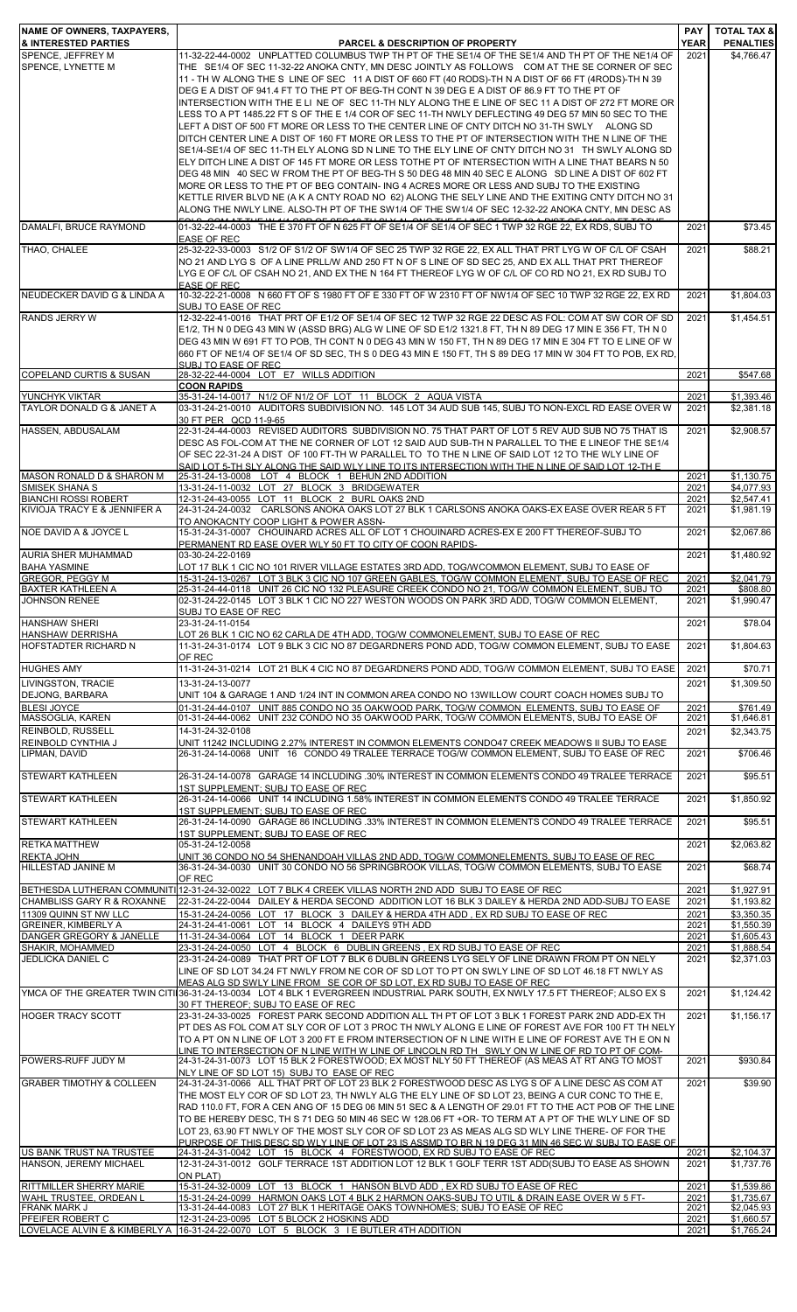| <b>INAME OF OWNERS, TAXPAYERS,</b><br><b>&amp; INTERESTED PARTIES</b>   | PARCEL & DESCRIPTION OF PROPERTY                                                                                                                                                                                                                                                                                                                                                                                                                                                                                                                                                                                                                                                                                                                                                                                                                                                                                                                                                                                            | <b>YEAR</b>           | <b>PAY   TOTAL TAX &amp;</b><br><b>PENALTIES</b> |
|-------------------------------------------------------------------------|-----------------------------------------------------------------------------------------------------------------------------------------------------------------------------------------------------------------------------------------------------------------------------------------------------------------------------------------------------------------------------------------------------------------------------------------------------------------------------------------------------------------------------------------------------------------------------------------------------------------------------------------------------------------------------------------------------------------------------------------------------------------------------------------------------------------------------------------------------------------------------------------------------------------------------------------------------------------------------------------------------------------------------|-----------------------|--------------------------------------------------|
| SPENCE, JEFFREY M<br>SPENCE, LYNETTE M                                  | 11-32-22-44-0002 UNPLATTED COLUMBUS TWP TH PT OF THE SE1/4 OF THE SE1/4 AND TH PT OF THE NE1/4 OF<br>THE SE1/4 OF SEC 11-32-22 ANOKA CNTY, MN DESC JOINTLY AS FOLLOWS COM AT THE SE CORNER OF SEC<br>11 - TH W ALONG THE S LINE OF SEC 11 A DIST OF 660 FT (40 RODS)-TH N A DIST OF 66 FT (4RODS)-TH N 39<br>DEG E A DIST OF 941.4 FT TO THE PT OF BEG-TH CONT N 39 DEG E A DIST OF 86.9 FT TO THE PT OF<br>INTERSECTION WITH THE E LI NE OF SEC 11-TH NLY ALONG THE E LINE OF SEC 11 A DIST OF 272 FT MORE OR<br>LESS TO A PT 1485.22 FT S OF THE E 1/4 COR OF SEC 11-TH NWLY DEFLECTING 49 DEG 57 MIN 50 SEC TO THE                                                                                                                                                                                                                                                                                                                                                                                                       | 2021                  | \$4,766.47                                       |
|                                                                         | LEFT A DIST OF 500 FT MORE OR LESS TO THE CENTER LINE OF CNTY DITCH NO 31-TH SWLY ALONG SD<br>DITCH CENTER LINE A DIST OF 160 FT MORE OR LESS TO THE PT OF INTERSECTION WITH THE N LINE OF THE<br>SE1/4-SE1/4 OF SEC 11-TH ELY ALONG SD N LINE TO THE ELY LINE OF CNTY DITCH NO 31 TH SWLY ALONG SD<br>ELY DITCH LINE A DIST OF 145 FT MORE OR LESS TOTHE PT OF INTERSECTION WITH A LINE THAT BEARS N 50<br>DEG 48 MIN 40 SEC W FROM THE PT OF BEG-TH S 50 DEG 48 MIN 40 SEC E ALONG SD LINE A DIST OF 602 FT<br>MORE OR LESS TO THE PT OF BEG CONTAIN- ING 4 ACRES MORE OR LESS AND SUBJ TO THE EXISTING<br>KETTLE RIVER BLVD NE (A K A CNTY ROAD NO 62) ALONG THE SELY LINE AND THE EXITING CNTY DITCH NO 31<br>ALONG THE NWLY LINE. ALSO-TH PT OF THE SW1/4 OF THE SW1/4 OF SEC 12-32-22 ANOKA CNTY. MN DESC AS<br>FOLO COM AT THE WILL COD OF OFO 40 THIOLY ALONG THE FLINE OF OFO 40 A DIOT OF 440F 00 FT TO TH<br>01-32-22-44-0003 THE E 370 FT OF N 625 FT OF SE1/4 OF SE1/4 OF SEC 1 TWP 32 RGE 22, EX RDS, SUBJ TO |                       |                                                  |
| DAMALFI, BRUCE RAYMOND                                                  | <b>EASE OF REC</b>                                                                                                                                                                                                                                                                                                                                                                                                                                                                                                                                                                                                                                                                                                                                                                                                                                                                                                                                                                                                          | 2021                  | \$73.45                                          |
| THAO, CHALEE                                                            | 25-32-22-33-0003 S1/2 OF S1/2 OF SW1/4 OF SEC 25 TWP 32 RGE 22, EX ALL THAT PRT LYG W OF C/L OF CSAH<br>NO 21 AND LYG S OF A LINE PRLL/W AND 250 FT N OF S LINE OF SD SEC 25, AND EX ALL THAT PRT THEREOF<br>LYG E OF C/L OF CSAH NO 21, AND EX THE N 164 FT THEREOF LYG W OF C/L OF CO RD NO 21, EX RD SUBJ TO<br><b>EASE OF REC</b>                                                                                                                                                                                                                                                                                                                                                                                                                                                                                                                                                                                                                                                                                       | 2021                  | \$88.21                                          |
| NEUDECKER DAVID G & LINDA A                                             | 10-32-22-21-0008 N 660 FT OF S 1980 FT OF E 330 FT OF W 2310 FT OF NW1/4 OF SEC 10 TWP 32 RGE 22, EX RD<br>SUBJ TO EASE OF REC                                                                                                                                                                                                                                                                                                                                                                                                                                                                                                                                                                                                                                                                                                                                                                                                                                                                                              | 2021                  | \$1,804.03                                       |
| <b>RANDS JERRY W</b>                                                    | 12-32-22-41-0016 THAT PRT OF E1/2 OF SE1/4 OF SEC 12 TWP 32 RGE 22 DESC AS FOL: COM AT SW COR OF SD<br>E1/2, TH N 0 DEG 43 MIN W (ASSD BRG) ALG W LINE OF SD E1/2 1321.8 FT, TH N 89 DEG 17 MIN E 356 FT, TH N 0<br>DEG 43 MIN W 691 FT TO POB, TH CONT N 0 DEG 43 MIN W 150 FT, TH N 89 DEG 17 MIN E 304 FT TO E LINE OF W<br>660 FT OF NE1/4 OF SE1/4 OF SD SEC, TH S 0 DEG 43 MIN E 150 FT, TH S 89 DEG 17 MIN W 304 FT TO POB, EX RD,<br>SUBJ TO FASE OF REC.                                                                                                                                                                                                                                                                                                                                                                                                                                                                                                                                                           | 2021                  | \$1,454.51                                       |
| <b>COPELAND CURTIS &amp; SUSAN</b>                                      | 28-32-22-44-0004 LOT E7 WILLS ADDITION<br><b>COON RAPIDS</b>                                                                                                                                                                                                                                                                                                                                                                                                                                                                                                                                                                                                                                                                                                                                                                                                                                                                                                                                                                | 2021                  | \$547.68                                         |
| YUNCHYK VIKTAR                                                          | 35-31-24-14-0017 N1/2 OF N1/2 OF LOT 11 BLOCK 2 AQUA VISTA                                                                                                                                                                                                                                                                                                                                                                                                                                                                                                                                                                                                                                                                                                                                                                                                                                                                                                                                                                  | 2021                  | \$1,393.46                                       |
| TAYLOR DONALD G & JANET A                                               | 03-31-24-21-0010 AUDITORS SUBDIVISION NO. 145 LOT 34 AUD SUB 145, SUBJ TO NON-EXCL RD EASE OVER W<br>30 FT PER QCD 11-9-65                                                                                                                                                                                                                                                                                                                                                                                                                                                                                                                                                                                                                                                                                                                                                                                                                                                                                                  | 2021                  | \$2,381.18                                       |
| HASSEN, ABDUSALAM                                                       | 22-31-24-44-0003 REVISED AUDITORS SUBDIVISION NO. 75 THAT PART OF LOT 5 REV AUD SUB NO 75 THAT IS<br>DESC AS FOL-COM AT THE NE CORNER OF LOT 12 SAID AUD SUB-TH N PARALLEL TO THE E LINEOF THE SE1/4<br>OF SEC 22-31-24 A DIST OF 100 FT-TH W PARALLEL TO TO THE N LINE OF SAID LOT 12 TO THE WLY LINE OF<br>SAID LOT 5-TH SLY ALONG THE SAID WLY LINE TO ITS INTERSECTION WITH THE N LINE OF SAID LOT 12-TH E                                                                                                                                                                                                                                                                                                                                                                                                                                                                                                                                                                                                              | 2021                  | \$2,908.57                                       |
| MASON RONALD D & SHARON M                                               | 25-31-24-13-0008 LOT 4 BLOCK 1 BEHUN 2ND ADDITION                                                                                                                                                                                                                                                                                                                                                                                                                                                                                                                                                                                                                                                                                                                                                                                                                                                                                                                                                                           | 2021                  | \$1,130.75                                       |
| <b>SMISEK SHANA S</b><br><b>BIANCHI ROSSI ROBERT</b>                    | 13-31-24-11-0032 LOT 27 BLOCK 3 BRIDGEWATER<br>12-31-24-43-0055 LOT 11 BLOCK 2 BURL OAKS 2ND                                                                                                                                                                                                                                                                                                                                                                                                                                                                                                                                                                                                                                                                                                                                                                                                                                                                                                                                | 2021<br>2021          | \$4,077.93<br>\$2,547.41                         |
| KIVIOJA TRACY E & JENNIFER A<br>NOE DAVID A & JOYCE L                   | 24-31-24-24-0032 CARLSONS ANOKA OAKS LOT 27 BLK 1 CARLSONS ANOKA OAKS-EX EASE OVER REAR 5 FT<br>TO ANOKACNTY COOP LIGHT & POWER ASSN-<br>15-31-24-31-0007 CHOUINARD ACRES ALL OF LOT 1 CHOUINARD ACRES-EX E 200 FT THEREOF-SUBJ TO                                                                                                                                                                                                                                                                                                                                                                                                                                                                                                                                                                                                                                                                                                                                                                                          | 2021<br>2021          | \$1,981.19<br>\$2,067.86                         |
| AURIA SHER MUHAMMAD                                                     | PERMANENT RD EASE OVER WLY 50 FT TO CITY OF COON RAPIDS-<br>03-30-24-22-0169                                                                                                                                                                                                                                                                                                                                                                                                                                                                                                                                                                                                                                                                                                                                                                                                                                                                                                                                                | 2021                  | \$1,480.92                                       |
| <b>BAHA YASMINE</b>                                                     | LOT 17 BLK 1 CIC NO 101 RIVER VILLAGE ESTATES 3RD ADD, TOG/WCOMMON ELEMENT, SUBJ TO EASE OF                                                                                                                                                                                                                                                                                                                                                                                                                                                                                                                                                                                                                                                                                                                                                                                                                                                                                                                                 |                       |                                                  |
| <b>GREGOR, PEGGY M</b><br><b>BAXTER KATHLEEN A</b>                      | 15-31-24-13-0267 LOT 3 BLK 3 CIC NO 107 GREEN GABLES, TOG/W COMMON ELEMENT, SUBJ TO EASE OF REC<br>25-31-24-44-0118 UNIT 26 CIC NO 132 PLEASURE CREEK CONDO NO 21, TOG/W COMMON ELEMENT, SUBJ TO                                                                                                                                                                                                                                                                                                                                                                                                                                                                                                                                                                                                                                                                                                                                                                                                                            | 2021<br>2021          | \$2,041.79<br>\$808.80                           |
| <b>JOHNSON RENEE</b>                                                    | 02-31-24-22-0145 LOT 3 BLK 1 CIC NO 227 WESTON WOODS ON PARK 3RD ADD, TOG/W COMMON ELEMENT,<br>SUBJ TO EASE OF REC                                                                                                                                                                                                                                                                                                                                                                                                                                                                                                                                                                                                                                                                                                                                                                                                                                                                                                          | 2021                  | \$1,990.47                                       |
| <b>HANSHAW SHERI</b><br><b>HANSHAW DERRISHA</b><br>HOFSTADTER RICHARD N | 23-31-24-11-0154<br>LOT 26 BLK 1 CIC NO 62 CARLA DE 4TH ADD, TOG/W COMMONELEMENT, SUBJ TO EASE OF REC<br>11-31-24-31-0174 LOT 9 BLK 3 CIC NO 87 DEGARDNERS POND ADD, TOG/W COMMON ELEMENT, SUBJ TO EASE                                                                                                                                                                                                                                                                                                                                                                                                                                                                                                                                                                                                                                                                                                                                                                                                                     | 2021<br>2021          | \$78.04<br>\$1,804.63                            |
| <b>HUGHES AMY</b>                                                       | OF REC<br>11-31-24-31-0214 LOT 21 BLK 4 CIC NO 87 DEGARDNERS POND ADD, TOG/W COMMON ELEMENT, SUBJ TO EASE                                                                                                                                                                                                                                                                                                                                                                                                                                                                                                                                                                                                                                                                                                                                                                                                                                                                                                                   | 2021                  | \$70.71                                          |
| LIVINGSTON, TRACIE                                                      | 13-31-24-13-0077                                                                                                                                                                                                                                                                                                                                                                                                                                                                                                                                                                                                                                                                                                                                                                                                                                                                                                                                                                                                            | 2021                  | \$1,309.50                                       |
| <b>DEJONG, BARBARA</b>                                                  | UNIT 104 & GARAGE 1 AND 1/24 INT IN COMMON AREA CONDO NO 13WILLOW COURT COACH HOMES SUBJ TO                                                                                                                                                                                                                                                                                                                                                                                                                                                                                                                                                                                                                                                                                                                                                                                                                                                                                                                                 |                       |                                                  |
| <b>BLESI JOYCE</b><br>MASSOGLIA, KAREN                                  | 01-31-24-44-0107 UNIT 885 CONDO NO 35 OAKWOOD PARK, TOG/W COMMON ELEMENTS, SUBJ TO EASE OF<br>01-31-24-44-0062 UNIT 232 CONDO NO 35 OAKWOOD PARK, TOG/W COMMON ELEMENTS, SUBJ TO EASE OF                                                                                                                                                                                                                                                                                                                                                                                                                                                                                                                                                                                                                                                                                                                                                                                                                                    | 2021<br>2021          | \$761.49<br>\$1.646.81                           |
| <b>REINBOLD, RUSSELL</b><br>REINBOLD CYNTHIA J                          | 14-31-24-32-0108<br><u>UNIT 11242 INCLUDING 2.27% INTEREST IN COMMON ELEMENTS CONDO47 CREEK MEADOWS II SUBJ TO EASE</u>                                                                                                                                                                                                                                                                                                                                                                                                                                                                                                                                                                                                                                                                                                                                                                                                                                                                                                     | 2021                  | \$2,343.75                                       |
| LIPMAN, DAVID<br><b>STEWART KATHLEEN</b>                                | 26-31-24-14-0068 UNIT 16 CONDO 49 TRALEE TERRACE TOG/W COMMON ELEMENT, SUBJ TO EASE OF REC<br>26-31-24-14-0078 GARAGE 14 INCLUDING .30% INTEREST IN COMMON ELEMENTS CONDO 49 TRALEE TERRACE                                                                                                                                                                                                                                                                                                                                                                                                                                                                                                                                                                                                                                                                                                                                                                                                                                 | 2021<br>2021          | \$706.46<br>\$95.51                              |
|                                                                         | 1ST SUPPLEMENT; SUBJ TO EASE OF REC                                                                                                                                                                                                                                                                                                                                                                                                                                                                                                                                                                                                                                                                                                                                                                                                                                                                                                                                                                                         |                       |                                                  |
| <b>STEWART KATHLEEN</b>                                                 | 26-31-24-14-0066 UNIT 14 INCLUDING 1.58% INTEREST IN COMMON ELEMENTS CONDO 49 TRALEE TERRACE<br>1ST SUPPLEMENT; SUBJ TO EASE OF REC                                                                                                                                                                                                                                                                                                                                                                                                                                                                                                                                                                                                                                                                                                                                                                                                                                                                                         | 2021                  | \$1,850.92                                       |
| <b>STEWART KATHLEEN</b>                                                 | 26-31-24-14-0090 GARAGE 86 INCLUDING .33% INTEREST IN COMMON ELEMENTS CONDO 49 TRALEE TERRACE<br>1ST SUPPLEMENT; SUBJ TO EASE OF REC                                                                                                                                                                                                                                                                                                                                                                                                                                                                                                                                                                                                                                                                                                                                                                                                                                                                                        | 2021                  | \$95.51                                          |
| <b>RETKA MATTHEW</b><br><b>REKTA JOHN</b>                               | 05-31-24-12-0058<br>UNIT 36 CONDO NO 54 SHENANDOAH VILLAS 2ND ADD, TOG/W COMMONELEMENTS, SUBJ TO EASE OF REC                                                                                                                                                                                                                                                                                                                                                                                                                                                                                                                                                                                                                                                                                                                                                                                                                                                                                                                | 2021                  | \$2,063.82                                       |
| HILLESTAD JANINE M                                                      | 36-31-24-34-0030 UNIT 30 CONDO NO 56 SPRINGBROOK VILLAS, TOG/W COMMON ELEMENTS, SUBJ TO EASE<br>OF REC<br>BETHESDA LUTHERAN COMMUNITI 12-31-24-32-0022 LOT 7 BLK 4 CREEK VILLAS NORTH 2ND ADD SUBJ TO EASE OF REC                                                                                                                                                                                                                                                                                                                                                                                                                                                                                                                                                                                                                                                                                                                                                                                                           | 2021<br>2021          | \$68.74<br>\$1,927.91                            |
| CHAMBLISS GARY R & ROXANNE                                              | 22-31-24-22-0044 DAILEY & HERDA SECOND ADDITION LOT 16 BLK 3 DAILEY & HERDA 2ND ADD-SUBJ TO EASE                                                                                                                                                                                                                                                                                                                                                                                                                                                                                                                                                                                                                                                                                                                                                                                                                                                                                                                            | 2021                  | \$1,193.82                                       |
| 11309 QUINN ST NW LLC<br><b>GREINER, KIMBERLY A</b>                     | 15-31-24-24-0056 LOT 17 BLOCK 3 DAILEY & HERDA 4TH ADD, EX RD SUBJ TO EASE OF REC<br>24-31-24-41-0061 LOT 14 BLOCK 4 DAILEYS 9TH ADD                                                                                                                                                                                                                                                                                                                                                                                                                                                                                                                                                                                                                                                                                                                                                                                                                                                                                        | 2021<br>2021          | \$3,350.35<br>\$1,550.39                         |
| DANGER GREGORY & JANELLE<br>SHAKIR, MOHAMMED                            | 11-31-24-34-0064 LOT 14 BLOCK 1 DEER PARK<br>23-31-24-24-0050 LOT 4 BLOCK 6 DUBLIN GREENS, EX RD SUBJ TO EASE OF REC                                                                                                                                                                                                                                                                                                                                                                                                                                                                                                                                                                                                                                                                                                                                                                                                                                                                                                        | 2021<br>2021          | \$1,605.43<br>\$1,888.54                         |
| <b>JEDLICKA DANIEL C</b>                                                | 23-31-24-24-0089 THAT PRT OF LOT 7 BLK 6 DUBLIN GREENS LYG SELY OF LINE DRAWN FROM PT ON NELY<br>LINE OF SD LOT 34.24 FT NWLY FROM NE COR OF SD LOT TO PT ON SWLY LINE OF SD LOT 46.18 FT NWLY AS                                                                                                                                                                                                                                                                                                                                                                                                                                                                                                                                                                                                                                                                                                                                                                                                                           | 2021                  | \$2,371.03                                       |
|                                                                         | MEAS ALG SD SWLY LINE FROM SE COR OF SD LOT. EX RD SUBJ TO EASE OF REC<br>YMCA OF THE GREATER TWIN CITI 36-31-24-13-0034 LOT 4 BLK 1 EVERGREEN INDUSTRIAL PARK SOUTH, EX NWLY 17.5 FT THEREOF; ALSO EX S<br>30 FT THEREOF; SUBJ TO EASE OF REC                                                                                                                                                                                                                                                                                                                                                                                                                                                                                                                                                                                                                                                                                                                                                                              | 2021                  | \$1,124.42                                       |
| <b>HOGER TRACY SCOTT</b>                                                | 23-31-24-33-0025 FOREST PARK SECOND ADDITION ALL TH PT OF LOT 3 BLK 1 FOREST PARK 2ND ADD-EX TH<br>PT DES AS FOL COM AT SLY COR OF LOT 3 PROC TH NWLY ALONG E LINE OF FOREST AVE FOR 100 FT TH NELY<br>TO A PT ON N LINE OF LOT 3 200 FT E FROM INTERSECTION OF N LINE WITH E LINE OF FOREST AVE TH E ON N                                                                                                                                                                                                                                                                                                                                                                                                                                                                                                                                                                                                                                                                                                                  | 2021                  | \$1,156.17                                       |
| POWERS-RUFF JUDY M                                                      | LINE TO INTERSECTION OF N LINE WITH W LINE OF LINCOLN RD TH SWLY ON W LINE OF RD TO PT OF COM-<br>24-31-24-31-0073 LOT 15 BLK 2 FORESTWOOD; EX MOST NLY 50 FT THEREOF (AS MEAS AT RT ANG TO MOST                                                                                                                                                                                                                                                                                                                                                                                                                                                                                                                                                                                                                                                                                                                                                                                                                            | 2021                  | \$930.84                                         |
| <b>GRABER TIMOTHY &amp; COLLEEN</b>                                     | NLY LINE OF SD LOT 15) SUBJ TO EASE OF REC<br>24-31-24-31-0066 ALL THAT PRT OF LOT 23 BLK 2 FORESTWOOD DESC AS LYG S OF A LINE DESC AS COM AT<br>THE MOST ELY COR OF SD LOT 23, TH NWLY ALG THE ELY LINE OF SD LOT 23, BEING A CUR CONC TO THE E,<br>RAD 110.0 FT. FOR A CEN ANG OF 15 DEG 06 MIN 51 SEC & A LENGTH OF 29.01 FT TO THE ACT POB OF THE LINE<br>TO BE HEREBY DESC, TH S 71 DEG 50 MIN 46 SEC W 128.06 FT +OR- TO TERM AT A PT OF THE WLY LINE OF SD<br>LOT 23, 63.90 FT NWLY OF THE MOST SLY COR OF SD LOT 23 AS MEAS ALG SD WLY LINE THERE- OF FOR THE<br>PURPOSE OF THIS DESC SD WLY LINE OF LOT 23 IS ASSMD TO BR N 19 DEG 31 MIN 46 SEC W SUBJ TO EASE OF                                                                                                                                                                                                                                                                                                                                                 | 2021                  | \$39.90                                          |
| US BANK TRUST NA TRUSTEE<br>HANSON, JEREMY MICHAEL                      | 24-31-24-31-0042 LOT 15 BLOCK 4 FORESTWOOD, EX RD SUBJ TO EASE OF REC<br>12-31-24-31-0012 GOLF TERRACE 1ST ADDITION LOT 12 BLK 1 GOLF TERR 1ST ADD(SUBJ TO EASE AS SHOWN<br><b>ON PLAT)</b>                                                                                                                                                                                                                                                                                                                                                                                                                                                                                                                                                                                                                                                                                                                                                                                                                                 | 2021<br>2021          | \$2,104.37<br>\$1,737.76                         |
| <b>RITTMILLER SHERRY MARIE</b><br><u>WAHL TRUSTEE, ORDEAN L</u>         | 15-31-24-32-0009 LOT 13 BLOCK 1 HANSON BLVD ADD, EX RD SUBJ TO EASE OF REC<br><u>15-31-24-24-0099   HARMON OAKS LOT 4 BLK 2 HARMON OAKS-SUBJ TO UTIL &amp; DRAIN EASE OVER W 5 FT-</u>                                                                                                                                                                                                                                                                                                                                                                                                                                                                                                                                                                                                                                                                                                                                                                                                                                      | 2021<br><u> 2021 </u> | \$1,539.86<br><u>\$1,735.67 </u>                 |
| <b>FRANK MARK J</b><br>PFEIFER ROBERT C                                 | 13-31-24-44-0083 LOT 27 BLK 1 HERITAGE OAKS TOWNHOMES; SUBJ TO EASE OF REC<br>12-31-24-23-0095 LOT 5 BLOCK 2 HOSKINS ADD                                                                                                                                                                                                                                                                                                                                                                                                                                                                                                                                                                                                                                                                                                                                                                                                                                                                                                    | 2021<br>2021          | \$2,045.93<br>\$1,660.57                         |
| LOVELACE ALVIN E & KIMBERLY A                                           | 16-31-24-22-0070 LOT 5 BLOCK 3 IE BUTLER 4TH ADDITION                                                                                                                                                                                                                                                                                                                                                                                                                                                                                                                                                                                                                                                                                                                                                                                                                                                                                                                                                                       | 2021                  | \$1,765.24                                       |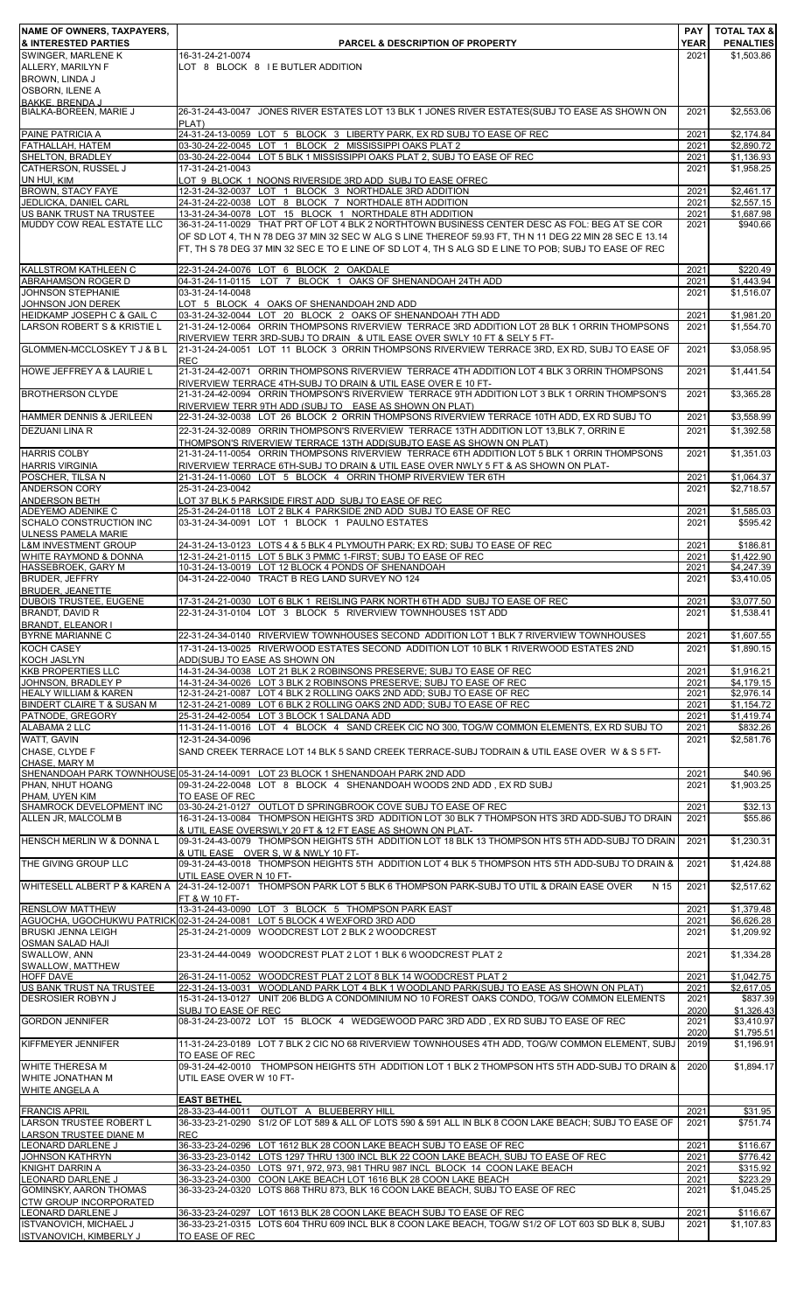| <b>NAME OF OWNERS, TAXPAYERS,</b>                                    |                                                                                                                                                                                                                  |                     | <b>PAY   TOTAL TAX &amp;</b>   |
|----------------------------------------------------------------------|------------------------------------------------------------------------------------------------------------------------------------------------------------------------------------------------------------------|---------------------|--------------------------------|
| <b>&amp; INTERESTED PARTIES</b><br>SWINGER, MARLENE K                | <b>PARCEL &amp; DESCRIPTION OF PROPERTY</b><br>16-31-24-21-0074                                                                                                                                                  | <b>YEAR</b><br>2021 | <b>PENALTIES</b><br>\$1,503.86 |
| ALLERY, MARILYN F                                                    | LOT 8 BLOCK 8 I E BUTLER ADDITION                                                                                                                                                                                |                     |                                |
| BROWN, LINDA J<br>OSBORN, ILENE A                                    |                                                                                                                                                                                                                  |                     |                                |
| <b>BAKKE BRENDA.I</b>                                                |                                                                                                                                                                                                                  |                     |                                |
| BIALKA-BOREEN, MARIE J                                               | 26-31-24-43-0047 JONES RIVER ESTATES LOT 13 BLK 1 JONES RIVER ESTATES(SUBJ TO EASE AS SHOWN ON<br>PLAT)                                                                                                          | 2021                | \$2,553.06                     |
| PAINE PATRICIA A                                                     | 24-31-24-13-0059 LOT 5 BLOCK 3 LIBERTY PARK, EX RD SUBJ TO EASE OF REC                                                                                                                                           | 2021                | \$2,174.84                     |
| FATHALLAH, HATEM<br>SHELTON, BRADLEY                                 | 03-30-24-22-0045 LOT 1 BLOCK 2 MISSISSIPPI OAKS PLAT 2<br>03-30-24-22-0044 LOT 5 BLK 1 MISSISSIPPI OAKS PLAT 2, SUBJ TO EASE OF REC                                                                              | 2021<br>2021        | \$2,890.72<br>\$1,136.93       |
| CATHERSON, RUSSEL J                                                  | 17-31-24-21-0043                                                                                                                                                                                                 | 2021                | \$1,958.25                     |
| UN HUI, KIM                                                          | LOT 9 BLOCK 1 NOONS RIVERSIDE 3RD ADD SUBJ TO EASE OFREC                                                                                                                                                         |                     |                                |
| <b>BROWN, STACY FAYE</b><br>JEDLICKA, DANIEL CARL                    | 12-31-24-32-0037 LOT 1 BLOCK 3 NORTHDALE 3RD ADDITION<br>24-31-24-22-0038 LOT 8 BLOCK 7 NORTHDALE 8TH ADDITION                                                                                                   | 2021<br>2021        | \$2,461.17<br>\$2,557.15       |
| US BANK TRUST NA TRUSTEE                                             | 13-31-24-34-0078 LOT 15 BLOCK 1 NORTHDALE 8TH ADDITION                                                                                                                                                           | 2021                | \$1,687.98                     |
| MUDDY COW REAL ESTATE LLC                                            | 36-31-24-11-0029 THAT PRT OF LOT 4 BLK 2 NORTHTOWN BUSINESS CENTER DESC AS FOL: BEG AT SE COR                                                                                                                    | 2021                | \$940.66                       |
|                                                                      | OF SD LOT 4, TH N 78 DEG 37 MIN 32 SEC W ALG S LINE THEREOF 59.93 FT, TH N 11 DEG 22 MIN 28 SEC E 13.14<br>FT, TH S 78 DEG 37 MIN 32 SEC E TO E LINE OF SD LOT 4, TH S ALG SD E LINE TO POB; SUBJ TO EASE OF REC |                     |                                |
|                                                                      |                                                                                                                                                                                                                  |                     |                                |
| KALLSTROM KATHLEEN C<br><b>ABRAHAMSON ROGER D</b>                    | 22-31-24-24-0076 LOT 6 BLOCK 2 OAKDALE<br>04-31-24-11-0115 LOT 7 BLOCK 1 OAKS OF SHENANDOAH 24TH ADD                                                                                                             | 2021<br>2021        | \$220.49<br>\$1,443.94         |
| JOHNSON STEPHANIE                                                    | 03-31-24-14-0048                                                                                                                                                                                                 | 2021                | \$1,516.07                     |
| JOHNSON JON DEREK                                                    | LOT 5 BLOCK 4 OAKS OF SHENANDOAH 2ND ADD                                                                                                                                                                         |                     |                                |
| HEIDKAMP JOSEPH C & GAIL C<br><b>LARSON ROBERT S &amp; KRISTIE L</b> | 03-31-24-32-0044 LOT 20 BLOCK 2 OAKS OF SHENANDOAH 7TH ADD<br>21-31-24-12-0064 ORRIN THOMPSONS RIVERVIEW TERRACE 3RD ADDITION LOT 28 BLK 1 ORRIN THOMPSONS                                                       | 2021<br>2021        | \$1,981.20<br>\$1,554.70       |
|                                                                      | RIVERVIEW TERR 3RD-SUBJ TO DRAIN & UTIL EASE OVER SWLY 10 FT & SELY 5 FT-                                                                                                                                        |                     |                                |
| GLOMMEN-MCCLOSKEY T J & B L                                          | 21-31-24-24-0051 LOT 11 BLOCK 3 ORRIN THOMPSONS RIVERVIEW TERRACE 3RD, EX RD, SUBJ TO EASE OF<br><b>REC</b>                                                                                                      | 2021                | \$3,058.95                     |
| HOWE JEFFREY A & LAURIE L                                            | 21-31-24-42-0071 ORRIN THOMPSONS RIVERVIEW TERRACE 4TH ADDITION LOT 4 BLK 3 ORRIN THOMPSONS                                                                                                                      | 2021                | \$1,441.54                     |
|                                                                      | RIVERVIEW TERRACE 4TH-SUBJ TO DRAIN & UTIL EASE OVER E 10 FT-                                                                                                                                                    |                     |                                |
| <b>BROTHERSON CLYDE</b>                                              | 21-31-24-42-0094 ORRIN THOMPSON'S RIVERVIEW TERRACE 9TH ADDITION LOT 3 BLK 1 ORRIN THOMPSON'S<br>RIVERVIEW TERR 9TH ADD (SUBJ TO EASE AS SHOWN ON PLAT)                                                          | 2021                | \$3,365.28                     |
| <b>HAMMER DENNIS &amp; JERILEEN</b>                                  | 22-31-24-32-0038 LOT 26 BLOCK 2 ORRIN THOMPSONS RIVERVIEW TERRACE 10TH ADD, EX RD SUBJ TO                                                                                                                        | 2021                | \$3,558.99                     |
| <b>DEZUANI LINA R</b>                                                | 22-31-24-32-0089 ORRIN THOMPSON'S RIVERVIEW TERRACE 13TH ADDITION LOT 13, BLK 7, ORRIN E                                                                                                                         | 2021                | \$1,392.58                     |
| <b>HARRIS COLBY</b>                                                  | THOMPSON'S RIVERVIEW TERRACE 13TH ADD(SUBJTO EASE AS SHOWN ON PLAT)<br>21-31-24-11-0054 ORRIN THOMPSONS RIVERVIEW TERRACE 6TH ADDITION LOT 5 BLK 1 ORRIN THOMPSONS                                               |                     |                                |
| <b>HARRIS VIRGINIA</b>                                               | RIVERVIEW TERRACE 6TH-SUBJ TO DRAIN & UTIL EASE OVER NWLY 5 FT & AS SHOWN ON PLAT-                                                                                                                               | 2021                | \$1,351.03                     |
| POSCHER, TILSA N                                                     | 21-31-24-11-0060 LOT 5 BLOCK 4 ORRIN THOMP RIVERVIEW TER 6TH                                                                                                                                                     | 2021                | \$1,064.37                     |
| <b>ANDERSON CORY</b><br><b>ANDERSON BETH</b>                         | 25-31-24-23-0042<br>LOT 37 BLK 5 PARKSIDE FIRST ADD SUBJ TO EASE OF REC                                                                                                                                          | 2021                | \$2,718.57                     |
| ADEYEMO ADENIKE C                                                    | 25-31-24-24-0118 LOT 2 BLK 4 PARKSIDE 2ND ADD SUBJ TO EASE OF REC                                                                                                                                                | 2021                | \$1,585.03                     |
| SCHALO CONSTRUCTION INC                                              | 03-31-24-34-0091 LOT 1 BLOCK 1 PAULNO ESTATES                                                                                                                                                                    | 2021                | \$595.42                       |
| <b>ULNESS PAMELA MARIE</b><br><b>L&amp;M INVESTMENT GROUP</b>        | 24-31-24-13-0123 LOTS 4 & 5 BLK 4 PLYMOUTH PARK; EX RD; SUBJ TO EASE OF REC                                                                                                                                      | 2021                | \$186.81                       |
| WHITE RAYMOND & DONNA                                                | 12-31-24-21-0115 LOT 5 BLK 3 PMMC 1-FIRST; SUBJ TO EASE OF REC                                                                                                                                                   | 2021                | \$1,422.90                     |
| HASSEBROEK, GARY M                                                   | 10-31-24-13-0019 LOT 12 BLOCK 4 PONDS OF SHENANDOAH                                                                                                                                                              | 2021                | \$4,247.39                     |
| <b>BRUDER, JEFFRY</b><br><b>BRUDER, JEANETTE</b>                     | 04-31-24-22-0040 TRACT B REG LAND SURVEY NO 124                                                                                                                                                                  | 2021                | \$3,410.05                     |
| DUBOIS TRUSTEE, EUGENE                                               | 17-31-24-21-0030 LOT 6 BLK 1 REISLING PARK NORTH 6TH ADD SUBJ TO EASE OF REC                                                                                                                                     | 2021                | \$3,077.50                     |
| BRANDT, DAVID R<br><b>BRANDT, ELEANOR I</b>                          | 22-31-24-31-0104 LOT 3 BLOCK 5 RIVERVIEW TOWNHOUSES 1ST ADD                                                                                                                                                      | 2021                | \$1,538.41                     |
| <b>BYRNE MARIANNE C</b>                                              | 22-31-24-34-0140 RIVERVIEW TOWNHOUSES SECOND ADDITION LOT 1 BLK 7 RIVERVIEW TOWNHOUSES                                                                                                                           | 2021                | \$1,607.55                     |
| KOCH CASEY                                                           | 17-31-24-13-0025 RIVERWOOD ESTATES SECOND ADDITION LOT 10 BLK 1 RIVERWOOD ESTATES 2ND                                                                                                                            | 2021                | \$1,890.15                     |
| <b>KOCH JASLYN</b><br><b>KKB PROPERTIES LLC</b>                      | ADD(SUBJ TO EASE AS SHOWN ON<br>14-31-24-34-0038 LOT 21 BLK 2 ROBINSONS PRESERVE; SUBJ TO EASE OF REC                                                                                                            |                     | \$1,916.21                     |
| JOHNSON, BRADLEY P                                                   | 14-31-24-34-0026 LOT 3 BLK 2 ROBINSONS PRESERVE; SUBJ TO EASE OF REC                                                                                                                                             | 2021<br>2021        | \$4,179.15                     |
| <b>HEALY WILLIAM &amp; KAREN</b>                                     | 12-31-24-21-0087 LOT 4 BLK 2 ROLLING OAKS 2ND ADD; SUBJ TO EASE OF REC                                                                                                                                           | 2021                | \$2,976.14                     |
| BINDERT CLAIRE T & SUSAN M<br>PATNODE, GREGORY                       | 12-31-24-21-0089 LOT 6 BLK 2 ROLLING OAKS 2ND ADD; SUBJ TO EASE OF REC<br>25-31-24-42-0054 LOT 3 BLOCK 1 SALDANA ADD                                                                                             | 2021<br>2021        | \$1,154.72<br>\$1,419.74       |
| ALABAMA 2 LLC                                                        | 11-31-24-11-0016 LOT 4 BLOCK 4 SAND CREEK CIC NO 300, TOG/W COMMON ELEMENTS, EX RD SUBJ TO                                                                                                                       | 2021                | \$832.26                       |
| WATT, GAVIN                                                          | 12-31-24-34-0096                                                                                                                                                                                                 | 2021                | \$2,581.76                     |
| CHASE, CLYDE F<br><b>CHASE, MARY M</b>                               | SAND CREEK TERRACE LOT 14 BLK 5 SAND CREEK TERRACE-SUBJ TODRAIN & UTIL EASE OVER W & S 5 FT-                                                                                                                     |                     |                                |
|                                                                      | SHENANDOAH PARK TOWNHOUSE 05-31-24-14-0091 LOT 23 BLOCK 1 SHENANDOAH PARK 2ND ADD                                                                                                                                | 2021                | \$40.96                        |
| PHAN, NHUT HOANG                                                     | 09-31-24-22-0048 LOT 8 BLOCK 4 SHENANDOAH WOODS 2ND ADD, EX RD SUBJ                                                                                                                                              | 2021                | \$1,903.25                     |
| PHAM, UYEN KIM<br>SHAMROCK DEVELOPMENT INC                           | TO EASE OF REC<br>03-30-24-21-0127 OUTLOT D SPRINGBROOK COVE SUBJ TO EASE OF REC                                                                                                                                 | 2021                | \$32.13                        |
| ALLEN JR, MALCOLM B                                                  | 16-31-24-13-0084 THOMPSON HEIGHTS 3RD ADDITION LOT 30 BLK 7 THOMPSON HTS 3RD ADD-SUBJ TO DRAIN                                                                                                                   | 2021                | \$55.86                        |
|                                                                      | & UTIL EASE OVERSWLY 20 FT & 12 FT EASE AS SHOWN ON PLAT-                                                                                                                                                        |                     |                                |
| HENSCH MERLIN W & DONNA L                                            | 09-31-24-43-0079 THOMPSON HEIGHTS 5TH ADDITION LOT 18 BLK 13 THOMPSON HTS 5TH ADD-SUBJ TO DRAIN<br>& UTIL EASE OVER S, W & NWLY 10 FT-                                                                           | 2021                | \$1,230.31                     |
| THE GIVING GROUP LLC                                                 | 09-31-24-43-0018 THOMPSON HEIGHTS 5TH ADDITION LOT 4 BLK 5 THOMPSON HTS 5TH ADD-SUBJ TO DRAIN &                                                                                                                  | 2021                | \$1,424.88                     |
| WHITESELL ALBERT P & KAREN A                                         | UTIL EASE OVER N 10 FT-<br>24-31-24-12-0071 THOMPSON PARK LOT 5 BLK 6 THOMPSON PARK-SUBJ TO UTIL & DRAIN EASE OVER<br>N 15                                                                                       | 2021                | \$2,517.62                     |
|                                                                      | FT & W 10 FT-                                                                                                                                                                                                    |                     |                                |
| <b>RENSLOW MATTHEW</b>                                               | 13-31-24-43-0090 LOT 3 BLOCK 5 THOMPSON PARK EAST                                                                                                                                                                | 2021                | \$1,379.48                     |
| <b>BRUSKI JENNA LEIGH</b>                                            | AGUOCHA, UGOCHUKWU PATRICK 02-31-24-24-0081 LOT 5 BLOCK 4 WEXFORD 3RD ADD<br>25-31-24-21-0009 WOODCREST LOT 2 BLK 2 WOODCREST                                                                                    | 2021<br>2021        | \$6,626.28<br>\$1,209.92       |
| <b>OSMAN SALAD HAJI</b>                                              |                                                                                                                                                                                                                  |                     |                                |
| SWALLOW, ANN                                                         | 23-31-24-44-0049 WOODCREST PLAT 2 LOT 1 BLK 6 WOODCREST PLAT 2                                                                                                                                                   | 2021                | \$1,334.28                     |
| SWALLOW, MATTHEW<br>HOFF DAVE                                        | 26-31-24-11-0052 WOODCREST PLAT 2 LOT 8 BLK 14 WOODCREST PLAT 2                                                                                                                                                  | 2021                | \$1,042.75                     |
| US BANK TRUST NA TRUSTEE                                             | 22-31-24-13-0031 WOODLAND PARK LOT 4 BLK 1 WOODLAND PARK(SUBJ TO EASE AS SHOWN ON PLAT)                                                                                                                          | 2021                | \$2,617.05                     |
| <b>DESROSIER ROBYN J</b>                                             | 15-31-24-13-0127 UNIT 206 BLDG A CONDOMINIUM NO 10 FOREST OAKS CONDO, TOG/W COMMON ELEMENTS<br>SUBJ TO EASE OF REC                                                                                               | 2021<br>2020        | \$837.39<br>\$1,326.43         |
| <b>GORDON JENNIFER</b>                                               | 08-31-24-23-0072 LOT 15 BLOCK 4 WEDGEWOOD PARC 3RD ADD, EX RD SUBJ TO EASE OF REC                                                                                                                                | 2021                | \$3,410.97                     |
|                                                                      |                                                                                                                                                                                                                  | 2020                | \$1,795.51                     |
| KIFFMEYER JENNIFER                                                   | 11-31-24-23-0189 LOT 7 BLK 2 CIC NO 68 RIVERVIEW TOWNHOUSES 4TH ADD, TOG/W COMMON ELEMENT, SUBJ<br>TO EASE OF REC                                                                                                | 2019                | \$1,196.91                     |
| <b>WHITE THERESA M</b>                                               | 09-31-24-42-0010 THOMPSON HEIGHTS 5TH ADDITION LOT 1 BLK 2 THOMPSON HTS 5TH ADD-SUBJ TO DRAIN &                                                                                                                  | 2020                | \$1.894.17                     |
| WHITE JONATHAN M                                                     | UTIL EASE OVER W 10 FT-                                                                                                                                                                                          |                     |                                |
| <b>WHITE ANGELA A</b>                                                | <b>EAST BETHEL</b>                                                                                                                                                                                               |                     |                                |
| <b>FRANCIS APRIL</b>                                                 | 28-33-23-44-0011 OUTLOT A BLUEBERRY HILL                                                                                                                                                                         | 2021                | \$31.95                        |
| <b>LARSON TRUSTEE ROBERT L</b><br><b>LARSON TRUSTEE DIANE M</b>      | 36-33-23-21-0290 S1/2 OF LOT 589 & ALL OF LOTS 590 & 591 ALL IN BLK 8 COON LAKE BEACH; SUBJ TO EASE OF<br><b>REC</b>                                                                                             | 2021                | \$751.74                       |
| LEONARD DARLENE J                                                    | 36-33-23-24-0296 LOT 1612 BLK 28 COON LAKE BEACH SUBJ TO EASE OF REC                                                                                                                                             | 2021                | \$116.67                       |
| <b>JOHNSON KATHRYN</b>                                               | 36-33-23-23-0142 LOTS 1297 THRU 1300 INCL BLK 22 COON LAKE BEACH, SUBJ TO EASE OF REC                                                                                                                            | 2021                | \$776.42                       |
| KNIGHT DARRIN A<br><b>LEONARD DARLENE J</b>                          | 36-33-23-24-0350 LOTS 971, 972, 973, 981 THRU 987 INCL BLOCK 14 COON LAKE BEACH<br>36-33-23-24-0300 COON LAKE BEACH LOT 1616 BLK 28 COON LAKE BEACH                                                              | 2021<br>2021        | \$315.92<br>\$223.29           |
| <b>GOMINSKY, AARON THOMAS</b>                                        | 36-33-23-24-0320 LOTS 868 THRU 873, BLK 16 COON LAKE BEACH, SUBJ TO EASE OF REC                                                                                                                                  | 2021                | \$1,045.25                     |
| <b>CTW GROUP INCORPORATED</b>                                        |                                                                                                                                                                                                                  |                     |                                |
| <b>LEONARD DARLENE J</b><br><b>ISTVANOVICH, MICHAEL J</b>            | 36-33-23-24-0297 LOT 1613 BLK 28 COON LAKE BEACH SUBJ TO EASE OF REC<br>36-33-23-21-0315 LOTS 604 THRU 609 INCL BLK 8 COON LAKE BEACH, TOG/W S1/2 OF LOT 603 SD BLK 8, SUBJ                                      | 2021<br>2021        | \$116.67<br>\$1,107.83         |
| <b>ISTVANOVICH, KIMBERLY J</b>                                       | TO EASE OF REC                                                                                                                                                                                                   |                     |                                |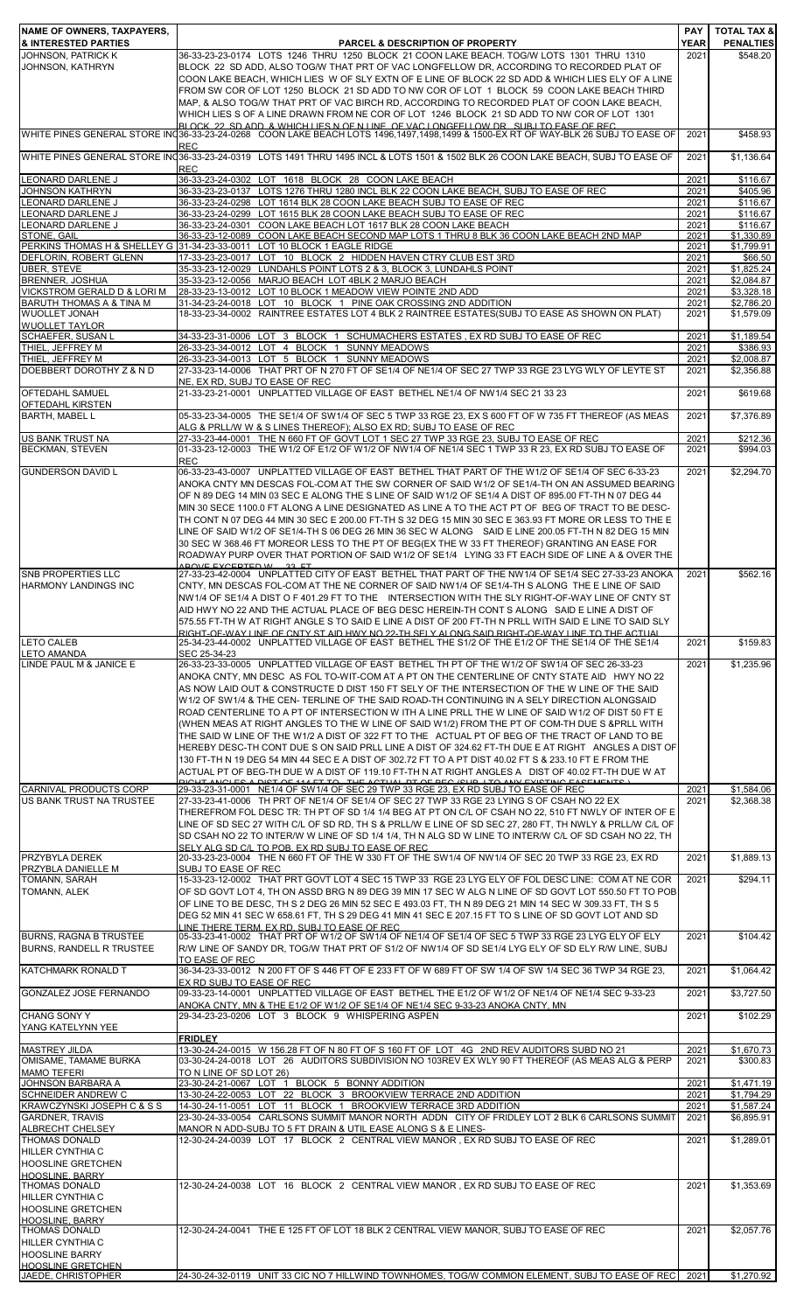| NAME OF OWNERS, TAXPAYERS,<br>& INTERESTED PARTIES                                                 | <b>PARCEL &amp; DESCRIPTION OF PROPERTY</b>                                                                                                                                                                                                                                                                                                                                                                                                                                                                                                                                                                                                                                                                                                                                                                                                                                                                                | <b>PAY</b><br><b>YEAR</b> | <b>TOTAL TAX &amp;</b><br><b>PENALTIES</b> |
|----------------------------------------------------------------------------------------------------|----------------------------------------------------------------------------------------------------------------------------------------------------------------------------------------------------------------------------------------------------------------------------------------------------------------------------------------------------------------------------------------------------------------------------------------------------------------------------------------------------------------------------------------------------------------------------------------------------------------------------------------------------------------------------------------------------------------------------------------------------------------------------------------------------------------------------------------------------------------------------------------------------------------------------|---------------------------|--------------------------------------------|
| JOHNSON, PATRICK K<br>JOHNSON, KATHRYN                                                             | 36-33-23-23-0174 LOTS 1246 THRU 1250 BLOCK 21 COON LAKE BEACH. TOG/W LOTS 1301 THRU 1310<br>BLOCK 22 SD ADD, ALSO TOG/W THAT PRT OF VAC LONGFELLOW DR, ACCORDING TO RECORDED PLAT OF<br>COON LAKE BEACH, WHICH LIES W OF SLY EXTN OF E LINE OF BLOCK 22 SD ADD & WHICH LIES ELY OF A LINE<br>FROM SW COR OF LOT 1250 BLOCK 21 SD ADD TO NW COR OF LOT 1 BLOCK 59 COON LAKE BEACH THIRD<br>MAP, & ALSO TOG/W THAT PRT OF VAC BIRCH RD, ACCORDING TO RECORDED PLAT OF COON LAKE BEACH,<br>WHICH LIES S OF A LINE DRAWN FROM NE COR OF LOT 1246 BLOCK 21 SD ADD TO NW COR OF LOT 1301                                                                                                                                                                                                                                                                                                                                         | 2021                      | \$548.20                                   |
|                                                                                                    | BLOCK 22 SD ADD & WHICH LIFS N OF N LINE OF VAC LONGEFILOW DR. SHR LTO FASE OF REC.<br>WHITE PINES GENERAL STORE IN 36-33-23-24-0268 COON LAKE BEACH LOTS 1496,1497,1498,1499 & 1500-EX RT OF WAY-BLK 26 SUBJ TO EASE OF                                                                                                                                                                                                                                                                                                                                                                                                                                                                                                                                                                                                                                                                                                   | 2021                      | \$458.93                                   |
| <b>LEONARD DARLENE J</b>                                                                           | <b>REC</b><br>WHITE PINES GENERAL STORE IN 36-33-23-24-0319 LOTS 1491 THRU 1495 INCL & LOTS 1501 & 1502 BLK 26 COON LAKE BEACH, SUBJ TO EASE OF<br><b>REC</b>                                                                                                                                                                                                                                                                                                                                                                                                                                                                                                                                                                                                                                                                                                                                                              | 2021                      | \$1.136.64                                 |
| JOHNSON KATHRYN                                                                                    | 36-33-23-24-0302 LOT 1618 BLOCK 28 COON LAKE BEACH<br>36-33-23-23-0137 LOTS 1276 THRU 1280 INCL BLK 22 COON LAKE BEACH, SUBJ TO EASE OF REC                                                                                                                                                                                                                                                                                                                                                                                                                                                                                                                                                                                                                                                                                                                                                                                | 2021<br>2021              | \$116.67<br>\$405.96                       |
| <b>LEONARD DARLENE J</b><br>LEONARD DARLENE J                                                      | 36-33-23-24-0298 LOT 1614 BLK 28 COON LAKE BEACH SUBJ TO EASE OF REC<br>36-33-23-24-0299 LOT 1615 BLK 28 COON LAKE BEACH SUBJ TO EASE OF REC                                                                                                                                                                                                                                                                                                                                                                                                                                                                                                                                                                                                                                                                                                                                                                               | 2021<br>2021              | \$116.67<br>\$116.67                       |
| LEONARD DARLENE J                                                                                  | 36-33-23-24-0301 COON LAKE BEACH LOT 1617 BLK 28 COON LAKE BEACH                                                                                                                                                                                                                                                                                                                                                                                                                                                                                                                                                                                                                                                                                                                                                                                                                                                           | 2021                      | \$116.67                                   |
| STONE, GAIL                                                                                        | 36-33-23-12-0089 COON LAKE BEACH SECOND MAP LOTS 1 THRU 8 BLK 36 COON LAKE BEACH 2ND MAP<br>PERKINS THOMAS H & SHELLEY G 31-34-23-33-0011 LOT 10 BLOCK 1 EAGLE RIDGE                                                                                                                                                                                                                                                                                                                                                                                                                                                                                                                                                                                                                                                                                                                                                       | 2021<br>2021              | \$1,330.89<br>\$1,799.91                   |
| DEFLORIN, ROBERT GLENN                                                                             | 17-33-23-23-0017 LOT 10 BLOCK 2 HIDDEN HAVEN CTRY CLUB EST 3RD                                                                                                                                                                                                                                                                                                                                                                                                                                                                                                                                                                                                                                                                                                                                                                                                                                                             | 2021                      | \$66.50                                    |
| <b>UBER, STEVE</b><br>BRENNER, JOSHUA                                                              | 35-33-23-12-0029 LUNDAHLS POINT LOTS 2 & 3, BLOCK 3, LUNDAHLS POINT<br>35-33-23-12-0056 MARJO BEACH LOT 4BLK 2 MARJO BEACH                                                                                                                                                                                                                                                                                                                                                                                                                                                                                                                                                                                                                                                                                                                                                                                                 | 2021<br>2021              | \$1,825.24<br>\$2,084.87                   |
| VICKSTROM GERALD D & LORI M<br>BARUTH THOMAS A & TINA M                                            | 28-33-23-13-0012 LOT 10 BLOCK 1 MEADOW VIEW POINTE 2ND ADD<br>31-34-23-24-0018 LOT 10 BLOCK 1 PINE OAK CROSSING 2ND ADDITION                                                                                                                                                                                                                                                                                                                                                                                                                                                                                                                                                                                                                                                                                                                                                                                               | 2021<br>2021              | \$3,328.18<br>\$2,786.20                   |
| <b>WUOLLET JONAH</b>                                                                               | 18-33-23-34-0002 RAINTREE ESTATES LOT 4 BLK 2 RAINTREE ESTATES(SUBJ TO EASE AS SHOWN ON PLAT)                                                                                                                                                                                                                                                                                                                                                                                                                                                                                                                                                                                                                                                                                                                                                                                                                              | 2021                      | \$1,579.09                                 |
| <b>WUOLLET TAYLOR</b><br>SCHAEFER, SUSAN L                                                         | 34-33-23-31-0006 LOT 3 BLOCK 1 SCHUMACHERS ESTATES , EX RD SUBJ TO EASE OF REC                                                                                                                                                                                                                                                                                                                                                                                                                                                                                                                                                                                                                                                                                                                                                                                                                                             | 2021                      | \$1,189.54                                 |
| THIEL, JEFFREY M                                                                                   | 26-33-23-34-0012 LOT 4 BLOCK 1 SUNNY MEADOWS                                                                                                                                                                                                                                                                                                                                                                                                                                                                                                                                                                                                                                                                                                                                                                                                                                                                               | 2021                      | \$386.93                                   |
| THIEL, JEFFREY M<br>DOEBBERT DOROTHY Z & N D                                                       | 26-33-23-34-0013 LOT 5 BLOCK 1 SUNNY MEADOWS<br>27-33-23-14-0006 THAT PRT OF N 270 FT OF SE1/4 OF NE1/4 OF SEC 27 TWP 33 RGE 23 LYG WLY OF LEYTE ST                                                                                                                                                                                                                                                                                                                                                                                                                                                                                                                                                                                                                                                                                                                                                                        | 2021<br>2021              | \$2,008.87<br>\$2,356.88                   |
|                                                                                                    | NE, EX RD, SUBJ TO EASE OF REC                                                                                                                                                                                                                                                                                                                                                                                                                                                                                                                                                                                                                                                                                                                                                                                                                                                                                             |                           |                                            |
| <b>OFTEDAHL SAMUEL</b><br>OFTEDAHL KIRSTEN                                                         | 21-33-23-21-0001 UNPLATTED VILLAGE OF EAST BETHEL NE1/4 OF NW1/4 SEC 21 33 23                                                                                                                                                                                                                                                                                                                                                                                                                                                                                                                                                                                                                                                                                                                                                                                                                                              | 2021                      | \$619.68                                   |
| <b>BARTH, MABEL L</b>                                                                              | 05-33-23-34-0005 THE SE1/4 OF SW1/4 OF SEC 5 TWP 33 RGE 23, EX S 600 FT OF W 735 FT THEREOF (AS MEAS<br>ALG & PRLL/W W & S LINES THEREOF); ALSO EX RD; SUBJ TO EASE OF REC                                                                                                                                                                                                                                                                                                                                                                                                                                                                                                                                                                                                                                                                                                                                                 | 2021                      | \$7,376.89                                 |
| US BANK TRUST NA                                                                                   | 27-33-23-44-0001 THE N 660 FT OF GOVT LOT 1 SEC 27 TWP 33 RGE 23, SUBJ TO EASE OF REC                                                                                                                                                                                                                                                                                                                                                                                                                                                                                                                                                                                                                                                                                                                                                                                                                                      | 2021                      | \$212.36                                   |
| <b>BECKMAN, STEVEN</b>                                                                             | 01-33-23-12-0003 THE W1/2 OF E1/2 OF W1/2 OF NW1/4 OF NE1/4 SEC 1 TWP 33 R 23, EX RD SUBJ TO EASE OF<br><b>REC</b>                                                                                                                                                                                                                                                                                                                                                                                                                                                                                                                                                                                                                                                                                                                                                                                                         | 2021                      | \$994.03                                   |
| <b>GUNDERSON DAVID L</b>                                                                           | 06-33-23-43-0007 UNPLATTED VILLAGE OF EAST BETHEL THAT PART OF THE W1/2 OF SE1/4 OF SEC 6-33-23<br>ANOKA CNTY MN DESCAS FOL-COM AT THE SW CORNER OF SAID W1/2 OF SE1/4-TH ON AN ASSUMED BEARING<br>OF N 89 DEG 14 MIN 03 SEC E ALONG THE S LINE OF SAID W1/2 OF SE1/4 A DIST OF 895.00 FT-TH N 07 DEG 44<br>MIN 30 SECE 1100.0 FT ALONG A LINE DESIGNATED AS LINE A TO THE ACT PT OF BEG OF TRACT TO BE DESC-<br>TH CONT N 07 DEG 44 MIN 30 SEC E 200.00 FT-TH S 32 DEG 15 MIN 30 SEC E 363.93 FT MORE OR LESS TO THE E<br>LINE OF SAID W1/2 OF SE1/4-TH S 06 DEG 26 MIN 36 SEC W ALONG SAID E LINE 200.05 FT-TH N 82 DEG 15 MIN<br>30 SEC W 368.46 FT MOREOR LESS TO THE PT OF BEG(EX THE W 33 FT THEREOF) GRANTING AN EASE FOR<br>ROADWAY PURP OVER THAT PORTION OF SAID W1/2 OF SE1/4 LYING 33 FT EACH SIDE OF LINE A & OVER THE<br>AROVE EVOEDTED W 33 ET                                                              | 2021                      | \$2,294.70                                 |
| <b>SNB PROPERTIES LLC</b><br><b>HARMONY LANDINGS INC</b>                                           | 27-33-23-42-0004 UNPLATTED CITY OF EAST BETHEL THAT PART OF THE NW1/4 OF SE1/4 SEC 27-33-23 ANOKA<br>CNTY, MN DESCAS FOL-COM AT THE NE CORNER OF SAID NW1/4 OF SE1/4-TH S ALONG THE E LINE OF SAID<br>NW1/4 OF SE1/4 A DIST O F 401.29 FT TO THE INTERSECTION WITH THE SLY RIGHT-OF-WAY LINE OF CNTY ST<br>AID HWY NO 22 AND THE ACTUAL PLACE OF BEG DESC HEREIN-TH CONT S ALONG   SAID E LINE A DIST OF<br>575.55 FT-TH W AT RIGHT ANGLE S TO SAID E LINE A DIST OF 200 FT-TH N PRLL WITH SAID E LINE TO SAID SLY<br>RIGHT-OF-WAY LINE OF CNTY ST AID HWY NO 22-TH SFLY ALONG SAID RIGHT-OF-WAY LINE TO THE ACTUAL                                                                                                                                                                                                                                                                                                        | 2021                      | \$562.16                                   |
| <b>LETO CALEB</b>                                                                                  | 25-34-23-44-0002 UNPLATTED VILLAGE OF EAST BETHEL THE S1/2 OF THE E1/2 OF THE SE1/4 OF THE SE1/4                                                                                                                                                                                                                                                                                                                                                                                                                                                                                                                                                                                                                                                                                                                                                                                                                           | 2021                      | \$159.83                                   |
| <b>LETO AMANDA</b><br>LINDE PAUL M & JANICE E                                                      | SEC 25-34-23<br>26-33-23-33-0005 UNPLATTED VILLAGE OF EAST BETHEL TH PT OF THE W1/2 OF SW1/4 OF SEC 26-33-23                                                                                                                                                                                                                                                                                                                                                                                                                                                                                                                                                                                                                                                                                                                                                                                                               | 2021                      | \$1,235.96                                 |
|                                                                                                    | ANOKA CNTY, MN DESC AS FOL TO-WIT-COM AT A PT ON THE CENTERLINE OF CNTY STATE AID HWY NO 22<br>AS NOW LAID OUT & CONSTRUCTE D DIST 150 FT SELY OF THE INTERSECTION OF THE W LINE OF THE SAID<br>W1/2 OF SW1/4 & THE CEN- TERLINE OF THE SAID ROAD-TH CONTINUING IN A SELY DIRECTION ALONGSAID<br>ROAD CENTERLINE TO A PT OF INTERSECTION WITH A LINE PRLL THE WILINE OF SAID W1/2 OF DIST 50 FT E<br>(WHEN MEAS AT RIGHT ANGLES TO THE W LINE OF SAID W1/2) FROM THE PT OF COM-TH DUE S & PRLL WITH<br>THE SAID WILINE OF THE W1/2 A DIST OF 322 FT TO THE ACTUAL PT OF BEG OF THE TRACT OF LAND TO BE<br>HEREBY DESC-TH CONT DUE S ON SAID PRLL LINE A DIST OF 324.62 FT-TH DUE E AT RIGHT ANGLES A DIST OF<br>130 FT-TH N 19 DEG 54 MIN 44 SEC E A DIST OF 302.72 FT TO A PT DIST 40.02 FT S & 233.10 FT E FROM THE<br>ACTUAL PT OF BEG-TH DUE W A DIST OF 119.10 FT-TH N AT RIGHT ANGLES A DIST OF 40.02 FT-TH DUE W AT |                           |                                            |
| <b>CARNIVAL PRODUCTS CORP</b><br>US BANK TRUST NA TRUSTEE                                          | 29-33-23-31-0001 NE1/4 OF SW1/4 OF SEC 29 TWP 33 RGE 23, EX RD SUBJ TO EASE OF REC<br>27-33-23-41-0006 TH PRT OF NE1/4 OF SE1/4 OF SEC 27 TWP 33 RGE 23 LYING S OF CSAH NO 22 EX                                                                                                                                                                                                                                                                                                                                                                                                                                                                                                                                                                                                                                                                                                                                           | 2021<br>2021              | \$1,584.06<br>\$2,368.38                   |
|                                                                                                    | THEREFROM FOL DESC TR: TH PT OF SD 1/4 1/4 BEG AT PT ON C/L OF CSAH NO 22, 510 FT NWLY OF INTER OF E<br>LINE OF SD SEC 27 WITH C/L OF SD RD, TH S & PRLL/W E LINE OF SD SEC 27, 280 FT, TH NWLY & PRLL/W C/L OF<br>SD CSAH NO 22 TO INTER/W W LINE OF SD 1/4 1/4, TH N ALG SD W LINE TO INTER/W C/L OF SD CSAH NO 22, TH<br>SELY ALG SD C/L TO POB EX RD SUBJ TO FASE OF REC.                                                                                                                                                                                                                                                                                                                                                                                                                                                                                                                                              |                           |                                            |
| PRZYBYLA DEREK<br>PRZYBLA DANIELLE M                                                               | 20-33-23-23-0004 THE N 660 FT OF THE W 330 FT OF THE SW1/4 OF NW1/4 OF SEC 20 TWP 33 RGE 23, EX RD<br>SUBJ TO EASE OF REC                                                                                                                                                                                                                                                                                                                                                                                                                                                                                                                                                                                                                                                                                                                                                                                                  | 2021                      | \$1,889.13                                 |
| TOMANN, SARAH<br>TOMANN, ALEK                                                                      | 15-33-23-12-0002 THAT PRT GOVT LOT 4 SEC 15 TWP 33 RGE 23 LYG ELY OF FOL DESC LINE: COM AT NE COR<br>OF SD GOVT LOT 4, TH ON ASSD BRG N 89 DEG 39 MIN 17 SEC W ALG N LINE OF SD GOVT LOT 550.50 FT TO POB<br>OF LINE TO BE DESC, TH S 2 DEG 26 MIN 52 SEC E 493.03 FT, TH N 89 DEG 21 MIN 14 SEC W 309.33 FT, TH S 5<br>DEG 52 MIN 41 SEC W 658.61 FT, TH S 29 DEG 41 MIN 41 SEC E 207.15 FT TO S LINE OF SD GOVT LOT AND SD<br>LINE THERE TERM. EX RD. SUBJ TO EASE OF REC.                                                                                                                                                                                                                                                                                                                                                                                                                                               | 2021                      | \$294.11                                   |
| <b>BURNS, RAGNA B TRUSTEE</b><br><b>BURNS, RANDELL R TRUSTEE</b>                                   | 05-33-23-41-0002 THAT PRT OF W1/2 OF SW1/4 OF NE1/4 OF SE1/4 OF SEC 5 TWP 33 RGE 23 LYG ELY OF ELY<br>R/W LINE OF SANDY DR, TOG/W THAT PRT OF S1/2 OF NW1/4 OF SD SE1/4 LYG ELY OF SD ELY R/W LINE, SUBJ<br>TO EASE OF REC                                                                                                                                                                                                                                                                                                                                                                                                                                                                                                                                                                                                                                                                                                 | 2021                      | \$104.42                                   |
| KATCHMARK RONALD T                                                                                 | 36-34-23-33-0012 N 200 FT OF S 446 FT OF E 233 FT OF W 689 FT OF SW 1/4 OF SW 1/4 SEC 36 TWP 34 RGE 23,<br>EX RD SUBJ TO EASE OF REC                                                                                                                                                                                                                                                                                                                                                                                                                                                                                                                                                                                                                                                                                                                                                                                       | 2021                      | \$1,064.42                                 |
| GONZALEZ JOSE FERNANDO                                                                             | 09-33-23-14-0001 UNPLATTED VILLAGE OF EAST BETHEL THE E1/2 OF W1/2 OF NE1/4 OF NE1/4 SEC 9-33-23<br>ANOKA CNTY, MN & THE E1/2 OF W1/2 OF SE1/4 OF NE1/4 SEC 9-33-23 ANOKA CNTY, MN                                                                                                                                                                                                                                                                                                                                                                                                                                                                                                                                                                                                                                                                                                                                         | 2021                      | \$3,727.50                                 |
| <b>CHANG SONY Y</b><br>YANG KATELYNN YEE                                                           | 29-34-23-23-0206 LOT 3 BLOCK 9 WHISPERING ASPEN                                                                                                                                                                                                                                                                                                                                                                                                                                                                                                                                                                                                                                                                                                                                                                                                                                                                            | 2021                      | \$102.29                                   |
|                                                                                                    | <b>FRIDLEY</b>                                                                                                                                                                                                                                                                                                                                                                                                                                                                                                                                                                                                                                                                                                                                                                                                                                                                                                             |                           |                                            |
| <b>MASTREY JILDA</b><br>OMISAME, TAMAME BURKA                                                      | 13-30-24-24-0015 W 156.28 FT OF N 80 FT OF S 160 FT OF LOT 4G 2ND REV AUDITORS SUBD NO 21<br>03-30-24-24-0018 LOT 26 AUDITORS SUBDIVISION NO 103REV EX WLY 90 FT THEREOF (AS MEAS ALG & PERP                                                                                                                                                                                                                                                                                                                                                                                                                                                                                                                                                                                                                                                                                                                               | 2021<br>2021              | \$1,670.73<br>\$300.83                     |
| <b>MAMO TEFERI</b>                                                                                 | TO N LINE OF SD LOT 26)                                                                                                                                                                                                                                                                                                                                                                                                                                                                                                                                                                                                                                                                                                                                                                                                                                                                                                    |                           |                                            |
| <b>JOHNSON BARBARA A</b><br><b>SCHNEIDER ANDREW C</b>                                              | 23-30-24-21-0067 LOT 1 BLOCK 5 BONNY ADDITION<br>13-30-24-22-0053 LOT 22 BLOCK 3 BROOKVIEW TERRACE 2ND ADDITION                                                                                                                                                                                                                                                                                                                                                                                                                                                                                                                                                                                                                                                                                                                                                                                                            | 2021<br>2021              | \$1,471.19<br>\$1,794.29                   |
| KRAWCZYNSKI JOSEPH C & S S                                                                         | 14-30-24-11-0051 LOT 11 BLOCK 1 BROOKVIEW TERRACE 3RD ADDITION                                                                                                                                                                                                                                                                                                                                                                                                                                                                                                                                                                                                                                                                                                                                                                                                                                                             | 2021                      | \$1,587.24                                 |
| <b>GARDNER, TRAVIS</b><br>ALBRECHT CHELSEY                                                         | 23-30-24-33-0054 CARLSONS SUMMIT MANOR NORTH ADDN CITY OF FRIDLEY LOT 2 BLK 6 CARLSONS SUMMIT<br>MANOR N ADD-SUBJ TO 5 FT DRAIN & UTIL EASE ALONG S & E LINES-                                                                                                                                                                                                                                                                                                                                                                                                                                                                                                                                                                                                                                                                                                                                                             | 2021                      | \$6,895.91                                 |
| <b>THOMAS DONALD</b><br><b>HILLER CYNTHIA C</b><br><b>HOOSLINE GRETCHEN</b>                        | 12-30-24-24-0039 LOT 17 BLOCK 2 CENTRAL VIEW MANOR, EX RD SUBJ TO EASE OF REC                                                                                                                                                                                                                                                                                                                                                                                                                                                                                                                                                                                                                                                                                                                                                                                                                                              | 2021                      | \$1,289.01                                 |
| HOOSLINE BARRY<br><b>THOMAS DONALD</b><br><b>HILLER CYNTHIA C</b><br><b>HOOSLINE GRETCHEN</b>      | 12-30-24-24-0038 LOT 16 BLOCK 2 CENTRAL VIEW MANOR, EX RD SUBJ TO EASE OF REC                                                                                                                                                                                                                                                                                                                                                                                                                                                                                                                                                                                                                                                                                                                                                                                                                                              | 2021                      | \$1,353.69                                 |
| <b>HOOSLINE, BARRY</b><br><b>THOMAS DONALD</b><br><b>HILLER CYNTHIA C</b><br><b>HOOSLINE BARRY</b> | 12-30-24-24-0041 THE E 125 FT OF LOT 18 BLK 2 CENTRAL VIEW MANOR. SUBJ TO EASE OF REC                                                                                                                                                                                                                                                                                                                                                                                                                                                                                                                                                                                                                                                                                                                                                                                                                                      | 2021                      | \$2,057.76                                 |
| <b>HOOSLINE GRETCHEN</b><br>JAEDE, CHRISTOPHER                                                     | 24-30-24-32-0119 UNIT 33 CIC NO 7 HILLWIND TOWNHOMES, TOG/W COMMON ELEMENT, SUBJ TO EASE OF REC                                                                                                                                                                                                                                                                                                                                                                                                                                                                                                                                                                                                                                                                                                                                                                                                                            | 2021                      | \$1,270.92                                 |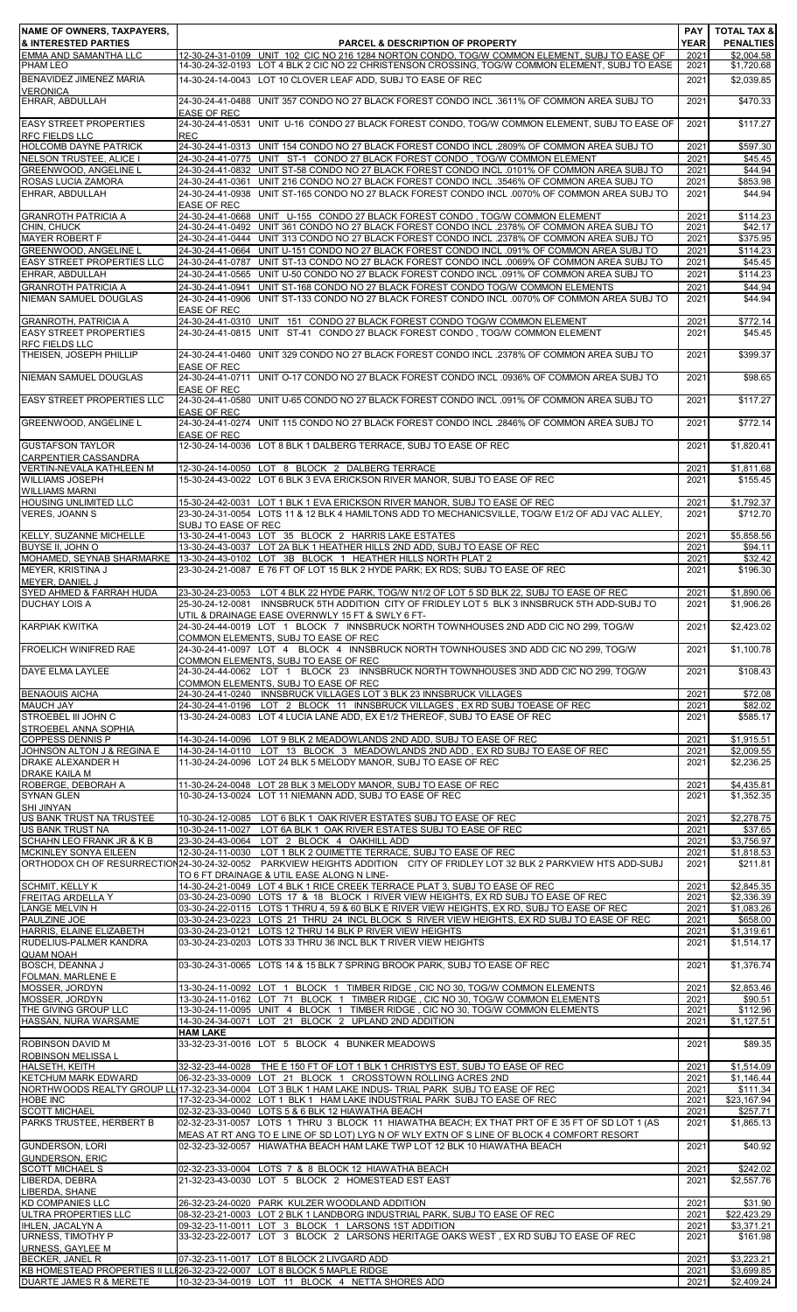| NAME OF OWNERS, TAXPAYERS,<br>& INTERESTED PARTIES      | <b>PARCEL &amp; DESCRIPTION OF PROPERTY</b>                                                                                                                                                                                                         | <b>PAY</b><br><b>YEAR</b> | <b>TOTAL TAX &amp;</b><br><b>PENALTIES</b> |
|---------------------------------------------------------|-----------------------------------------------------------------------------------------------------------------------------------------------------------------------------------------------------------------------------------------------------|---------------------------|--------------------------------------------|
| <b>EMMA AND SAMANTHA LLC</b><br><b>PHAM LEO</b>         | 12-30-24-31-0109 UNIT 102 CIC NO 216 1284 NORTON CONDO, TOG/W COMMON ELEMENT, SUBJ TO EASE OF<br>14-30-24-32-0193 LOT 4 BLK 2 CIC NO 22 CHRISTENSON CROSSING, TOG/W COMMON ELEMENT, SUBJ TO EASE                                                    | 2021<br>2021              | $\overline{$2,004.58}$<br>\$1,720.68       |
| BENAVIDEZ JIMENEZ MARIA                                 | 14-30-24-14-0043 LOT 10 CLOVER LEAF ADD, SUBJ TO EASE OF REC                                                                                                                                                                                        | 2021                      | \$2,039.85                                 |
| <b>VERONICA</b><br>EHRAR, ABDULLAH                      | 24-30-24-41-0488 UNIT 357 CONDO NO 27 BLACK FOREST CONDO INCL .3611% OF COMMON AREA SUBJ TO                                                                                                                                                         | 2021                      | \$470.33                                   |
| <b>EASY STREET PROPERTIES</b><br><b>RFC FIELDS LLC</b>  | <b>EASE OF REC</b><br>24-30-24-41-0531 UNIT U-16 CONDO 27 BLACK FOREST CONDO, TOG/W COMMON ELEMENT, SUBJ TO EASE OF<br><b>REC</b>                                                                                                                   | 2021                      | \$117.27                                   |
| <b>HOLCOMB DAYNE PATRICK</b>                            | 24-30-24-41-0313 UNIT 154 CONDO NO 27 BLACK FOREST CONDO INCL .2809% OF COMMON AREA SUBJ TO                                                                                                                                                         | 2021                      | \$597.30                                   |
| NELSON TRUSTEE, ALICE I<br><b>GREENWOOD, ANGELINE L</b> | 24-30-24-41-0775 UNIT ST-1 CONDO 27 BLACK FOREST CONDO . TOG/W COMMON ELEMENT<br>24-30-24-41-0832 UNIT ST-58 CONDO NO 27 BLACK FOREST CONDO INCL .0101% OF COMMON AREA SUBJ TO                                                                      | 2021<br>2021              | \$45.45<br>\$44.94                         |
| ROSAS LUCIA ZAMORA                                      | UNIT 216 CONDO NO 27 BLACK FOREST CONDO INCL .3546% OF COMMON AREA SUBJ TO<br>24-30-24-41-0361                                                                                                                                                      | 2021                      | \$853.98                                   |
| EHRAR, ABDULLAH                                         | 24-30-24-41-0938 UNIT ST-165 CONDO NO 27 BLACK FOREST CONDO INCL .0070% OF COMMON AREA SUBJ TO<br><b>EASE OF REC</b>                                                                                                                                | 2021                      | \$44.94                                    |
| <b>GRANROTH PATRICIA A</b><br>CHIN, CHUCK               | 24-30-24-41-0668 UNIT U-155 CONDO 27 BLACK FOREST CONDO, TOG/W COMMON ELEMENT<br>UNIT 361 CONDO NO 27 BLACK FOREST CONDO INCL .2378% OF COMMON AREA SUBJ TO<br>24-30-24-41-0492                                                                     | 2021<br>2021              | \$114.23<br>\$42.17                        |
| <b>MAYER ROBERT F</b>                                   | 24-30-24-41-0444 UNIT 313 CONDO NO 27 BLACK FOREST CONDO INCL .2378% OF COMMON AREA SUBJ TO                                                                                                                                                         | 2021                      | \$375.95                                   |
| <b>GREENWOOD, ANGELINE L</b>                            | 24-30-24-41-0664 UNIT U-151 CONDO NO 27 BLACK FOREST CONDO INCL .091% OF COMMON AREA SUBJ TO                                                                                                                                                        | 2021                      | \$114.23                                   |
| <b>EASY STREET PROPERTIES LLC</b><br>EHRAR, ABDULLAH    | UNIT ST-13 CONDO NO 27 BLACK FOREST CONDO INCL .0069% OF COMMON AREA SUBJ TO<br>24-30-24-41-0787<br>24-30-24-41-0565 UNIT U-50 CONDO NO 27 BLACK FOREST CONDO INCL .091% OF COMMON AREA SUBJ TO                                                     | 2021<br>2021              | \$45.45<br>\$114.23                        |
| <b>GRANROTH PATRICIA A</b>                              | UNIT ST-168 CONDO NO 27 BLACK FOREST CONDO TOG/W COMMON ELEMENTS<br>24-30-24-41-0941                                                                                                                                                                | 2021                      | \$44.94                                    |
| NIEMAN SAMUEL DOUGLAS                                   | 24-30-24-41-0906 UNIT ST-133 CONDO NO 27 BLACK FOREST CONDO INCL .0070% OF COMMON AREA SUBJ TO                                                                                                                                                      | 2021                      | \$44.94                                    |
| <b>GRANROTH, PATRICIA A</b>                             | <b>EASE OF REC</b><br>24-30-24-41-0310 UNIT 151 CONDO 27 BLACK FOREST CONDO TOG/W COMMON ELEMENT                                                                                                                                                    | 2021                      | \$772.14                                   |
| <b>EASY STREET PROPERTIES</b>                           | 24-30-24-41-0815 UNIT ST-41 CONDO 27 BLACK FOREST CONDO . TOG/W COMMON ELEMENT                                                                                                                                                                      | 2021                      | \$45.45                                    |
| <b>RFC FIELDS LLC</b><br>THEISEN, JOSEPH PHILLIP        | 24-30-24-41-0460 UNIT 329 CONDO NO 27 BLACK FOREST CONDO INCL .2378% OF COMMON AREA SUBJ TO                                                                                                                                                         | 2021                      | \$399.37                                   |
| NIEMAN SAMUEL DOUGLAS                                   | <b>EASE OF REC</b><br>24-30-24-41-0711 UNIT O-17 CONDO NO 27 BLACK FOREST CONDO INCL .0936% OF COMMON AREA SUBJ TO                                                                                                                                  | 2021                      | \$98.65                                    |
| <b>EASY STREET PROPERTIES LLC</b>                       | <b>EASE OF REC</b><br>24-30-24-41-0580 UNIT U-65 CONDO NO 27 BLACK FOREST CONDO INCL .091% OF COMMON AREA SUBJ TO                                                                                                                                   | 2021                      | \$117.27                                   |
| <b>GREENWOOD, ANGELINE L</b>                            | <b>EASE OF REC</b><br>24-30-24-41-0274 UNIT 115 CONDO NO 27 BLACK FOREST CONDO INCL .2846% OF COMMON AREA SUBJ TO                                                                                                                                   | 2021                      | \$772.14                                   |
|                                                         | <b>EASE OF REC</b>                                                                                                                                                                                                                                  |                           |                                            |
| <b>GUSTAFSON TAYLOR</b><br>CARPENTIER CASSANDRA         | 12-30-24-14-0036 LOT 8 BLK 1 DALBERG TERRACE, SUBJ TO EASE OF REC                                                                                                                                                                                   | 2021<br>2021              | \$1,820.41                                 |
| VERTIN-NEVALA KATHLEEN M<br>WILLIAMS JOSEPH             | 12-30-24-14-0050 LOT 8 BLOCK 2 DALBERG TERRACE<br>15-30-24-43-0022 LOT 6 BLK 3 EVA ERICKSON RIVER MANOR, SUBJ TO EASE OF REC                                                                                                                        | 2021                      | \$1,811.68<br>\$155.45                     |
| <b>WILLIAMS MARNI</b><br><b>HOUSING UNLIMITED LLC</b>   | 15-30-24-42-0031 LOT 1 BLK 1 EVA ERICKSON RIVER MANOR, SUBJ TO EASE OF REC                                                                                                                                                                          | 2021                      | \$1,792.37                                 |
| <b>VERES, JOANN S</b>                                   | 23-30-24-31-0054 LOTS 11 & 12 BLK 4 HAMILTONS ADD TO MECHANICSVILLE, TOG/W E1/2 OF ADJ VAC ALLEY,<br>SUBJ TO EASE OF REC                                                                                                                            | 2021                      | \$712.70                                   |
| <b>KELLY, SUZANNE MICHELLE</b>                          | 13-30-24-41-0043 LOT 35 BLOCK 2 HARRIS LAKE ESTATES                                                                                                                                                                                                 | 2021                      | \$5.858.56                                 |
| BUYSE II, JOHN O                                        | 13-30-24-43-0037 LOT 2A BLK 1 HEATHER HILLS 2ND ADD, SUBJ TO EASE OF REC                                                                                                                                                                            | 2021                      | \$94.11                                    |
| MOHAMED, SEYNAB SHARMARKE<br>MEYER, KRISTINA J          | 13-30-24-43-0102 LOT 3B BLOCK 1 HEATHER HILLS NORTH PLAT 2<br>23-30-24-21-0087 E 76 FT OF LOT 15 BLK 2 HYDE PARK; EX RDS; SUBJ TO EASE OF REC                                                                                                       | 2021<br>2021              | \$32.42<br>\$196.30                        |
| MEYER, DANIEL J                                         |                                                                                                                                                                                                                                                     |                           |                                            |
| SYED AHMED & FARRAH HUDA<br>DUCHAY LOIS A               | 23-30-24-23-0053<br>LOT 4 BLK 22 HYDE PARK, TOG/W N1/2 OF LOT 5 SD BLK 22, SUBJ TO EASE OF REC<br>25-30-24-12-0081 INNSBRUCK 5TH ADDITION_CITY OF FRIDLEY LOT 5_BLK 3 INNSBRUCK 5TH ADD-SUBJ TO<br>UTIL & DRAINAGE EASE OVERNWLY 15 FT & SWLY 6 FT- | 2021<br>2021              | \$1,890.06<br>\$1,906.26                   |
| <b>KARPIAK KWITKA</b>                                   | 24-30-24-44-0019 LOT 1 BLOCK 7 INNSBRUCK NORTH TOWNHOUSES 2ND ADD CIC NO 299, TOG/W<br>COMMON ELEMENTS, SUBJ TO EASE OF REC                                                                                                                         | 2021                      | \$2,423.02                                 |
| <b>FROELICH WINIFRED RAE</b>                            | 24-30-24-41-0097 LOT 4 BLOCK 4 INNSBRUCK NORTH TOWNHOUSES 3ND ADD CIC NO 299, TOG/W                                                                                                                                                                 | 2021                      | \$1,100.78                                 |
| DAYE ELMA LAYLEE                                        | COMMON ELEMENTS, SUBJ TO EASE OF REC<br>24-30-24-44-0062 LOT 1 BLOCK 23 INNSBRUCK NORTH TOWNHOUSES 3ND ADD CIC NO 299, TOG/W                                                                                                                        | 2021                      | \$108.43                                   |
| <b>BENAOUIS AICHA</b>                                   | COMMON ELEMENTS, SUBJ TO EASE OF REC.<br>24-30-24-41-0240 INNSBRUCK VILLAGES LOT 3 BLK 23 INNSBRUCK VILLAGES                                                                                                                                        | 2021                      | \$72.08                                    |
| <b>MAUCH JAY</b><br>STROEBEL III JOHN C                 | 24-30-24-41-0196 LOT 2 BLOCK 11 INNSBRUCK VILLAGES, EX RD SUBJ TOEASE OF REC<br>13-30-24-24-0083 LOT 4 LUCIA LANE ADD, EX E1/2 THEREOF, SUBJ TO EASE OF REC                                                                                         | 2021<br>2021              | \$82.02<br>\$585.17                        |
| STROEBEL ANNA SOPHIA<br><b>COPPESS DENNIS P</b>         |                                                                                                                                                                                                                                                     |                           | \$1,915.51                                 |
| JOHNSON ALTON J & REGINA E                              | 14-30-24-14-0096 LOT 9 BLK 2 MEADOWLANDS 2ND ADD, SUBJ TO EASE OF REC<br>14-30-24-14-0110 LOT 13 BLOCK 3 MEADOWLANDS 2ND ADD, EX RD SUBJ TO EASE OF REC                                                                                             | 2021<br>2021              | \$2,009.55                                 |
| DRAKE ALEXANDER H                                       | 11-30-24-24-0096 LOT 24 BLK 5 MELODY MANOR, SUBJ TO EASE OF REC                                                                                                                                                                                     | 2021                      | \$2,236.25                                 |
| <b>DRAKE KAILA M</b><br>ROBERGE, DEBORAH A              | 11-30-24-24-0048 LOT 28 BLK 3 MELODY MANOR, SUBJ TO EASE OF REC                                                                                                                                                                                     | 2021                      | \$4,435.81                                 |
| <b>SYNAN GLEN</b><br><b>SHI JINYAN</b>                  | 10-30-24-13-0024 LOT 11 NIEMANN ADD, SUBJ TO EASE OF REC                                                                                                                                                                                            | 2021                      | \$1,352.35                                 |
| US BANK TRUST NA TRUSTEE<br>US BANK TRUST NA            | 10-30-24-12-0085 LOT 6 BLK 1 OAK RIVER ESTATES SUBJ TO EASE OF REC<br>10-30-24-11-0027 LOT 6A BLK 1 OAK RIVER ESTATES SUBJ TO EASE OF REC                                                                                                           | 2021<br>2021              | \$2,278.75<br>\$37.65                      |
| SCHAHN LEO FRANK JR & K B<br>MCKINLEY SONYA EILEEN      | 23-30-24-43-0064 LOT 2 BLOCK 4 OAKHILL ADD<br>12-30-24-11-0030 LOT 1 BLK 2 OUIMETTE TERRACE, SUBJ TO EASE OF REC                                                                                                                                    | 2021<br>2021              | \$3,756.97<br>\$1,818.53                   |
|                                                         | ORTHODOX CH OF RESURRECTION24-30-24-32-0052 PARKVIEW HEIGHTS ADDITION CITY OF FRIDLEY LOT 32 BLK 2 PARKVIEW HTS ADD-SUBJ<br>TO 6 FT DRAINAGE & UTIL EASE ALONG N LINE-                                                                              | 2021                      | \$211.81                                   |
| <b>SCHMIT, KELLY K</b>                                  | 14-30-24-21-0049 LOT 4 BLK 1 RICE CREEK TERRACE PLAT 3, SUBJ TO EASE OF REC                                                                                                                                                                         | 2021                      | $\overline{$2,845.35}$                     |
| <b>FREITAG ARDELLA Y</b><br>LANGE MELVIN H              | 03-30-24-23-0090 LOTS 17 & 18 BLOCK I RIVER VIEW HEIGHTS, EX RD SUBJ TO EASE OF REC<br>03-30-24-22-0115 LOTS 1 THRU 4, 59 & 60 BLK E RIVER VIEW HEIGHTS, EX RD, SUBJ TO EASE OF REC                                                                 | 2021<br>2021              | \$2,336.39<br>\$1,083.26                   |
| PAULZINE JOE                                            | 03-30-24-23-0223 LOTS 21 THRU 24 INCL BLOCK S RIVER VIEW HEIGHTS, EX RD SUBJ TO EASE OF REC                                                                                                                                                         | 2021                      | \$658.00                                   |
| HARRIS, ELAINE ELIZABETH<br>RUDELIUS-PALMER KANDRA      | 03-30-24-23-0121 LOTS 12 THRU 14 BLK P RIVER VIEW HEIGHTS<br>03-30-24-23-0203 LOTS 33 THRU 36 INCL BLK T RIVER VIEW HEIGHTS                                                                                                                         | 2021<br>2021              | \$1,319.61<br>\$1,514.17                   |
| <b>QUAM NOAH</b>                                        |                                                                                                                                                                                                                                                     |                           |                                            |
| <b>BOSCH, DEANNA J</b><br>FOLMAN, MARLENE E             | 03-30-24-31-0065 LOTS 14 & 15 BLK 7 SPRING BROOK PARK, SUBJ TO EASE OF REC                                                                                                                                                                          | 2021                      | \$1,376.74                                 |
| MOSSER, JORDYN                                          | 13-30-24-11-0092 LOT 1 BLOCK 1 TIMBER RIDGE, CIC NO 30, TOG/W COMMON ELEMENTS                                                                                                                                                                       | 2021                      | $\overline{$2,853.46}$                     |
| MOSSER, JORDYN<br>THE GIVING GROUP LLC                  | 13-30-24-11-0162 LOT 71 BLOCK 1 TIMBER RIDGE, CIC NO 30, TOG/W COMMON ELEMENTS<br>13-30-24-11-0095 UNIT 4 BLOCK 1 TIMBER RIDGE, CIC NO 30, TOG/W COMMON ELEMENTS                                                                                    | 2021<br>2021              | \$90.51<br>\$112.96                        |
| HASSAN, NURA WARSAME                                    | LOT 21 BLOCK 2 UPLAND 2ND ADDITION<br>14-30-24-34-0071                                                                                                                                                                                              | 2021                      | \$1,127.51                                 |
| <b>ROBINSON DAVID M</b>                                 | <b>HAM LAKE</b><br>33-32-23-31-0016 LOT 5 BLOCK 4 BUNKER MEADOWS                                                                                                                                                                                    | 2021                      | \$89.35                                    |
| <b>ROBINSON MELISSA L</b><br>HALSETH, KEITH             | 32-32-23-44-0028<br>THE E 150 FT OF LOT 1 BLK 1 CHRISTYS EST, SUBJ TO EASE OF REC                                                                                                                                                                   | 2021                      | \$1,514.09                                 |
| KETCHUM MARK EDWARD                                     | 06-32-23-33-0009 LOT 21 BLOCK 1 CROSSTOWN ROLLING ACRES 2ND                                                                                                                                                                                         | 2021                      | \$1,146.44                                 |
| <b>HOBE INC</b>                                         | NORTHWOODS REALTY GROUP LL 17-32-23-34-0004 LOT 3 BLK 1 HAM LAKE INDUS- TRIAL PARK SUBJ TO EASE OF REC<br>17-32-23-34-0002 LOT 1 BLK 1 HAM LAKE INDUSTRIAL PARK SUBJ TO EASE OF REC                                                                 | 2021<br>2021              | \$111.34<br>\$23,167.94                    |
| <b>SCOTT MICHAEL</b>                                    | 02-32-23-33-0040 LOTS 5 & 6 BLK 12 HIAWATHA BEACH                                                                                                                                                                                                   | 2021                      | \$257.71                                   |
| PARKS TRUSTEE, HERBERT B                                | 02-32-23-31-0057 LOTS 1 THRU 3 BLOCK 11 HIAWATHA BEACH; EX THAT PRT OF E 35 FT OF SD LOT 1 (AS<br>MEAS AT RT ANG TO E LINE OF SD LOT) LYG N OF WLY EXTN OF S LINE OF BLOCK 4 COMFORT RESORT                                                         | 2021                      | \$1.865.13                                 |
| <b>GUNDERSON, LORI</b><br><b>GUNDERSON, ERIC</b>        | 02-32-23-32-0057 HIAWATHA BEACH HAM LAKE TWP LOT 12 BLK 10 HIAWATHA BEACH                                                                                                                                                                           | 2021                      | \$40.92                                    |
| <b>SCOTT MICHAEL S</b><br>LIBERDA, DEBRA                | 02-32-23-33-0004 LOTS 7 & 8 BLOCK 12 HIAWATHA BEACH<br>21-32-23-43-0030 LOT 5 BLOCK 2 HOMESTEAD EST EAST                                                                                                                                            | 2021<br>2021              | \$242.02<br>\$2,557.76                     |
| LIBERDA, SHANE                                          |                                                                                                                                                                                                                                                     |                           |                                            |
| <b>KD COMPANIES LLC</b>                                 | 26-32-23-24-0020 PARK KULZER WOODLAND ADDITION                                                                                                                                                                                                      | 2021                      | \$31.90                                    |
| ULTRA PROPERTIES LLC<br><b>IHLEN, JACALYN A</b>         | 08-32-23-21-0003 LOT 2 BLK 1 LANDBORG INDUSTRIAL PARK, SUBJ TO EASE OF REC<br>09-32-23-11-0011 LOT 3 BLOCK 1 LARSONS 1ST ADDITION                                                                                                                   | 2021<br>2021              | \$22,423.29<br>\$3,371.21                  |
| URNESS, TIMOTHY P                                       | 33-32-23-22-0017 LOT 3 BLOCK 2 LARSONS HERITAGE OAKS WEST, EX RD SUBJ TO EASE OF REC                                                                                                                                                                | 2021                      | \$161.98                                   |
| URNESS, GAYLEE M<br>BECKER, JANEL R                     | 07-32-23-11-0017 LOT 8 BLOCK 2 LIVGARD ADD                                                                                                                                                                                                          | 2021                      | \$3,223.21                                 |
|                                                         | KB HOMESTEAD PROPERTIES II LLI 26-32-23-22-0007 LOT 8 BLOCK 5 MAPLE RIDGE                                                                                                                                                                           | 2021                      | \$3,699.85                                 |
| DUARTE JAMES R & MERETE                                 | 10-32-23-34-0019 LOT 11 BLOCK 4 NETTA SHORES ADD                                                                                                                                                                                                    | 2021                      | \$2,409.24                                 |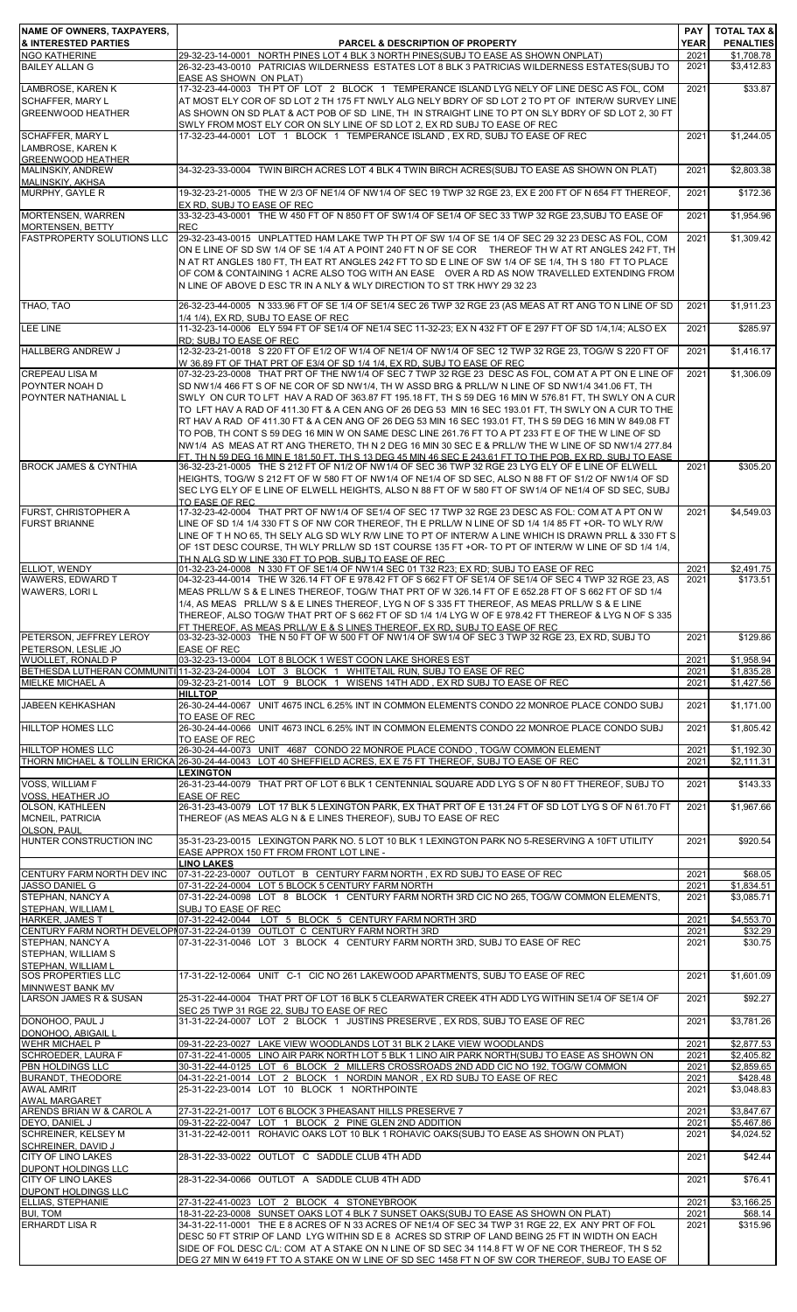| <b>NGO KATHERINE</b>                                                     |                                                                                                                                                                                                                                                                                                                                                                                                                                                                                                                                                                                                                                                                                                                                                                                                                                                              |                      | <b>PENALTIES</b>         |
|--------------------------------------------------------------------------|--------------------------------------------------------------------------------------------------------------------------------------------------------------------------------------------------------------------------------------------------------------------------------------------------------------------------------------------------------------------------------------------------------------------------------------------------------------------------------------------------------------------------------------------------------------------------------------------------------------------------------------------------------------------------------------------------------------------------------------------------------------------------------------------------------------------------------------------------------------|----------------------|--------------------------|
| <b>BAILEY ALLAN G</b>                                                    | 29-32-23-14-0001 NORTH PINES LOT 4 BLK 3 NORTH PINES(SUBJ TO EASE AS SHOWN ONPLAT)<br>26-32-23-43-0010 PATRICIAS WILDERNESS ESTATES LOT 8 BLK 3 PATRICIAS WILDERNESS ESTATES(SUBJ TO<br>EASE AS SHOWN ON PLAT)                                                                                                                                                                                                                                                                                                                                                                                                                                                                                                                                                                                                                                               | 2021<br>2021         | \$1,708.78<br>\$3,412.83 |
| LAMBROSE, KAREN K<br><b>SCHAFFER, MARY L</b><br><b>GREENWOOD HEATHER</b> | 17-32-23-44-0003 TH PT OF LOT 2 BLOCK 1 TEMPERANCE ISLAND LYG NELY OF LINE DESC AS FOL, COM<br>AT MOST ELY COR OF SD LOT 2 TH 175 FT NWLY ALG NELY BDRY OF SD LOT 2 TO PT OF INTER/W SURVEY LINE<br>AS SHOWN ON SD PLAT & ACT POB OF SD LINE, TH IN STRAIGHT LINE TO PT ON SLY BDRY OF SD LOT 2, 30 FT<br>SWLY FROM MOST ELY COR ON SLY LINE OF SD LOT 2, EX RD SUBJ TO EASE OF REC                                                                                                                                                                                                                                                                                                                                                                                                                                                                          | 2021                 | \$33.87                  |
| <b>SCHAFFER, MARY L</b><br>LAMBROSE, KAREN K<br><b>GREENWOOD HEATHER</b> | 17-32-23-44-0001 LOT 1 BLOCK 1 TEMPERANCE ISLAND, EX RD, SUBJ TO EASE OF REC                                                                                                                                                                                                                                                                                                                                                                                                                                                                                                                                                                                                                                                                                                                                                                                 | 2021                 | \$1,244.05               |
| MALINSKIY, ANDREW<br>MALINSKIY, AKHSA                                    | 34-32-23-33-0004 TWIN BIRCH ACRES LOT 4 BLK 4 TWIN BIRCH ACRES(SUBJ TO EASE AS SHOWN ON PLAT)                                                                                                                                                                                                                                                                                                                                                                                                                                                                                                                                                                                                                                                                                                                                                                | 2021                 | \$2,803.38               |
| MURPHY, GAYLE R                                                          | 19-32-23-21-0005 THE W 2/3 OF NE1/4 OF NW1/4 OF SEC 19 TWP 32 RGE 23, EX E 200 FT OF N 654 FT THEREOF,<br>EX RD, SUBJ TO EASE OF REC                                                                                                                                                                                                                                                                                                                                                                                                                                                                                                                                                                                                                                                                                                                         | 2021                 | \$172.36                 |
| <b>MORTENSEN, WARREN</b><br><b>MORTENSEN, BETTY</b>                      | 33-32-23-43-0001 THE W 450 FT OF N 850 FT OF SW1/4 OF SE1/4 OF SEC 33 TWP 32 RGE 23 SUBJ TO EASE OF<br><b>REC</b>                                                                                                                                                                                                                                                                                                                                                                                                                                                                                                                                                                                                                                                                                                                                            | 2021                 | \$1,954.96               |
| <b>FASTPROPERTY SOLUTIONS LLC</b>                                        | 29-32-23-43-0015 UNPLATTED HAM LAKE TWP TH PT OF SW 1/4 OF SE 1/4 OF SEC 29 32 23 DESC AS FOL, COM<br>ON ELINE OF SD SW 1/4 OF SE 1/4 AT A POINT 240 FT N OF SE COR THEREOF TH W AT RT ANGLES 242 FT, TH<br>N AT RT ANGLES 180 FT, TH EAT RT ANGLES 242 FT TO SD E LINE OF SW 1/4 OF SE 1/4, TH S 180 FT TO PLACE<br>OF COM & CONTAINING 1 ACRE ALSO TOG WITH AN EASE OVER A RD AS NOW TRAVELLED EXTENDING FROM<br>N LINE OF ABOVE D ESC TR IN A NLY & WLY DIRECTION TO ST TRK HWY 29 32 23                                                                                                                                                                                                                                                                                                                                                                  | 2021                 | \$1,309.42               |
| THAO, TAO                                                                | 26-32-23-44-0005 N 333.96 FT OF SE 1/4 OF SE1/4 SEC 26 TWP 32 RGE 23 (AS MEAS AT RT ANG TO N LINE OF SD<br>1/4 1/4). EX RD. SUBJ TO EASE OF REC                                                                                                                                                                                                                                                                                                                                                                                                                                                                                                                                                                                                                                                                                                              | 2021                 | \$1,911.23               |
| <b>LEE LINE</b>                                                          | 11-32-23-14-0006 ELY 594 FT OF SE1/4 OF NE1/4 SEC 11-32-23; EX N 432 FT OF E 297 FT OF SD 1/4,1/4; ALSO EX<br>RD; SUBJ TO EASE OF REC                                                                                                                                                                                                                                                                                                                                                                                                                                                                                                                                                                                                                                                                                                                        | 2021                 | \$285.97                 |
| <b>HALLBERG ANDREW J</b>                                                 | 12-32-23-21-0018 S 220 FT OF E1/2 OF W1/4 OF NE1/4 OF NW1/4 OF SEC 12 TWP 32 RGE 23, TOG/W S 220 FT OF<br>W 36.89 FT OF THAT PRT OF E3/4 OF SD 1/4 1/4, EX RD, SUBJ TO EASE OF REC                                                                                                                                                                                                                                                                                                                                                                                                                                                                                                                                                                                                                                                                           | 2021                 | \$1,416.17               |
| <b>CREPEAU LISA M</b><br>POYNTER NOAH D<br>POYNTER NATHANIAL L           | 07-32-23-23-0008 THAT PRT OF THE NW1/4 OF SEC 7 TWP 32 RGE 23 DESC AS FOL, COM AT A PT ON E LINE OF<br>SD NW1/4 466 FT S OF NE COR OF SD NW1/4, TH W ASSD BRG & PRLL/W N LINE OF SD NW1/4 341.06 FT, TH<br>SWLY ON CUR TO LFT HAV A RAD OF 363.87 FT 195.18 FT, TH S 59 DEG 16 MIN W 576.81 FT, TH SWLY ON A CUR<br>TO LFT HAV A RAD OF 411.30 FT & A CEN ANG OF 26 DEG 53 MIN 16 SEC 193.01 FT, TH SWLY ON A CUR TO THE<br>RT HAV A RAD OF 411.30 FT & A CEN ANG OF 26 DEG 53 MIN 16 SEC 193.01 FT, TH S 59 DEG 16 MIN W 849.08 FT<br>TO POB, TH CONT S 59 DEG 16 MIN W ON SAME DESC LINE 261.76 FT TO A PT 233 FT E OF THE W LINE OF SD<br>NW1/4 AS MEAS AT RT ANG THERETO, TH N 2 DEG 16 MIN 30 SEC E & PRLL/W THE W LINE OF SD NW1/4 277.84<br>FT. TH N 59 DEG 16 MIN E 181.50 FT. TH S 13 DEG 45 MIN 46 SEC E 243.61 FT TO THE POB. EX RD. SUBJ TO EASE | 2021                 | \$1,306.09               |
| <b>BROCK JAMES &amp; CYNTHIA</b>                                         | 36-32-23-21-0005 THE S 212 FT OF N1/2 OF NW1/4 OF SEC 36 TWP 32 RGE 23 LYG ELY OF E LINE OF ELWELL<br>HEIGHTS, TOG/W S 212 FT OF W 580 FT OF NW1/4 OF NE1/4 OF SD SEC, ALSO N 88 FT OF S1/2 OF NW1/4 OF SD<br>SEC LYG ELY OF E LINE OF ELWELL HEIGHTS, ALSO N 88 FT OF W 580 FT OF SW1/4 OF NE1/4 OF SD SEC, SUBJ<br>TO EASE OF REC                                                                                                                                                                                                                                                                                                                                                                                                                                                                                                                          | 2021                 | \$305.20                 |
| FURST, CHRISTOPHER A<br><b>FURST BRIANNE</b>                             | 17-32-23-42-0004 THAT PRT OF NW1/4 OF SE1/4 OF SEC 17 TWP 32 RGE 23 DESC AS FOL: COM AT A PT ON W<br>LINE OF SD 1/4 1/4 330 FT S OF NW COR THEREOF, TH E PRLL/W N LINE OF SD 1/4 1/4 85 FT +OR- TO WLY R/W<br>LINE OF T H NO 65, TH SELY ALG SD WLY R/W LINE TO PT OF INTER/W A LINE WHICH IS DRAWN PRLL & 330 FT S<br>OF 1ST DESC COURSE, TH WLY PRLL/W SD 1ST COURSE 135 FT +OR- TO PT OF INTER/W W LINE OF SD 1/4 1/4,<br>TH N ALG SD W LINE 330 FT TO POB. SUBJ TO EASE OF REC.                                                                                                                                                                                                                                                                                                                                                                          | 2021                 | \$4,549.03               |
| ELLIOT, WENDY<br>WAWERS, EDWARD T<br>WAWERS, LORI L                      | 01-32-23-24-0008 N 330 FT OF SE1/4 OF NW1/4 SEC 01 T32 R23; EX RD; SUBJ TO EASE OF REC<br>04-32-23-44-0014 THE W 326.14 FT OF E 978.42 FT OF S 662 FT OF SE1/4 OF SE1/4 OF SEC 4 TWP 32 RGE 23. AS<br>MEAS PRLL/W S & E LINES THEREOF, TOG/W THAT PRT OF W 326.14 FT OF E 652.28 FT OF S 662 FT OF SD 1/4<br>1/4, AS MEAS PRLL/W S & E LINES THEREOF, LYG N OF S 335 FT THEREOF, AS MEAS PRLL/W S & E LINE<br>THEREOF, ALSO TOG/W THAT PRT OF S 662 FT OF SD 1/4 1/4 LYG W OF E 978.42 FT THEREOF & LYG N OF S 335<br>FT THEREOF, AS MEAS PRLL/W E & S LINES THEREOF, EX RD, SUBJ TO EASE OF REC                                                                                                                                                                                                                                                             | 2021<br>2021         | \$2,491.75<br>\$173.51   |
| PETERSON, JEFFREY LEROY<br>PETERSON. LESLIE JO                           | 03-32-23-32-0003 THE N 50 FT OF W 500 FT OF NW1/4 OF SW1/4 OF SEC 3 TWP 32 RGE 23, EX RD, SUBJ TO<br><b>EASE OF REC</b>                                                                                                                                                                                                                                                                                                                                                                                                                                                                                                                                                                                                                                                                                                                                      | 2021                 | \$129.86                 |
| <b>WUOLLET, RONALD P</b>                                                 | 03-32-23-13-0004 LOT 8 BLOCK 1 WEST COON LAKE SHORES EST<br>BETHESDA LUTHERAN COMMUNITI 11-32-23-24-0004 LOT 3 BLOCK 1 WHITETAIL RUN, SUBJ TO EASE OF REC                                                                                                                                                                                                                                                                                                                                                                                                                                                                                                                                                                                                                                                                                                    | 2021<br>2021         | \$1,958.94<br>\$1,835.28 |
| MIELKE MICHAEL A                                                         | 09-32-23-21-0014 LOT 9 BLOCK 1 WISENS 14TH ADD, EX RD SUBJ TO EASE OF REC<br><b>HILLTOP</b>                                                                                                                                                                                                                                                                                                                                                                                                                                                                                                                                                                                                                                                                                                                                                                  | 2021                 | \$1,427.56               |
| <b>JABEEN KEHKASHAN</b>                                                  | 26-30-24-44-0067 UNIT 4675 INCL 6.25% INT IN COMMON ELEMENTS CONDO 22 MONROE PLACE CONDO SUBJ<br>TO EASE OF REC                                                                                                                                                                                                                                                                                                                                                                                                                                                                                                                                                                                                                                                                                                                                              | 2021                 | \$1,171.00               |
| <b>HILLTOP HOMES LLC</b>                                                 | 26-30-24-44-0066 UNIT 4673 INCL 6.25% INT IN COMMON ELEMENTS CONDO 22 MONROE PLACE CONDO SUBJ<br>TO EASE OF REC                                                                                                                                                                                                                                                                                                                                                                                                                                                                                                                                                                                                                                                                                                                                              | 2021                 | \$1,805.42               |
| HILLTOP HOMES LLC                                                        | 26-30-24-44-0073 UNIT 4687 CONDO 22 MONROE PLACE CONDO, TOG/W COMMON ELEMENT<br>THORN MICHAEL & TOLLIN ERICKA 26-30-24-44-0043 LOT 40 SHEFFIELD ACRES, EX E 75 FT THEREOF, SUBJ TO EASE OF REC                                                                                                                                                                                                                                                                                                                                                                                                                                                                                                                                                                                                                                                               | 2021<br>2021         | \$1.192.30<br>\$2,111.31 |
| <b>VOSS, WILLIAM F</b><br>VOSS, HEATHER JO                               | <b>LEXINGTON</b><br>26-31-23-44-0079 THAT PRT OF LOT 6 BLK 1 CENTENNIAL SQUARE ADD LYG S OF N 80 FT THEREOF, SUBJ TO<br><b>EASE OF REC</b>                                                                                                                                                                                                                                                                                                                                                                                                                                                                                                                                                                                                                                                                                                                   | 2021                 | \$143.33                 |
| OLSON, KATHLEEN<br>MCNEIL, PATRICIA                                      | 26-31-23-43-0079 LOT 17 BLK 5 LEXINGTON PARK, EX THAT PRT OF E 131.24 FT OF SD LOT LYG S OF N 61.70 FT<br>THEREOF (AS MEAS ALG N & E LINES THEREOF), SUBJ TO EASE OF REC                                                                                                                                                                                                                                                                                                                                                                                                                                                                                                                                                                                                                                                                                     | 2021                 | \$1,967.66               |
| <b>OLSON, PAUL</b><br>HUNTER CONSTRUCTION INC                            | 35-31-23-23-0015 LEXINGTON PARK NO. 5 LOT 10 BLK 1 LEXINGTON PARK NO 5-RESERVING A 10FT UTILITY<br>EASE APPROX 150 FT FROM FRONT LOT LINE -                                                                                                                                                                                                                                                                                                                                                                                                                                                                                                                                                                                                                                                                                                                  | 2021                 | \$920.54                 |
| CENTURY FARM NORTH DEV INC                                               | <b>LINO LAKES</b><br>07-31-22-23-0007 OUTLOT B CENTURY FARM NORTH, EX RD SUBJ TO EASE OF REC                                                                                                                                                                                                                                                                                                                                                                                                                                                                                                                                                                                                                                                                                                                                                                 | 2021                 | \$68.05                  |
| <b>JASSO DANIEL G</b><br>STEPHAN, NANCY A                                | 07-31-22-24-0004 LOT 5 BLOCK 5 CENTURY FARM NORTH<br>07-31-22-24-0098 LOT 8 BLOCK 1 CENTURY FARM NORTH 3RD CIC NO 265, TOG/W COMMON ELEMENTS,                                                                                                                                                                                                                                                                                                                                                                                                                                                                                                                                                                                                                                                                                                                | 2021<br>2021         | \$1,834.51<br>\$3,085.71 |
| STEPHAN, WILLIAM L                                                       | SUBJ TO EASE OF REC<br>07-31-22-42-0044 LOT 5 BLOCK 5 CENTURY FARM NORTH 3RD                                                                                                                                                                                                                                                                                                                                                                                                                                                                                                                                                                                                                                                                                                                                                                                 |                      | \$4,553.70               |
| <b>HARKER, JAMES T</b><br>STEPHAN, NANCY A<br>STEPHAN, WILLIAM S         | CENTURY FARM NORTH DEVELOPI 07-31-22-24-0139 OUTLOT C CENTURY FARM NORTH 3RD<br>07-31-22-31-0046 LOT 3 BLOCK 4 CENTURY FARM NORTH 3RD, SUBJ TO EASE OF REC                                                                                                                                                                                                                                                                                                                                                                                                                                                                                                                                                                                                                                                                                                   | 2021<br>2021<br>2021 | \$32.29<br>\$30.75       |
| STEPHAN, WILLIAM L<br>SOS PROPERTIES LLC<br>MINNWEST BANK MV             | 17-31-22-12-0064 UNIT C-1 CIC NO 261 LAKEWOOD APARTMENTS, SUBJ TO EASE OF REC                                                                                                                                                                                                                                                                                                                                                                                                                                                                                                                                                                                                                                                                                                                                                                                | 2021                 | \$1,601.09               |
| LARSON JAMES R & SUSAN                                                   | 25-31-22-44-0004 THAT PRT OF LOT 16 BLK 5 CLEARWATER CREEK 4TH ADD LYG WITHIN SE1/4 OF SE1/4 OF<br>SEC 25 TWP 31 RGE 22, SUBJ TO EASE OF REC                                                                                                                                                                                                                                                                                                                                                                                                                                                                                                                                                                                                                                                                                                                 | 2021                 | \$92.27                  |
| DONOHOO, PAUL J<br>DONOHOO, ABIGAIL L                                    | 31-31-22-24-0007 LOT 2 BLOCK 1 JUSTINS PRESERVE, EX RDS, SUBJ TO EASE OF REC                                                                                                                                                                                                                                                                                                                                                                                                                                                                                                                                                                                                                                                                                                                                                                                 | 2021                 | \$3,781.26               |
| <b>WEHR MICHAEL P</b><br>SCHROEDER, LAURA F                              | 09-31-22-23-0027 LAKE VIEW WOODLANDS LOT 31 BLK 2 LAKE VIEW WOODLANDS<br>07-31-22-41-0005 LINO AIR PARK NORTH LOT 5 BLK 1 LINO AIR PARK NORTH(SUBJ TO EASE AS SHOWN ON                                                                                                                                                                                                                                                                                                                                                                                                                                                                                                                                                                                                                                                                                       | 2021<br>2021         | \$2,877.53<br>\$2,405.82 |
| PBN HOLDINGS LLC<br>BURANDT, THEODORE                                    | 30-31-22-44-0125 LOT 6 BLOCK 2 MILLERS CROSSROADS 2ND ADD CIC NO 192, TOG/W COMMON<br>04-31-22-21-0014 LOT 2 BLOCK 1 NORDIN MANOR, EX RD SUBJ TO EASE OF REC                                                                                                                                                                                                                                                                                                                                                                                                                                                                                                                                                                                                                                                                                                 | 2021<br>2021         | \$2,859.65<br>\$428.48   |
| <b>AWAL AMRIT</b><br><b>AWAL MARGARET</b>                                | 25-31-22-23-0014 LOT 10 BLOCK 1 NORTHPOINTE                                                                                                                                                                                                                                                                                                                                                                                                                                                                                                                                                                                                                                                                                                                                                                                                                  | 2021                 | \$3,048.83               |
| ARENDS BRIAN W & CAROL A                                                 | 27-31-22-21-0017 LOT 6 BLOCK 3 PHEASANT HILLS PRESERVE 7                                                                                                                                                                                                                                                                                                                                                                                                                                                                                                                                                                                                                                                                                                                                                                                                     | 2021                 | \$3,847.67               |
| DEYO, DANIEL J<br><b>SCHREINER, KELSEY M</b><br>SCHREINER, DAVID J       | 09-31-22-22-0047 LOT 1 BLOCK 2 PINE GLEN 2ND ADDITION<br>31-31-22-42-0011 ROHAVIC OAKS LOT 10 BLK 1 ROHAVIC OAKS(SUBJ TO EASE AS SHOWN ON PLAT)                                                                                                                                                                                                                                                                                                                                                                                                                                                                                                                                                                                                                                                                                                              | 2021<br>2021         | \$5,467.86<br>\$4,024.52 |
| <b>CITY OF LINO LAKES</b><br><b>DUPONT HOLDINGS LLC</b>                  | 28-31-22-33-0022 OUTLOT C SADDLE CLUB 4TH ADD                                                                                                                                                                                                                                                                                                                                                                                                                                                                                                                                                                                                                                                                                                                                                                                                                | 2021                 | \$42.44                  |
| <b>CITY OF LINO LAKES</b>                                                | 28-31-22-34-0066 OUTLOT A SADDLE CLUB 4TH ADD                                                                                                                                                                                                                                                                                                                                                                                                                                                                                                                                                                                                                                                                                                                                                                                                                | 2021                 | \$76.41                  |
| <b>DUPONT HOLDINGS LLC</b><br><b>ELLIAS, STEPHANIE</b>                   | 27-31-22-41-0023 LOT 2 BLOCK 4 STONEYBROOK                                                                                                                                                                                                                                                                                                                                                                                                                                                                                                                                                                                                                                                                                                                                                                                                                   | 2021                 | \$3,166.25               |
| <b>BUI, TOM</b><br><b>ERHARDT LISA R</b>                                 | 18-31-22-23-0008 SUNSET OAKS LOT 4 BLK 7 SUNSET OAKS(SUBJ TO EASE AS SHOWN ON PLAT)<br>34-31-22-11-0001 THE E 8 ACRES OF N 33 ACRES OF NE1/4 OF SEC 34 TWP 31 RGE 22, EX ANY PRT OF FOL<br>DESC 50 FT STRIP OF LAND LYG WITHIN SD E 8 ACRES SD STRIP OF LAND BEING 25 FT IN WIDTH ON EACH<br>SIDE OF FOL DESC C/L: COM AT A STAKE ON N LINE OF SD SEC 34 114.8 FT W OF NE COR THEREOF, TH S 52<br>DEG 27 MIN W 6419 FT TO A STAKE ON W LINE OF SD SEC 1458 FT N OF SW COR THEREOF, SUBJ TO EASE OF                                                                                                                                                                                                                                                                                                                                                           | 2021<br>2021         | \$68.14<br>\$315.96      |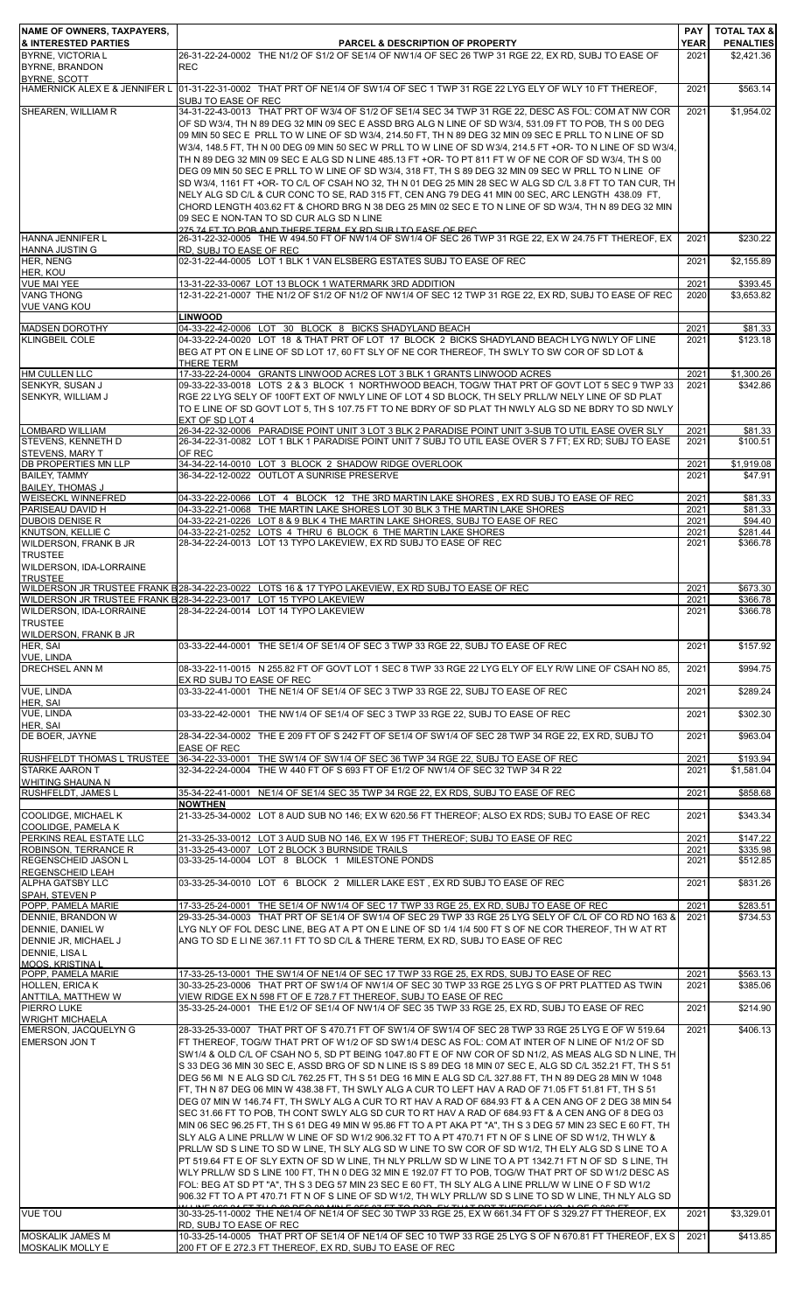| NAME OF OWNERS, TAXPAYERS,                                  |                                                                                                                                                                                                                   | <b>PAY</b>          | <b>TOTAL TAX &amp;</b>         |
|-------------------------------------------------------------|-------------------------------------------------------------------------------------------------------------------------------------------------------------------------------------------------------------------|---------------------|--------------------------------|
| <b>&amp; INTERESTED PARTIES</b><br><b>BYRNE, VICTORIA L</b> | <b>PARCEL &amp; DESCRIPTION OF PROPERTY</b><br>26-31-22-24-0002 THE N1/2 OF S1/2 OF SE1/4 OF NW1/4 OF SEC 26 TWP 31 RGE 22, EX RD, SUBJ TO EASE OF                                                                | <b>YEAR</b><br>2021 | <b>PENALTIES</b><br>\$2,421.36 |
| BYRNE, BRANDON<br><b>BYRNE, SCOTT</b>                       | <b>REC</b>                                                                                                                                                                                                        |                     |                                |
| HAMERNICK ALEX E & JENNIFER L                               | 01-31-22-31-0002 THAT PRT OF NE1/4 OF SW1/4 OF SEC 1 TWP 31 RGE 22 LYG ELY OF WLY 10 FT THEREOF.                                                                                                                  | 2021                | \$563.14                       |
| SHEAREN, WILLIAM R                                          | SUBJ TO EASE OF REC<br>34-31-22-43-0013 THAT PRT OF W3/4 OF S1/2 OF SE1/4 SEC 34 TWP 31 RGE 22, DESC AS FOL; COM AT NW COR                                                                                        | 2021                | \$1,954.02                     |
|                                                             | OF SD W3/4, TH N 89 DEG 32 MIN 09 SEC E ASSD BRG ALG N LINE OF SD W3/4, 531.09 FT TO POB, TH S 00 DEG<br>09 MIN 50 SEC E PRLL TO W LINE OF SD W3/4, 214.50 FT, TH N 89 DEG 32 MIN 09 SEC E PRLL TO N LINE OF SD   |                     |                                |
|                                                             | W3/4, 148.5 FT, TH N 00 DEG 09 MIN 50 SEC W PRLL TO W LINE OF SD W3/4, 214.5 FT +OR- TO N LINE OF SD W3/4,                                                                                                        |                     |                                |
|                                                             | TH N 89 DEG 32 MIN 09 SEC E ALG SD N LINE 485.13 FT +OR- TO PT 811 FT W OF NE COR OF SD W3/4, TH S 00<br>DEG 09 MIN 50 SEC E PRLL TO W LINE OF SD W3/4, 318 FT, TH S 89 DEG 32 MIN 09 SEC W PRLL TO N LINE OF     |                     |                                |
|                                                             | SD W3/4, 1161 FT +OR- TO C/L OF CSAH NO 32, TH N 01 DEG 25 MIN 28 SEC W ALG SD C/L 3.8 FT TO TAN CUR, TH                                                                                                          |                     |                                |
|                                                             | NELY ALG SD C/L & CUR CONC TO SE, RAD 315 FT, CEN ANG 79 DEG 41 MIN 00 SEC, ARC LENGTH 438.09 FT,<br>CHORD LENGTH 403.62 FT & CHORD BRG N 38 DEG 25 MIN 02 SEC E TO N LINE OF SD W3/4, TH N 89 DEG 32 MIN         |                     |                                |
|                                                             | 09 SEC E NON-TAN TO SD CUR ALG SD N LINE<br>275 74 FT TO POR AND THERE TERM EX RD SUR LTO EASE OF REC.                                                                                                            |                     |                                |
| <b>HANNA JENNIFER L</b><br><b>HANNA JUSTIN G</b>            | 26-31-22-32-0005 THE W 494.50 FT OF NW1/4 OF SW1/4 OF SEC 26 TWP 31 RGE 22, EX W 24.75 FT THEREOF, EX<br>RD, SUBJ TO EASE OF REC                                                                                  | 2021                | \$230.22                       |
| HER, NENG                                                   | 02-31-22-44-0005 LOT 1 BLK 1 VAN ELSBERG ESTATES SUBJ TO EASE OF REC                                                                                                                                              | 2021                | \$2,155.89                     |
| HER, KOU<br><b>VUE MAI YEE</b>                              | 13-31-22-33-0067 LOT 13 BLOCK 1 WATERMARK 3RD ADDITION                                                                                                                                                            | 2021                | \$393.45                       |
| <b>VANG THONG</b><br><b>VUE VANG KOU</b>                    | 12-31-22-21-0007 THE N1/2 OF S1/2 OF N1/2 OF NW1/4 OF SEC 12 TWP 31 RGE 22, EX RD, SUBJ TO EASE OF REC                                                                                                            | 2020                | \$3.653.82                     |
|                                                             | <b>LINWOOD</b>                                                                                                                                                                                                    |                     |                                |
| <b>MADSEN DOROTHY</b><br><b>KLINGBEIL COLE</b>              | 04-33-22-42-0006 LOT 30 BLOCK 8 BICKS SHADYLAND BEACH<br>04-33-22-24-0020 LOT 18 & THAT PRT OF LOT 17 BLOCK 2 BICKS SHADYLAND BEACH LYG NWLY OF LINE                                                              | 2021<br>2021        | \$81.33<br>\$123.18            |
|                                                             | BEG AT PT ON E LINE OF SD LOT 17, 60 FT SLY OF NE COR THEREOF, TH SWLY TO SW COR OF SD LOT &<br>THERE TERM                                                                                                        |                     |                                |
| <b>HM CULLEN LLC</b>                                        | 17-33-22-24-0004 GRANTS LINWOOD ACRES LOT 3 BLK 1 GRANTS LINWOOD ACRES                                                                                                                                            | 2021                | \$1,300.26                     |
| SENKYR, SUSAN J<br>SENKYR. WILLIAM J                        | 09-33-22-33-0018 LOTS 2 & 3 BLOCK 1 NORTHWOOD BEACH, TOG/W THAT PRT OF GOVT LOT 5 SEC 9 TWP 33<br>RGE 22 LYG SELY OF 100FT EXT OF NWLY LINE OF LOT 4 SD BLOCK, TH SELY PRLL/W NELY LINE OF SD PLAT                | 2021                | \$342.86                       |
|                                                             | TO E LINE OF SD GOVT LOT 5, TH S 107.75 FT TO NE BDRY OF SD PLAT TH NWLY ALG SD NE BDRY TO SD NWLY                                                                                                                |                     |                                |
| <b>LOMBARD WILLIAM</b>                                      | EXT OF SD LOT 4<br>26-34-22-32-0006 PARADISE POINT UNIT 3 LOT 3 BLK 2 PARADISE POINT UNIT 3-SUB TO UTIL EASE OVER SLY                                                                                             | 2021                | \$81.33                        |
| STEVENS, KENNETH D<br>STEVENS, MARY T                       | 26-34-22-31-0082 LOT 1 BLK 1 PARADISE POINT UNIT 7 SUBJ TO UTIL EASE OVER S 7 FT; EX RD; SUBJ TO EASE<br>OF REC                                                                                                   | 2021                | \$100.51                       |
| <b>DB PROPERTIES MN LLP</b>                                 | 34-34-22-14-0010 LOT 3 BLOCK 2 SHADOW RIDGE OVERLOOK<br>36-34-22-12-0022 OUTLOT A SUNRISE PRESERVE                                                                                                                | 2021                | \$1,919.08                     |
| <b>BAILEY, TAMMY</b><br><b>BAILEY. THOMAS J</b>             |                                                                                                                                                                                                                   | 2021                | \$47.91                        |
| <b>WEISECKL WINNEFRED</b><br>PARISEAU DAVID H               | 04-33-22-22-0066 LOT 4 BLOCK 12 THE 3RD MARTIN LAKE SHORES, EX RD SUBJ TO EASE OF REC<br>04-33-22-21-0068 THE MARTIN LAKE SHORES LOT 30 BLK 3 THE MARTIN LAKE SHORES                                              | 2021<br>2021        | \$81.33<br>\$81.33             |
| <b>DUBOIS DENISE R</b>                                      | 04-33-22-21-0226 LOT 8 & 9 BLK 4 THE MARTIN LAKE SHORES, SUBJ TO EASE OF REC                                                                                                                                      | 2021                | \$94.40                        |
| <b>KNUTSON, KELLIE C</b><br>WILDERSON, FRANK B JR           | 04-33-22-21-0252 LOTS 4 THRU 6 BLOCK 6 THE MARTIN LAKE SHORES<br>28-34-22-24-0013 LOT 13 TYPO LAKEVIEW, EX RD SUBJ TO EASE OF REC                                                                                 | 2021<br>2021        | \$281.44<br>\$366.78           |
| <b>TRUSTEE</b><br>WILDERSON, IDA-LORRAINE                   |                                                                                                                                                                                                                   |                     |                                |
| <b>TRUSTEE</b>                                              |                                                                                                                                                                                                                   |                     |                                |
|                                                             | WILDERSON JR TRUSTEE FRANK B28-34-22-23-0022 LOTS 16 & 17 TYPO LAKEVIEW, EX RD SUBJ TO EASE OF REC<br>WILDERSON JR TRUSTEE FRANK B 28-34-22-23-0017 LOT 15 TYPO LAKEVIEW                                          | 2021<br>2021        | \$673.30<br>\$366.78           |
| WILDERSON, IDA-LORRAINE<br><b>TRUSTEE</b>                   | 28-34-22-24-0014 LOT 14 TYPO LAKEVIEW                                                                                                                                                                             | 2021                | \$366.78                       |
| <b>WILDERSON, FRANK B JR</b>                                |                                                                                                                                                                                                                   |                     |                                |
| HER, SAI<br><b>VUE, LINDA</b>                               | 03-33-22-44-0001 THE SE1/4 OF SE1/4 OF SEC 3 TWP 33 RGE 22, SUBJ TO EASE OF REC                                                                                                                                   | 2021                | \$157.92                       |
| <b>DRECHSEL ANN M</b>                                       | 08-33-22-11-0015 N 255.82 FT OF GOVT LOT 1 SEC 8 TWP 33 RGE 22 LYG ELY OF ELY R/W LINE OF CSAH NO 85.<br>EX RD SUBJ TO EASE OF REC                                                                                | 2021                | \$994.75                       |
| <b>VUE, LINDA</b>                                           | 03-33-22-41-0001 THE NE1/4 OF SE1/4 OF SEC 3 TWP 33 RGE 22, SUBJ TO EASE OF REC                                                                                                                                   | 2021                | \$289.24                       |
| HER, SAI<br><b>VUE, LINDA</b>                               | 03-33-22-42-0001 THE NW1/4 OF SE1/4 OF SEC 3 TWP 33 RGE 22. SUBJ TO EASE OF REC                                                                                                                                   | 2021                | \$302.30                       |
| HER, SAI<br>DE BOER, JAYNE                                  | 28-34-22-34-0002 THE E 209 FT OF S 242 FT OF SE1/4 OF SW1/4 OF SEC 28 TWP 34 RGE 22, EX RD, SUBJ TO                                                                                                               | 2021                | \$963.04                       |
|                                                             | <b>EASE OF REC</b>                                                                                                                                                                                                |                     |                                |
| RUSHFELDT THOMAS L TRUSTEE<br><b>STARKE AARON T</b>         | 36-34-22-33-0001 THE SW1/4 OF SW1/4 OF SEC 36 TWP 34 RGE 22, SUBJ TO EASE OF REC<br>32-34-22-24-0004 THE W 440 FT OF S 693 FT OF E1/2 OF NW1/4 OF SEC 32 TWP 34 R 22                                              | 2021<br>2021        | \$193.94<br>\$1,581.04         |
| <b>WHITING SHAUNA N</b><br>RUSHFELDT, JAMES L               | 35-34-22-41-0001 NE1/4 OF SE1/4 SEC 35 TWP 34 RGE 22, EX RDS, SUBJ TO EASE OF REC                                                                                                                                 | 2021                | \$858.68                       |
|                                                             | <b>NOWTHEN</b>                                                                                                                                                                                                    |                     |                                |
| COOLIDGE, MICHAEL K<br>COOLIDGE, PAMELA K                   | 21-33-25-34-0002 LOT 8 AUD SUB NO 146; EX W 620.56 FT THEREOF; ALSO EX RDS; SUBJ TO EASE OF REC                                                                                                                   | 2021                | \$343.34                       |
| PERKINS REAL ESTATE LLC<br>ROBINSON, TERRANCE R             | 21-33-25-33-0012 LOT 3 AUD SUB NO 146, EX W 195 FT THEREOF; SUBJ TO EASE OF REC<br>31-33-25-43-0007 LOT 2 BLOCK 3 BURNSIDE TRAILS                                                                                 | 2021<br>2021        | \$147.22<br>\$335.98           |
| <b>REGENSCHEID JASON L</b>                                  | 03-33-25-14-0004 LOT 8 BLOCK 1 MILESTONE PONDS                                                                                                                                                                    | 2021                | \$512.85                       |
| <b>REGENSCHEID LEAH</b><br><b>ALPHA GATSBY LLC</b>          | 03-33-25-34-0010 LOT 6 BLOCK 2 MILLER LAKE EST, EX RD SUBJ TO EASE OF REC                                                                                                                                         | 2021                | \$831.26                       |
| SPAH, STEVEN P<br>POPP, PAMELA MARIE                        | 17-33-25-24-0001 THE SE1/4 OF NW1/4 OF SEC 17 TWP 33 RGE 25, EX RD, SUBJ TO EASE OF REC                                                                                                                           | 2021                | \$283.51                       |
| DENNIE, BRANDON W                                           | 29-33-25-34-0003 THAT PRT OF SE1/4 OF SW1/4 OF SEC 29 TWP 33 RGE 25 LYG SELY OF C/L OF CO RD NO 163 &                                                                                                             | 2021                | \$734.53                       |
| DENNIE, DANIEL W<br>DENNIE JR, MICHAEL J                    | LYG NLY OF FOL DESC LINE, BEG AT A PT ON E LINE OF SD 1/4 1/4 500 FT S OF NE COR THEREOF, TH W AT RT<br>ANG TO SD E LINE 367.11 FT TO SD C/L & THERE TERM, EX RD, SUBJ TO EASE OF REC                             |                     |                                |
| DENNIE, LISA L                                              |                                                                                                                                                                                                                   |                     |                                |
| <b>MOOS, KRISTINA L</b><br>POPP, PAMELA MARIE               | 17-33-25-13-0001 THE SW1/4 OF NE1/4 OF SEC 17 TWP 33 RGE 25, EX RDS, SUBJ TO EASE OF REC                                                                                                                          | 2021                | \$563.13                       |
| <b>HOLLEN, ERICA K</b><br>ANTTILA, MATTHEW W                | 30-33-25-23-0006 THAT PRT OF SW1/4 OF NW1/4 OF SEC 30 TWP 33 RGE 25 LYG S OF PRT PLATTED AS TWIN<br><u>VIEW RIDGE EX N 598 FT OF E 728.7 FT THEREOF, SUBJ TO EASE OF REC</u>                                      | 2021                | \$385.06                       |
| PIERRO LUKE                                                 | 35-33-25-24-0001 THE E1/2 OF SE1/4 OF NW1/4 OF SEC 35 TWP 33 RGE 25, EX RD, SUBJ TO EASE OF REC                                                                                                                   | 2021                | \$214.90                       |
| <b>WRIGHT MICHAELA</b><br><b>EMERSON, JACQUELYN G</b>       | 28-33-25-33-0007 THAT PRT OF S 470.71 FT OF SW1/4 OF SW1/4 OF SEC 28 TWP 33 RGE 25 LYG E OF W 519.64                                                                                                              | 2021                | \$406.13                       |
| <b>EMERSON JON T</b>                                        | FT THEREOF, TOG/W THAT PRT OF W1/2 OF SD SW1/4 DESC AS FOL: COM AT INTER OF N LINE OF N1/2 OF SD<br>SW1/4 & OLD C/L OF CSAH NO 5, SD PT BEING 1047.80 FT E OF NW COR OF SD N1/2, AS MEAS ALG SD N LINE, TH        |                     |                                |
|                                                             | S 33 DEG 36 MIN 30 SEC E, ASSD BRG OF SD N LINE IS S 89 DEG 18 MIN 07 SEC E, ALG SD C/L 352.21 FT, TH S 51                                                                                                        |                     |                                |
|                                                             | DEG 56 MI N E ALG SD C/L 762.25 FT, TH S 51 DEG 16 MIN E ALG SD C/L 327.88 FT, TH N 89 DEG 28 MIN W 1048<br>FT, TH N 87 DEG 06 MIN W 438.38 FT, TH SWLY ALG A CUR TO LEFT HAV A RAD OF 71.05 FT 51.81 FT, TH S 51 |                     |                                |
|                                                             | DEG 07 MIN W 146.74 FT, TH SWLY ALG A CUR TO RT HAV A RAD OF 684.93 FT & A CEN ANG OF 2 DEG 38 MIN 54                                                                                                             |                     |                                |
|                                                             | SEC 31.66 FT TO POB, TH CONT SWLY ALG SD CUR TO RT HAV A RAD OF 684.93 FT & A CEN ANG OF 8 DEG 03<br>MIN 06 SEC 96.25 FT, TH S 61 DEG 49 MIN W 95.86 FT TO A PT AKA PT "A", TH S 3 DEG 57 MIN 23 SEC E 60 FT, TH  |                     |                                |
|                                                             | SLY ALG A LINE PRLL/W W LINE OF SD W1/2 906.32 FT TO A PT 470.71 FT N OF S LINE OF SD W1/2, TH WLY &                                                                                                              |                     |                                |
|                                                             | PRLL/W SD S LINE TO SD W LINE, TH SLY ALG SD W LINE TO SW COR OF SD W1/2, TH ELY ALG SD S LINE TO A<br>PT 519.64 FT E OF SLY EXTN OF SD W LINE, TH NLY PRLL/W SD W LINE TO A PT 1342.71 FT N OF SD S LINE, TH     |                     |                                |
|                                                             | WLY PRLL/W SD S LINE 100 FT, TH N 0 DEG 32 MIN E 192.07 FT TO POB, TOG/W THAT PRT OF SD W1/2 DESC AS<br>FOL: BEG AT SD PT "A", TH S 3 DEG 57 MIN 23 SEC E 60 FT, TH SLY ALG A LINE PRLL/W W LINE O F SD W1/2      |                     |                                |
|                                                             | 906.32 FT TO A PT 470.71 FT N OF S LINE OF SD W1/2, TH WLY PRLL/W SD S LINE TO SD W LINE, TH NLY ALG SD                                                                                                           |                     |                                |
| <b>VUE TOU</b>                                              | 30-33-25-11-0002 THE NE1/4 OF NE1/4 OF SEC 30 TWP 33 RGE 25, EX W 661.34 FT OF S 329.27 FT THEREOF, EX                                                                                                            | 2021                | \$3,329.01                     |
| <b>MOSKALIK JAMES M</b>                                     | RD. SUBJ TO EASE OF REC<br>10-33-25-14-0005 THAT PRT OF SE1/4 OF NE1/4 OF SEC 10 TWP 33 RGE 25 LYG S OF N 670.81 FT THEREOF, EX S                                                                                 | 2021                | \$413.85                       |
| <b>MOSKALIK MOLLY E</b>                                     | 200 FT OF E 272.3 FT THEREOF, EX RD, SUBJ TO EASE OF REC                                                                                                                                                          |                     |                                |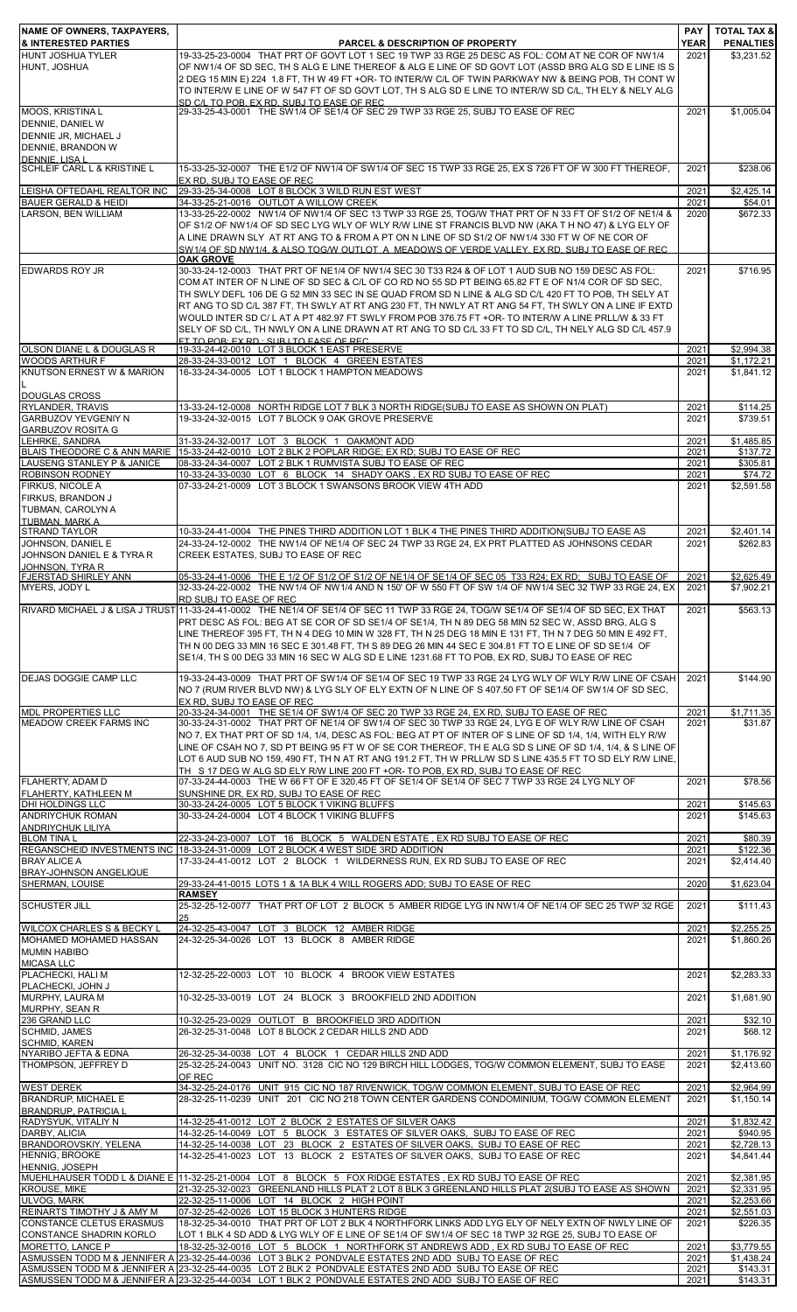| NAME OF OWNERS, TAXPAYERS,<br><b>&amp; INTERESTED PARTIES</b>                                   | <b>PARCEL &amp; DESCRIPTION OF PROPERTY</b>                                                                                                                                                                                                                                                                                                                                                                                                                                                                                                                                                                                                                                                                   | <b>PAY</b><br><b>YEAR</b> | <b>TOTAL TAX &amp;</b><br><b>PENALTIES</b> |
|-------------------------------------------------------------------------------------------------|---------------------------------------------------------------------------------------------------------------------------------------------------------------------------------------------------------------------------------------------------------------------------------------------------------------------------------------------------------------------------------------------------------------------------------------------------------------------------------------------------------------------------------------------------------------------------------------------------------------------------------------------------------------------------------------------------------------|---------------------------|--------------------------------------------|
| <b>HUNT JOSHUA TYLER</b><br>HUNT. JOSHUA                                                        | 19-33-25-23-0004 THAT PRT OF GOVT LOT 1 SEC 19 TWP 33 RGE 25 DESC AS FOL: COM AT NE COR OF NW1/4<br>OF NW1/4 OF SD SEC, TH S ALG E LINE THEREOF & ALG E LINE OF SD GOVT LOT (ASSD BRG ALG SD E LINE IS S<br>2 DEG 15 MIN E) 224 1.8 FT, TH W 49 FT +OR- TO INTER/W C/L OF TWIN PARKWAY NW & BEING POB, TH CONT W<br>TO INTER/W E LINE OF W 547 FT OF SD GOVT LOT. TH S ALG SD E LINE TO INTER/W SD C/L. TH ELY & NELY ALG                                                                                                                                                                                                                                                                                     | 2021                      | \$3,231.52                                 |
| <b>MOOS, KRISTINAL</b>                                                                          | SD C/LTO POB EX RD SUBJ TO FASE OF REC.<br>29-33-25-43-0001 THE SW1/4 OF SE1/4 OF SEC 29 TWP 33 RGE 25, SUBJ TO EASE OF REC                                                                                                                                                                                                                                                                                                                                                                                                                                                                                                                                                                                   | 2021                      | \$1,005.04                                 |
| DENNIE, DANIEL W<br>DENNIE JR, MICHAEL J<br>DENNIE, BRANDON W<br>DENNIE LISA L                  |                                                                                                                                                                                                                                                                                                                                                                                                                                                                                                                                                                                                                                                                                                               |                           |                                            |
| SCHLEIF CARL L & KRISTINE L                                                                     | 15-33-25-32-0007 THE E1/2 OF NW1/4 OF SW1/4 OF SEC 15 TWP 33 RGE 25, EX S 726 FT OF W 300 FT THEREOF,<br>EX RD. SUBJ TO EASE OF REC                                                                                                                                                                                                                                                                                                                                                                                                                                                                                                                                                                           | 2021                      | \$238.06                                   |
| LEISHA OFTEDAHL REALTOR INC                                                                     | 29-33-25-34-0008 LOT 8 BLOCK 3 WILD RUN EST WEST                                                                                                                                                                                                                                                                                                                                                                                                                                                                                                                                                                                                                                                              | 2021                      | \$2,425.14                                 |
| <b>BAUER GERALD &amp; HEIDI</b><br>LARSON, BEN WILLIAM                                          | 34-33-25-21-0016 OUTLOT A WILLOW CREEK<br>13-33-25-22-0002 NW1/4 OF NW1/4 OF SEC 13 TWP 33 RGE 25, TOG/W THAT PRT OF N 33 FT OF S1/2 OF NE1/4 &                                                                                                                                                                                                                                                                                                                                                                                                                                                                                                                                                               | 2021<br>2020              | \$54.01<br>\$672.33                        |
|                                                                                                 | OF S1/2 OF NW1/4 OF SD SEC LYG WLY OF WLY R/W LINE ST FRANCIS BLVD NW (AKA T H NO 47) & LYG ELY OF<br>A LINE DRAWN SLY AT RT ANG TO & FROM A PT ON N LINE OF SD S1/2 OF NW1/4 330 FT W OF NE COR OF<br>SW1/4 OF SD NW1/4, & ALSO TOG/W OUTLOT A MEADOWS OF VERDE VALLEY, EX RD, SUBJ TO EASE OF REC                                                                                                                                                                                                                                                                                                                                                                                                           |                           |                                            |
| <b>EDWARDS ROY JR</b>                                                                           | <b>OAK GROVE</b><br>30-33-24-12-0003 THAT PRT OF NE1/4 OF NW1/4 SEC 30 T33 R24 & OF LOT 1 AUD SUB NO 159 DESC AS FOL:<br>COM AT INTER OF N LINE OF SD SEC & C/L OF CO RD NO 55 SD PT BEING 65.82 FT E OF N1/4 COR OF SD SEC,<br>TH SWLY DEFL 106 DE G 52 MIN 33 SEC IN SE QUAD FROM SD N LINE & ALG SD C/L 420 FT TO POB, TH SELY AT<br>RT ANG TO SD C/L 387 FT, TH SWLY AT RT ANG 230 FT, TH NWLY AT RT ANG 54 FT, TH SWLY ON A LINE IF EXTD<br>WOULD INTER SD C/L AT A PT 482.97 FT SWLY FROM POB 376.75 FT +OR- TO INTER/W A LINE PRLL/W & 33 FT<br>SELY OF SD C/L, TH NWLY ON A LINE DRAWN AT RT ANG TO SD C/L 33 FT TO SD C/L, TH NELY ALG SD C/L 457.9<br><u>ET TO POREEX RD : SUR LTO EASE OF REC.</u> | 2021                      | \$716.95                                   |
| OLSON DIANE L & DOUGLAS R                                                                       | 19-33-24-42-0010 LOT 3 BLOCK 1 EAST PRESERVE                                                                                                                                                                                                                                                                                                                                                                                                                                                                                                                                                                                                                                                                  | 2021                      | \$2,994.38                                 |
| <b>WOODS ARTHUR F</b><br>KNUTSON ERNEST W & MARION<br><b>DOUGLAS CROSS</b>                      | 28-33-24-33-0012 LOT 1 BLOCK 4 GREEN ESTATES<br>16-33-24-34-0005 LOT 1 BLOCK 1 HAMPTON MEADOWS                                                                                                                                                                                                                                                                                                                                                                                                                                                                                                                                                                                                                | 2021<br>2021              | \$1,172.21<br>\$1.841.12                   |
| RYLANDER, TRAVIS<br><b>GARBUZOV YEVGENIY N</b>                                                  | 13-33-24-12-0008 NORTH RIDGE LOT 7 BLK 3 NORTH RIDGE(SUBJ TO EASE AS SHOWN ON PLAT)<br>19-33-24-32-0015 LOT 7 BLOCK 9 OAK GROVE PRESERVE                                                                                                                                                                                                                                                                                                                                                                                                                                                                                                                                                                      | 2021<br>2021              | \$114.25<br>\$739.51                       |
| <b>GARBUZOV ROSITA G</b><br>LEHRKE, SANDRA                                                      |                                                                                                                                                                                                                                                                                                                                                                                                                                                                                                                                                                                                                                                                                                               |                           |                                            |
|                                                                                                 | 31-33-24-32-0017 LOT 3 BLOCK 1 OAKMONT ADD<br>BLAIS THEODORE C & ANN MARIE 15-33-24-42-0010 LOT 2 BLK 2 POPLAR RIDGE; EX RD; SUBJ TO EASE OF REC                                                                                                                                                                                                                                                                                                                                                                                                                                                                                                                                                              | 2021<br>2021              | \$1,485.85<br>\$137.72                     |
| LAUSENG STANLEY P & JANICE<br><b>ROBINSON RODNEY</b>                                            | 08-33-24-34-0007 LOT 2 BLK 1 RUMVISTA SUBJ TO EASE OF REC                                                                                                                                                                                                                                                                                                                                                                                                                                                                                                                                                                                                                                                     | 2021                      | \$305.81<br>\$74.72                        |
| FIRKUS, NICOLE A<br>FIRKUS, BRANDON J<br>TUBMAN, CAROLYN A<br><b>TUBMAN, MARK A</b>             | 10-33-24-33-0030 LOT 6 BLOCK 14 SHADY OAKS, EX RD SUBJ TO EASE OF REC<br>07-33-24-21-0009 LOT 3 BLOCK 1 SWANSONS BROOK VIEW 4TH ADD                                                                                                                                                                                                                                                                                                                                                                                                                                                                                                                                                                           | 2021<br>2021              | \$2,591.58                                 |
| <b>STRAND TAYLOR</b><br>JOHNSON, DANIEL E<br>JOHNSON DANIEL E & TYRA R<br>JOHNSON, TYRA R       | 10-33-24-41-0004 THE PINES THIRD ADDITION LOT 1 BLK 4 THE PINES THIRD ADDITION(SUBJ TO EASE AS<br>24-33-24-12-0002 THE NW1/4 OF NE1/4 OF SEC 24 TWP 33 RGE 24, EX PRT PLATTED AS JOHNSONS CEDAR<br>CREEK ESTATES, SUBJ TO EASE OF REC                                                                                                                                                                                                                                                                                                                                                                                                                                                                         | 2021<br>2021              | \$2,401.14<br>\$262.83                     |
| <b>FJERSTAD SHIRLEY ANN</b><br>MYERS, JODY L                                                    | 05-33-24-41-0006 THE E 1/2 OF S1/2 OF S1/2 OF NE1/4 OF SE1/4 OF SEC 05 T33 R24: EX RD: SUBJ TO EASE OF<br>32-33-24-22-0002 THE NW1/4 OF NW1/4 AND N 150' OF W 550 FT OF SW 1/4 OF NW1/4 SEC 32 TWP 33 RGE 24, EX                                                                                                                                                                                                                                                                                                                                                                                                                                                                                              | 2021<br>2021              | \$2,625.49<br>\$7,902.21                   |
|                                                                                                 | RD SUBJ TO EASE OF REC<br>RIVARD MICHAEL J & LISA J TRUST 11-33-24-41-0002 THE NE1/4 OF SE1/4 OF SEC 11 TWP 33 RGE 24, TOG/W SE1/4 OF SE1/4 OF SD SEC, EX THAT                                                                                                                                                                                                                                                                                                                                                                                                                                                                                                                                                | 2021                      | \$563.13                                   |
|                                                                                                 | PRT DESC AS FOL: BEG AT SE COR OF SD SE1/4 OF SE1/4, TH N 89 DEG 58 MIN 52 SEC W, ASSD BRG, ALG S<br>LINE THEREOF 395 FT, TH N 4 DEG 10 MIN W 328 FT, TH N 25 DEG 18 MIN E 131 FT, TH N 7 DEG 50 MIN E 492 FT,<br>TH N 00 DEG 33 MIN 16 SEC E 301.48 FT, TH S 89 DEG 26 MIN 44 SEC E 304.81 FT TO E LINE OF SD SE1/4 OF<br>SE1/4, TH S 00 DEG 33 MIN 16 SEC W ALG SD E LINE 1231.68 FT TO POB, EX RD, SUBJ TO EASE OF REC                                                                                                                                                                                                                                                                                     |                           |                                            |
| <b>DEJAS DOGGIE CAMP LLC</b>                                                                    | 19-33-24-43-0009 THAT PRT OF SW1/4 OF SE1/4 OF SEC 19 TWP 33 RGE 24 LYG WLY OF WLY R/W LINE OF CSAH<br>NO 7 (RUM RIVER BLVD NW) & LYG SLY OF ELY EXTN OF N LINE OF S 407.50 FT OF SE1/4 OF SW1/4 OF SD SEC.<br>EX RD. SUBJ TO EASE OF REC                                                                                                                                                                                                                                                                                                                                                                                                                                                                     | 2021                      | \$144.90                                   |
| <b>MDL PROPERTIES LLC</b><br>MEADOW CREEK FARMS INC                                             | 20-33-24-34-0001 THE SE1/4 OF SW1/4 OF SEC 20 TWP 33 RGE 24, EX RD, SUBJ TO EASE OF REC<br>30-33-24-31-0002 THAT PRT OF NE1/4 OF SW1/4 OF SEC 30 TWP 33 RGE 24, LYG E OF WLY R/W LINE OF CSAH<br>NO 7, EX THAT PRT OF SD 1/4, 1/4, DESC AS FOL: BEG AT PT OF INTER OF S LINE OF SD 1/4, 1/4, WITH ELY R/W<br>LINE OF CSAH NO 7, SD PT BEING 95 FT W OF SE COR THEREOF, TH E ALG SD S LINE OF SD 1/4, 1/4, & S LINE OF<br>LOT 6 AUD SUB NO 159, 490 FT, TH N AT RT ANG 191.2 FT, TH W PRLL/W SD S LINE 435.5 FT TO SD ELY R/W LINE,<br>TH S 17 DEG W ALG SD ELY R/W LINE 200 FT +OR- TO POB, EX RD, SUBJ TO EASE OF REC                                                                                        | 2021<br>2021              | \$1,711.35<br>\$31.87                      |
| FLAHERTY, ADAM D<br>FLAHERTY, KATHLEEN M                                                        | 07-33-24-44-0003 THE W 66 FT OF E 320.45 FT OF SE1/4 OF SE1/4 OF SEC 7 TWP 33 RGE 24 LYG NLY OF<br>SUNSHINE DR, EX RD, SUBJ TO EASE OF REC                                                                                                                                                                                                                                                                                                                                                                                                                                                                                                                                                                    | 2021                      | \$78.56                                    |
| <b>DHI HOLDINGS LLC</b><br><b>ANDRIYCHUK ROMAN</b>                                              | 30-33-24-24-0005 LOT 5 BLOCK 1 VIKING BLUFFS<br>30-33-24-24-0004 LOT 4 BLOCK 1 VIKING BLUFFS                                                                                                                                                                                                                                                                                                                                                                                                                                                                                                                                                                                                                  | 2021<br>2021              | \$145.63<br>\$145.63                       |
| ANDRIYCHUK LILIYA<br><b>BLOM TINA L</b>                                                         | 22-33-24-23-0007 LOT 16 BLOCK 5 WALDEN ESTATE, EX RD SUBJ TO EASE OF REC                                                                                                                                                                                                                                                                                                                                                                                                                                                                                                                                                                                                                                      | 2021                      | \$80.39                                    |
|                                                                                                 | REGANSCHEID INVESTMENTS INC 18-33-24-31-0009 LOT 2 BLOCK 4 WEST SIDE 3RD ADDITION                                                                                                                                                                                                                                                                                                                                                                                                                                                                                                                                                                                                                             | 2021                      | \$122.36                                   |
| <b>BRAY ALICE A</b><br>BRAY-JOHNSON ANGELIQUE                                                   | 17-33-24-41-0012 LOT 2 BLOCK 1 WILDERNESS RUN, EX RD SUBJ TO EASE OF REC                                                                                                                                                                                                                                                                                                                                                                                                                                                                                                                                                                                                                                      | 2021                      | \$2,414.40                                 |
| SHERMAN, LOUISE                                                                                 | 29-33-24-41-0015 LOTS 1 & 1A BLK 4 WILL ROGERS ADD; SUBJ TO EASE OF REC                                                                                                                                                                                                                                                                                                                                                                                                                                                                                                                                                                                                                                       | 2020                      | \$1,623.04                                 |
| <b>SCHUSTER JILL</b>                                                                            | <b>RAMSEY</b><br>25-32-25-12-0077 THAT PRT OF LOT 2 BLOCK 5 AMBER RIDGE LYG IN NW1/4 OF NE1/4 OF SEC 25 TWP 32 RGE                                                                                                                                                                                                                                                                                                                                                                                                                                                                                                                                                                                            | 2021                      | \$111.43                                   |
| WILCOX CHARLES S & BECKY L<br>MOHAMED MOHAMED HASSAN<br><b>MUMIN HABIBO</b>                     | 25<br>24-32-25-43-0047 LOT 3 BLOCK 12 AMBER RIDGE<br>24-32-25-34-0026 LOT 13 BLOCK 8 AMBER RIDGE                                                                                                                                                                                                                                                                                                                                                                                                                                                                                                                                                                                                              | 2021<br>2021              | \$2,255.25<br>\$1,860.26                   |
| <b>MICASA LLC</b><br>PLACHECKI, HALI M                                                          | 12-32-25-22-0003 LOT 10 BLOCK 4 BROOK VIEW ESTATES                                                                                                                                                                                                                                                                                                                                                                                                                                                                                                                                                                                                                                                            | 2021                      | \$2,283.33                                 |
| PLACHECKI, JOHN J<br>MURPHY, LAURA M<br>MURPHY, SEAN R                                          | 10-32-25-33-0019 LOT 24 BLOCK 3 BROOKFIELD 2ND ADDITION                                                                                                                                                                                                                                                                                                                                                                                                                                                                                                                                                                                                                                                       | 2021                      | \$1,681.90                                 |
| 236 GRAND LLC<br>SCHMID, JAMES                                                                  | 10-32-25-23-0029 OUTLOT B BROOKFIELD 3RD ADDITION<br>26-32-25-31-0048 LOT 8 BLOCK 2 CEDAR HILLS 2ND ADD                                                                                                                                                                                                                                                                                                                                                                                                                                                                                                                                                                                                       | 2021<br>2021              | \$32.10<br>\$68.12                         |
| <b>SCHMID, KAREN</b><br>NYARIBO JEFTA & EDNA                                                    | 26-32-25-34-0038 LOT 4 BLOCK 1 CEDAR HILLS 2ND ADD                                                                                                                                                                                                                                                                                                                                                                                                                                                                                                                                                                                                                                                            | 2021                      | \$1,176.92                                 |
| THOMPSON, JEFFREY D                                                                             | 25-32-25-24-0043 UNIT NO. 3128 CIC NO 129 BIRCH HILL LODGES, TOG/W COMMON ELEMENT, SUBJ TO EASE<br>OF REC                                                                                                                                                                                                                                                                                                                                                                                                                                                                                                                                                                                                     | 2021                      | \$2,413.60                                 |
| <b>WEST DEREK</b><br><b>BRANDRUP, MICHAEL E</b>                                                 | 34-32-25-24-0176 UNIT 915 CIC NO 187 RIVENWICK, TOG/W COMMON ELEMENT, SUBJ TO EASE OF REC<br>28-32-25-11-0239 UNIT 201 CIC NO 218 TOWN CENTER GARDENS CONDOMINIUM, TOG/W COMMON ELEMENT                                                                                                                                                                                                                                                                                                                                                                                                                                                                                                                       | 2021<br>2021              | \$2,964.99<br>\$1,150.14                   |
| <b>BRANDRUP, PATRICIA L</b><br>RADYSYUK, VITALIY N                                              | 14-32-25-41-0012 LOT 2 BLOCK 2 ESTATES OF SILVER OAKS                                                                                                                                                                                                                                                                                                                                                                                                                                                                                                                                                                                                                                                         | 2021                      | \$1,832.42                                 |
| DARBY, ALICIA<br><b>BRANDOROVSKIY, YELENA</b>                                                   | 14-32-25-14-0049 LOT 5 BLOCK 3 ESTATES OF SILVER OAKS, SUBJ TO EASE OF REC<br>14-32-25-14-0038 LOT 23 BLOCK 2 ESTATES OF SILVER OAKS, SUBJ TO EASE OF REC                                                                                                                                                                                                                                                                                                                                                                                                                                                                                                                                                     | 2021<br>2021              | \$940.95<br>\$2,728.13                     |
| <b>HENNIG, BROOKE</b><br>HENNIG, JOSEPH                                                         | 14-32-25-41-0023 LOT 13 BLOCK 2 ESTATES OF SILVER OAKS, SUBJ TO EASE OF REC                                                                                                                                                                                                                                                                                                                                                                                                                                                                                                                                                                                                                                   | 2021                      | \$4,841.44                                 |
| <b>KROUSE, MIKE</b>                                                                             | MUEHLHAUSER TODD L & DIANE E 11-32-25-21-0004 LOT 8 BLOCK 5 FOX RIDGE ESTATES, EX RD SUBJ TO EASE OF REC<br>21-32-25-32-0023 GREENLAND HILLS PLAT 2 LOT 8 BLK 3 GREENLAND HILLS PLAT 2(SUBJ TO EASE AS SHOWN                                                                                                                                                                                                                                                                                                                                                                                                                                                                                                  | 2021<br>2021              | \$2,381.95<br>\$2.331.95                   |
| ULVOG, MARK                                                                                     | 22-32-25-11-0006 LOT 14 BLOCK 2 HIGH POINT                                                                                                                                                                                                                                                                                                                                                                                                                                                                                                                                                                                                                                                                    | 2021                      | \$2,253.66                                 |
| REINARTS TIMOTHY J & AMY M<br><b>CONSTANCE CLETUS ERASMUS</b><br><b>CONSTANCE SHADRIN KORLO</b> | 07-32-25-42-0026 LOT 15 BLOCK 3 HUNTERS RIDGE<br>18-32-25-34-0010 THAT PRT OF LOT 2 BLK 4 NORTHFORK LINKS ADD LYG ELY OF NELY EXTN OF NWLY LINE OF<br>LOT 1 BLK 4 SD ADD & LYG WLY OF E LINE OF SE1/4 OF SW1/4 OF SEC 18 TWP 32 RGE 25, SUBJ TO EASE OF                                                                                                                                                                                                                                                                                                                                                                                                                                                       | 2021<br>2021              | \$2,551.03<br>\$226.35                     |
| <b>MORETTO, LANCE P</b>                                                                         | 18-32-25-32-0016 LOT 5 BLOCK 1 NORTHFORK ST ANDREWS ADD, EX RD SUBJ TO EASE OF REC                                                                                                                                                                                                                                                                                                                                                                                                                                                                                                                                                                                                                            | 2021                      | \$3,779.55                                 |
|                                                                                                 | ASMUSSEN TODD M & JENNIFER A 23-32-25-44-0036 LOT 3 BLK 2 PONDVALE ESTATES 2ND ADD SUBJ TO EASE OF REC<br>ASMUSSEN TODD M & JENNIFER A 23-32-25-44-0035 LOT 2 BLK 2 PONDVALE ESTATES 2ND ADD SUBJ TO EASE OF REC                                                                                                                                                                                                                                                                                                                                                                                                                                                                                              | 2021<br>2021              | \$1,438.24<br>\$143.31                     |
|                                                                                                 | ASMUSSEN TODD M & JENNIFER A 23-32-25-44-0034 LOT 1 BLK 2 PONDVALE ESTATES 2ND ADD SUBJ TO EASE OF REC                                                                                                                                                                                                                                                                                                                                                                                                                                                                                                                                                                                                        | 2021                      | \$143.31                                   |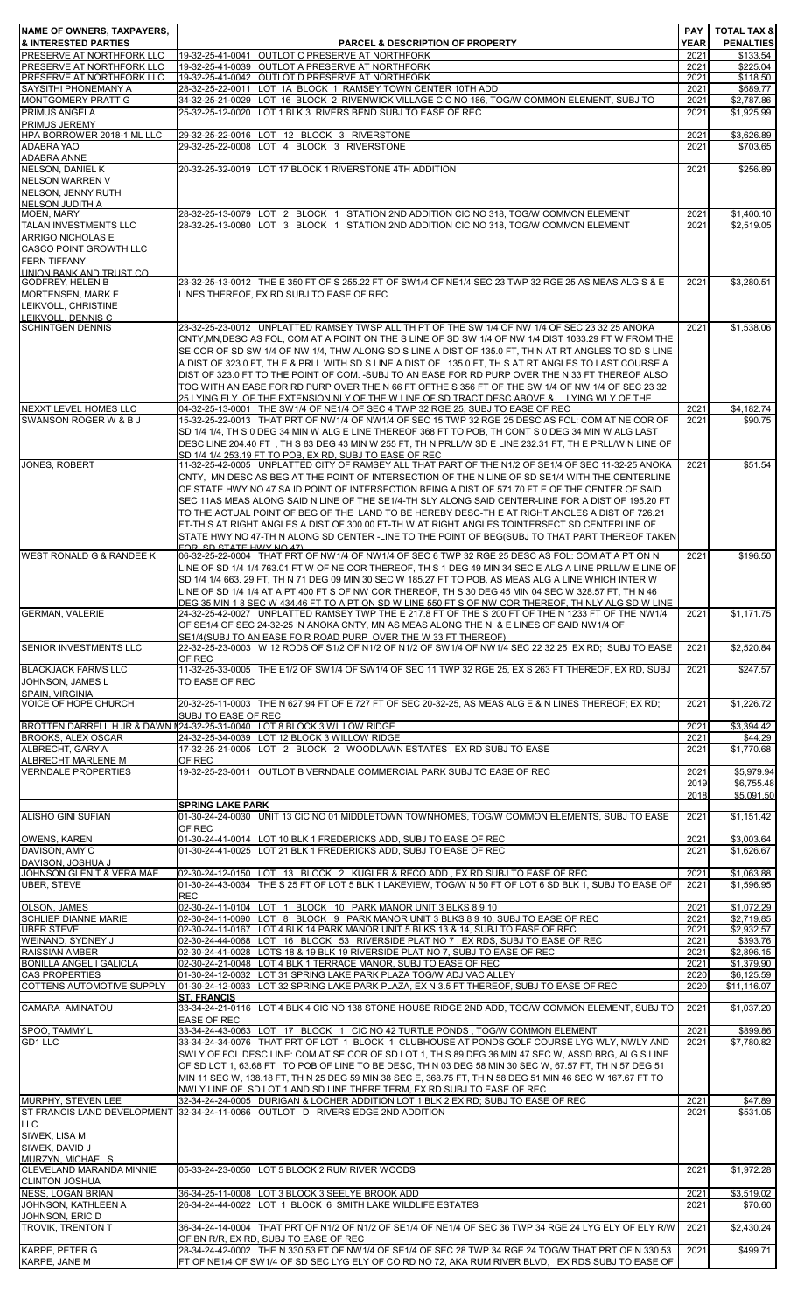| <b>NAME OF OWNERS, TAXPAYERS,</b><br>& INTERESTED PARTIES<br>PRESERVE AT NORTHFORK LLC | <b>PARCEL &amp; DESCRIPTION OF PROPERTY</b>                                                                                                                                                                         | PAY<br><b>YEAR</b> | <b>TOTAL TAX &amp;</b><br><b>PENALTIES</b> |
|----------------------------------------------------------------------------------------|---------------------------------------------------------------------------------------------------------------------------------------------------------------------------------------------------------------------|--------------------|--------------------------------------------|
| PRESERVE AT NORTHFORK LLC                                                              | 19-32-25-41-0041 OUTLOT C PRESERVE AT NORTHFORK<br>19-32-25-41-0039 OUTLOT A PRESERVE AT NORTHFORK                                                                                                                  | 2021<br>2021       | \$133.54<br>\$225.04                       |
| PRESERVE AT NORTHFORK LLC                                                              | 19-32-25-41-0042 OUTLOT D PRESERVE AT NORTHFORK                                                                                                                                                                     | 2021               | \$118.50                                   |
| SAYSITHI PHONEMANY A<br><b>MONTGOMERY PRATT G</b>                                      | 28-32-25-22-0011 LOT 1A BLOCK 1 RAMSEY TOWN CENTER 10TH ADD<br>34-32-25-21-0029 LOT 16 BLOCK 2 RIVENWICK VILLAGE CIC NO 186, TOG/W COMMON ELEMENT, SUBJ TO                                                          | 2021<br>2021       | \$689.77<br>\$2,787.86                     |
| <b>PRIMUS ANGELA</b>                                                                   | 25-32-25-12-0020 LOT 1 BLK 3 RIVERS BEND SUBJ TO EASE OF REC                                                                                                                                                        | 2021               | \$1,925.99                                 |
| PRIMUS JEREMY<br>HPA BORROWER 2018-1 ML LLC                                            | 29-32-25-22-0016 LOT 12 BLOCK 3 RIVERSTONE                                                                                                                                                                          | 2021               | \$3,626.89                                 |
| ADABRA YAO                                                                             | 29-32-25-22-0008 LOT 4 BLOCK 3 RIVERSTONE                                                                                                                                                                           | 2021               | \$703.65                                   |
| <b>ADABRA ANNE</b><br>NELSON, DANIEL K                                                 | 20-32-25-32-0019 LOT 17 BLOCK 1 RIVERSTONE 4TH ADDITION                                                                                                                                                             | 2021               | \$256.89                                   |
| <b>NELSON WARREN V</b>                                                                 |                                                                                                                                                                                                                     |                    |                                            |
| NELSON, JENNY RUTH                                                                     |                                                                                                                                                                                                                     |                    |                                            |
| NELSON JUDITH A<br><b>MOEN, MARY</b>                                                   | 28-32-25-13-0079 LOT 2 BLOCK 1 STATION 2ND ADDITION CIC NO 318, TOG/W COMMON ELEMENT                                                                                                                                | 2021               | \$1,400.10                                 |
| <b>TALAN INVESTMENTS LLC</b>                                                           | 28-32-25-13-0080 LOT 3 BLOCK 1 STATION 2ND ADDITION CIC NO 318, TOG/W COMMON ELEMENT                                                                                                                                | 2021               | \$2,519.05                                 |
| ARRIGO NICHOLAS E<br><b>CASCO POINT GROWTH LLC</b>                                     |                                                                                                                                                                                                                     |                    |                                            |
| <b>FERN TIFFANY</b>                                                                    |                                                                                                                                                                                                                     |                    |                                            |
| UNION BANK AND TRUST CO.<br><b>GODFREY, HELEN B</b>                                    | 23-32-25-13-0012 THE E 350 FT OF S 255.22 FT OF SW1/4 OF NE1/4 SEC 23 TWP 32 RGE 25 AS MEAS ALG S & E                                                                                                               | 2021               | \$3.280.51                                 |
| <b>MORTENSEN, MARK E</b>                                                               | LINES THEREOF, EX RD SUBJ TO EASE OF REC                                                                                                                                                                            |                    |                                            |
| LEIKVOLL, CHRISTINE                                                                    |                                                                                                                                                                                                                     |                    |                                            |
| LEIKVOLL, DENNIS C<br><b>SCHINTGEN DENNIS</b>                                          | 23-32-25-23-0012 UNPLATTED RAMSEY TWSP ALL TH PT OF THE SW 1/4 OF NW 1/4 OF SEC 23 32 25 ANOKA                                                                                                                      | 2021               | \$1,538.06                                 |
|                                                                                        | CNTY, MN, DESC AS FOL, COM AT A POINT ON THE S LINE OF SD SW 1/4 OF NW 1/4 DIST 1033.29 FT W FROM THE                                                                                                               |                    |                                            |
|                                                                                        | SE COR OF SD SW 1/4 OF NW 1/4, THW ALONG SD S LINE A DIST OF 135.0 FT, TH N AT RT ANGLES TO SD S LINE                                                                                                               |                    |                                            |
|                                                                                        | A DIST OF 323.0 FT, TH E & PRLL WITH SD S LINE A DIST OF 135.0 FT, TH S AT RT ANGLES TO LAST COURSE A<br>DIST OF 323.0 FT TO THE POINT OF COM. -SUBJ TO AN EASE FOR RD PURP OVER THE N 33 FT THEREOF ALSO           |                    |                                            |
|                                                                                        | TOG WITH AN EASE FOR RD PURP OVER THE N 66 FT OFTHE S 356 FT OF THE SW 1/4 OF NW 1/4 OF SEC 23 32                                                                                                                   |                    |                                            |
| NEXXT LEVEL HOMES LLC                                                                  | <u>25 LYING ELY OF THE EXTENSION NLY OF THE W LINE OF SD TRACT DESC ABOVE &amp; LYING WLY OF THE</u><br>04-32-25-13-0001 THE SW1/4 OF NE1/4 OF SEC 4 TWP 32 RGE 25, SUBJ TO EASE OF REC                             | 2021               | \$4,182.74                                 |
| SWANSON ROGER W & B J                                                                  | 15-32-25-22-0013 THAT PRT OF NW1/4 OF NW1/4 OF SEC 15 TWP 32 RGE 25 DESC AS FOL: COM AT NE COR OF                                                                                                                   | 2021               | \$90.75                                    |
|                                                                                        | SD 1/4 1/4, TH S 0 DEG 34 MIN W ALG E LINE THEREOF 368 FT TO POB, TH CONT S 0 DEG 34 MIN W ALG LAST                                                                                                                 |                    |                                            |
|                                                                                        | DESC LINE 204.40 FT, TH S 83 DEG 43 MIN W 255 FT, TH N PRLL/W SD E LINE 232.31 FT, TH E PRLL/W N LINE OF<br>SD 1/4 1/4 253.19 FT TO POB. EX RD. SUBJ TO EASE OF REC                                                 |                    |                                            |
| <b>JONES, ROBERT</b>                                                                   | 11-32-25-42-0005 UNPLATTED CITY OF RAMSEY ALL THAT PART OF THE N1/2 OF SE1/4 OF SEC 11-32-25 ANOKA                                                                                                                  | 2021               | \$51.54                                    |
|                                                                                        | CNTY, MN DESC AS BEG AT THE POINT OF INTERSECTION OF THE N LINE OF SD SE1/4 WITH THE CENTERLINE<br>OF STATE HWY NO 47 SA ID POINT OF INTERSECTION BEING A DIST OF 571.70 FT E OF THE CENTER OF SAID                 |                    |                                            |
|                                                                                        | SEC 11AS MEAS ALONG SAID N LINE OF THE SE1/4-TH SLY ALONG SAID CENTER-LINE FOR A DIST OF 195.20 FT                                                                                                                  |                    |                                            |
|                                                                                        | TO THE ACTUAL POINT OF BEG OF THE LAND TO BE HEREBY DESC-TH E AT RIGHT ANGLES A DIST OF 726.21                                                                                                                      |                    |                                            |
|                                                                                        | FT-TH S AT RIGHT ANGLES A DIST OF 300.00 FT-TH W AT RIGHT ANGLES TOINTERSECT SD CENTERLINE OF<br>STATE HWY NO 47-TH N ALONG SD CENTER -LINE TO THE POINT OF BEG(SUBJ TO THAT PART THEREOF TAKEN                     |                    |                                            |
|                                                                                        | <b>FOR SD STATE HWY NO 47)</b>                                                                                                                                                                                      |                    |                                            |
| <b>WEST RONALD G &amp; RANDEE K</b>                                                    | 06-32-25-22-0004   THAT PRT OF NW1/4 OF NW1/4 OF SEC 6 TWP 32 RGE 25 DESC AS FOL: COM AT A PT ON N<br>LINE OF SD 1/4 1/4 763.01 FT W OF NE COR THEREOF, TH S 1 DEG 49 MIN 34 SEC E ALG A LINE PRLL/W E LINE OF      | 2021               | \$196.50                                   |
|                                                                                        | SD 1/4 1/4 663. 29 FT, TH N 71 DEG 09 MIN 30 SEC W 185.27 FT TO POB, AS MEAS ALG A LINE WHICH INTER W                                                                                                               |                    |                                            |
|                                                                                        | LINE OF SD 1/4 1/4 AT A PT 400 FT S OF NW COR THEREOF, TH S 30 DEG 45 MIN 04 SEC W 328.57 FT, TH N 46                                                                                                               |                    |                                            |
| <b>GERMAN, VALERIE</b>                                                                 | DEG 35 MIN 1 8 SEC W 434.46 FT TO A PT ON SD W LINE 550 FT S OF NW COR THEREOF, TH NLY ALG SD W LINE<br>24-32-25-42-0027 UNPLATTED RAMSEY TWP THE E 217.8 FT OF THE S 200 FT OF THE N 1233 FT OF THE NW1/4          | 2021               | \$1,171.75                                 |
|                                                                                        | OF SE1/4 OF SEC 24-32-25 IN ANOKA CNTY, MN AS MEAS ALONG THE N & E LINES OF SAID NW1/4 OF                                                                                                                           |                    |                                            |
| SENIOR INVESTMENTS LLC                                                                 | SE1/4(SUBJ TO AN EASE FO R ROAD PURP OVER THE W 33 FT THEREOF)<br>22-32-25-23-0003 W 12 RODS OF S1/2 OF N1/2 OF N1/2 OF SW1/4 OF NW1/4 SEC 22 32 25 EX RD; SUBJ TO EASE                                             | 2021               | \$2,520.84                                 |
|                                                                                        | OF REC                                                                                                                                                                                                              |                    |                                            |
| <b>BLACKJACK FARMS LLC</b>                                                             | 11-32-25-33-0005 THE E1/2 OF SW1/4 OF SW1/4 OF SEC 11 TWP 32 RGE 25, EX S 263 FT THEREOF, EX RD, SUBJ                                                                                                               | 2021               | \$247.57                                   |
| JOHNSON, JAMES L<br>SPAIN, VIRGINIA                                                    | TO EASE OF REC                                                                                                                                                                                                      |                    |                                            |
| <b>VOICE OF HOPE CHURCH</b>                                                            | 20-32-25-11-0003 THE N 627.94 FT OF E 727 FT OF SEC 20-32-25. AS MEAS ALG E & N LINES THEREOF: EX RD:                                                                                                               | 2021               | \$1,226.72                                 |
|                                                                                        | SUBJ TO EASE OF REC<br>BROTTEN DARRELL H JR & DAWN 124-32-25-31-0040 LOT 8 BLOCK 3 WILLOW RIDGE                                                                                                                     | 2021               | \$3.394.42                                 |
| <b>BROOKS, ALEX OSCAR</b>                                                              | 24-32-25-34-0039 LOT 12 BLOCK 3 WILLOW RIDGE                                                                                                                                                                        | 2021               | \$44.29                                    |
| ALBRECHT, GARY A<br>ALBRECHT MARLENE M                                                 | 17-32-25-21-0005 LOT 2 BLOCK 2 WOODLAWN ESTATES, EX RD SUBJ TO EASE<br>OF REC                                                                                                                                       | 2021               | \$1,770.68                                 |
| <b>VERNDALE PROPERTIES</b>                                                             | 19-32-25-23-0011 OUTLOT B VERNDALE COMMERCIAL PARK SUBJ TO EASE OF REC                                                                                                                                              | 2021               | \$5,979.94                                 |
|                                                                                        |                                                                                                                                                                                                                     | 2019               | \$6,755.48                                 |
|                                                                                        | <b>SPRING LAKE PARK</b>                                                                                                                                                                                             | 2018               | \$5,091.50                                 |
| <b>ALISHO GINI SUFIAN</b>                                                              | 01-30-24-24-0030 UNIT 13 CIC NO 01 MIDDLETOWN TOWNHOMES, TOG/W COMMON ELEMENTS, SUBJ TO EASE                                                                                                                        | 2021               | \$1,151.42                                 |
| OWENS, KAREN                                                                           | OF REC<br>01-30-24-41-0014 LOT 10 BLK 1 FREDERICKS ADD, SUBJ TO EASE OF REC                                                                                                                                         | 2021               | \$3,003.64                                 |
| DAVISON, AMY C                                                                         | 01-30-24-41-0025 LOT 21 BLK 1 FREDERICKS ADD, SUBJ TO EASE OF REC                                                                                                                                                   | 2021               | \$1,626.67                                 |
| DAVISON, JOSHUA J<br>JOHNSON GLEN T & VERA MAE                                         | 02-30-24-12-0150 LOT 13 BLOCK 2 KUGLER & RECO ADD, EX RD SUBJ TO EASE OF REC                                                                                                                                        | 2021               | \$1,063.88                                 |
| <b>UBER, STEVE</b>                                                                     | 01-30-24-43-0034 THE S 25 FT OF LOT 5 BLK 1 LAKEVIEW, TOG/W N 50 FT OF LOT 6 SD BLK 1, SUBJ TO EASE OF                                                                                                              | 2021               | \$1,596.95                                 |
|                                                                                        | <b>REC</b>                                                                                                                                                                                                          |                    |                                            |
| OLSON, JAMES<br><b>SCHLIEP DIANNE MARIE</b>                                            | 02-30-24-11-0104 LOT 1 BLOCK 10 PARK MANOR UNIT 3 BLKS 8 9 10<br>02-30-24-11-0090 LOT 8 BLOCK 9 PARK MANOR UNIT 3 BLKS 8 9 10, SUBJ TO EASE OF REC                                                                  | 2021<br>2021       | $\overline{1,072.29}$<br>\$2,719.85        |
| <b>UBER STEVE</b>                                                                      | 02-30-24-11-0167 LOT 4 BLK 14 PARK MANOR UNIT 5 BLKS 13 & 14, SUBJ TO EASE OF REC                                                                                                                                   | 2021               | \$2,932.57                                 |
| WEINAND, SYDNEY J<br><b>RAISSIAN AMBER</b>                                             | 02-30-24-44-0068 LOT 16 BLOCK 53 RIVERSIDE PLAT NO 7, EX RDS, SUBJ TO EASE OF REC<br>02-30-24-41-0028 LOTS 18 & 19 BLK 19 RIVERSIDE PLAT NO 7, SUBJ TO EASE OF REC                                                  | 2021<br>2021       | \$393.76<br>\$2,896.15                     |
| <b>BONILLA ANGEL I GALICLA</b>                                                         | 02-30-24-21-0048 LOT 4 BLK 1 TERRACE MANOR, SUBJ TO EASE OF REC                                                                                                                                                     | 2021               | \$1,379.90                                 |
| <b>CAS PROPERTIES</b>                                                                  | 01-30-24-12-0032 LOT 31 SPRING LAKE PARK PLAZA TOG/W ADJ VAC ALLEY                                                                                                                                                  | 2020               | \$6,125.59                                 |
| COTTENS AUTOMOTIVE SUPPLY                                                              | 01-30-24-12-0033 LOT 32 SPRING LAKE PARK PLAZA, EX N 3.5 FT THEREOF, SUBJ TO EASE OF REC<br><b>IST. FRANCIS</b>                                                                                                     | 2020               | \$11,116.07                                |
| CAMARA AMINATOU                                                                        | 33-34-24-21-0116 LOT 4 BLK 4 CIC NO 138 STONE HOUSE RIDGE 2ND ADD, TOG/W COMMON ELEMENT, SUBJ TO                                                                                                                    | 2021               | \$1,037.20                                 |
| SPOO, TAMMY L                                                                          | <b>EASE OF REC</b><br>33-34-24-43-0063 LOT 17 BLOCK 1 CIC NO 42 TURTLE PONDS, TOG/W COMMON ELEMENT                                                                                                                  | 2021               | \$899.86                                   |
| GD1 LLC                                                                                | 33-34-24-34-0076 THAT PRT OF LOT 1 BLOCK 1 CLUBHOUSE AT PONDS GOLF COURSE LYG WLY, NWLY AND                                                                                                                         | 2021               | \$7,780.82                                 |
|                                                                                        | SWLY OF FOL DESC LINE: COM AT SE COR OF SD LOT 1, TH S 89 DEG 36 MIN 47 SEC W, ASSD BRG, ALG S LINE                                                                                                                 |                    |                                            |
|                                                                                        | OF SD LOT 1, 63.68 FT TO POB OF LINE TO BE DESC, TH N 03 DEG 58 MIN 30 SEC W, 67.57 FT, TH N 57 DEG 51<br>MIN 11 SEC W. 138.18 FT. TH N 25 DEG 59 MIN 38 SEC E. 368.75 FT. TH N 58 DEG 51 MIN 46 SEC W 167.67 FT TO |                    |                                            |
|                                                                                        | NWLY LINE OF SD LOT 1 AND SD LINE THERE TERM. EX RD SUBJ TO EASE OF REC                                                                                                                                             |                    |                                            |
| MURPHY, STEVEN LEE                                                                     | 32-34-24-24-0005 DURIGAN & LOCHER ADDITION LOT 1 BLK 2 EX RD; SUBJ TO EASE OF REC<br>ST FRANCIS LAND DEVELOPMENT 32-34-24-11-0066 OUTLOT D RIVERS EDGE 2ND ADDITION                                                 | 2021<br>2021       | \$47.89<br>\$531.05                        |
| <b>LLC</b>                                                                             |                                                                                                                                                                                                                     |                    |                                            |
| SIWEK, LISA M                                                                          |                                                                                                                                                                                                                     |                    |                                            |
| SIWEK, DAVID J<br>MURZYN. MICHAEL S                                                    |                                                                                                                                                                                                                     |                    |                                            |
| CLEVELAND MARANDA MINNIE                                                               | 05-33-24-23-0050 LOT 5 BLOCK 2 RUM RIVER WOODS                                                                                                                                                                      | 2021               | \$1,972.28                                 |
| <b>CLINTON JOSHUA<br/>NESS, LOGAN BRIAN</b>                                            |                                                                                                                                                                                                                     |                    |                                            |
| JOHNSON, KATHLEEN A                                                                    | 36-34-25-11-0008 LOT 3 BLOCK 3 SEELYE BROOK ADD<br>26-34-24-44-0022 LOT 1 BLOCK 6 SMITH LAKE WILDLIFE ESTATES                                                                                                       | 2021<br>2021       | \$3,519.02<br>\$70.60                      |
| JOHNSON, ERIC D                                                                        |                                                                                                                                                                                                                     |                    |                                            |
| <b>TROVIK, TRENTON T</b>                                                               | 36-34-24-14-0004 THAT PRT OF N1/2 OF N1/2 OF SE1/4 OF NE1/4 OF SEC 36 TWP 34 RGE 24 LYG ELY OF ELY R/W<br>OF BN R/R, EX RD, SUBJ TO EASE OF REC                                                                     | 2021               | \$2.430.24                                 |
| <b>KARPE, PETER G</b>                                                                  | 28-34-24-42-0002 THE N 330.53 FT OF NW1/4 OF SE1/4 OF SEC 28 TWP 34 RGE 24 TOG/W THAT PRT OF N 330.53                                                                                                               | 2021               | \$499.71                                   |
| KARPE, JANE M                                                                          | FT OF NE1/4 OF SW1/4 OF SD SEC LYG ELY OF CO RD NO 72, AKA RUM RIVER BLVD, EX RDS SUBJ TO EASE OF                                                                                                                   |                    |                                            |